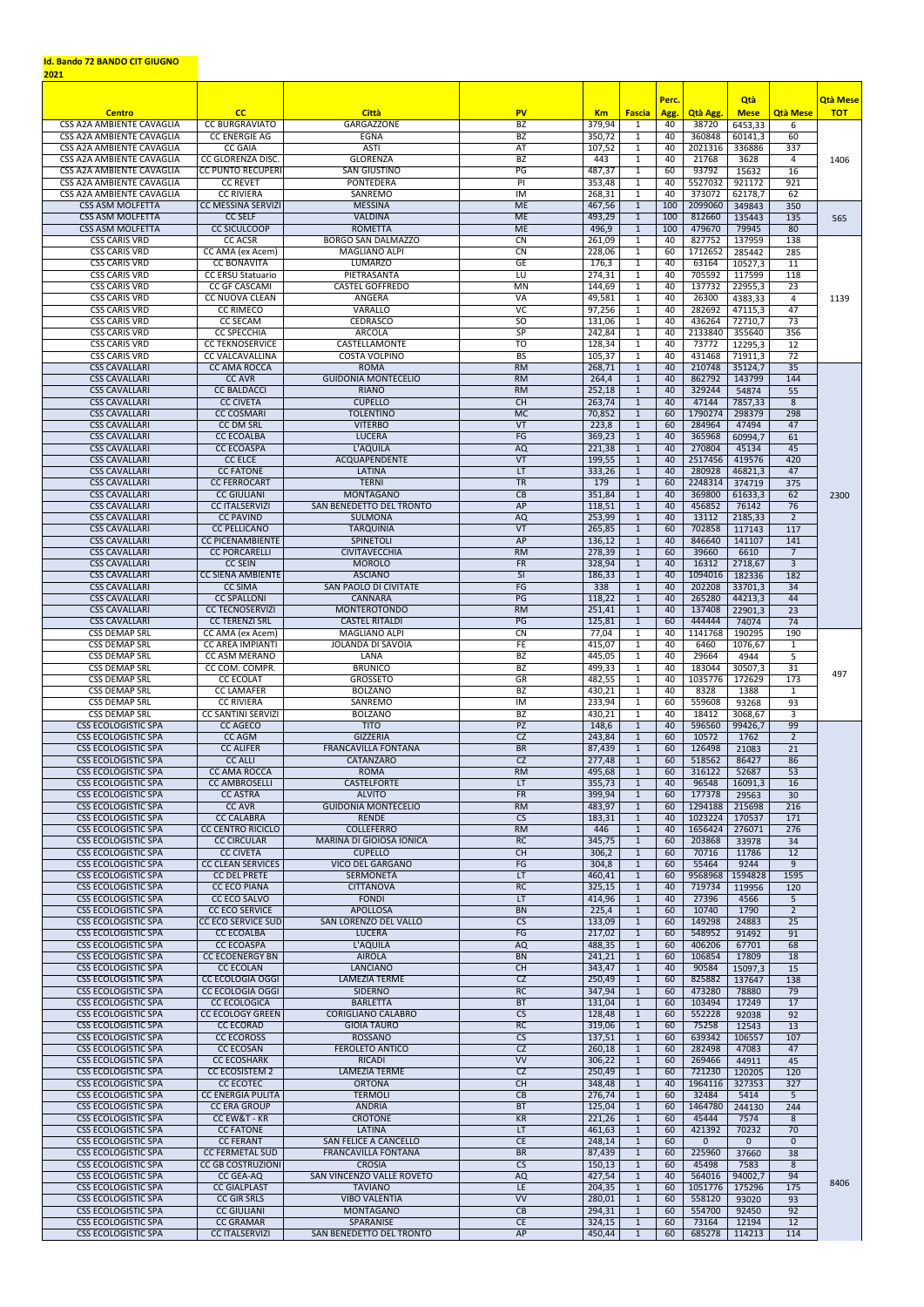## **Id. Bando 72 BANDO CIT GIUGNO**

**2021**

|                                                                      |                                                    |                                                   |                                         |                     |                              | Perc.      |                          | <b>Qtà</b>             |                       | <b>Qtà Mese</b> |
|----------------------------------------------------------------------|----------------------------------------------------|---------------------------------------------------|-----------------------------------------|---------------------|------------------------------|------------|--------------------------|------------------------|-----------------------|-----------------|
| <b>Centro</b><br><b>CSS A2A AMBIENTE CAVAGLIA</b>                    | cc<br><b>CC BURGRAVIATO</b>                        | <b>Città</b><br><b>GARGAZZONE</b>                 | <b>PV</b><br>BZ                         | <b>Km</b><br>379,94 | <b>Fascia</b><br>1           | Agg.<br>40 | <b>Qtà Agg.</b><br>38720 | <b>Mese</b><br>6453,33 | <b>Qtà Mese</b><br>6  | <b>TOT</b>      |
| <b>CSS A2A AMBIENTE CAVAGLIA</b><br><b>CSS A2A AMBIENTE CAVAGLIA</b> | <b>CC ENERGIE AG</b><br><b>CC GAIA</b>             | <b>EGNA</b><br><b>ASTI</b>                        | <b>BZ</b><br>AT                         | 350,72              | $\mathbf{1}$<br>1            | 40<br>40   | 360848<br>2021316        | 60141,3<br>336886      | 60<br>337             |                 |
| <b>CSS A2A AMBIENTE CAVAGLIA</b>                                     | <b>CC GLORENZA DISC.</b>                           | <b>GLORENZA</b>                                   | <b>BZ</b>                               | 107,52<br>443       | $\mathbf{1}$                 | 40         | 21768                    | 3628                   | $\overline{4}$        | 1406            |
| <b>CSS A2A AMBIENTE CAVAGLIA</b><br><b>CSS A2A AMBIENTE CAVAGLIA</b> | <b>CC PUNTO RECUPERI</b><br><b>CC REVET</b>        | <b>SAN GIUSTINO</b><br><b>PONTEDERA</b>           | PG<br>$\overline{P}$                    | 487,37<br>353,48    | 1<br>1                       | 60<br>40   | 93792<br>5527032         | 15632<br>921172        | 16<br>921             |                 |
| <b>CSS A2A AMBIENTE CAVAGLIA</b>                                     | <b>CC RIVIERA</b>                                  | SANREMO                                           | $\overline{M}$                          | 268,31              | 1                            | 40         | 373072                   | 62178,7                | 62                    |                 |
| <b>CSS ASM MOLFETTA</b><br><b>CSS ASM MOLFETTA</b>                   | <b>CC MESSINA SERVIZI</b><br><b>CC SELF</b>        | <b>MESSINA</b><br><b>VALDINA</b>                  | <b>ME</b><br><b>ME</b>                  | 467,56<br>493,29    | 1<br>$\mathbf{1}$            | 100<br>100 | 2099060<br>812660        | 349843<br>135443       | 350<br>135            | 565             |
| <b>CSS ASM MOLFETTA</b>                                              | <b>CC SICULCOOP</b>                                | <b>ROMETTA</b>                                    | <b>ME</b>                               | 496,9               | 1                            | 100        | 479670                   | 79945                  | 80                    |                 |
| <b>CSS CARIS VRD</b><br><b>CSS CARIS VRD</b>                         | <b>CC ACSR</b><br>CC AMA (ex Acem)                 | <b>BORGO SAN DALMAZZO</b><br><b>MAGLIANO ALPI</b> | CN<br>$\overline{\text{CN}}$            | 261,09<br>228,06    | -1<br>$\mathbf 1$            | 40<br>60   | 827752<br>1712652        | 137959<br>285442       | 138<br>285            |                 |
| <b>CSS CARIS VRD</b>                                                 | <b>CC BONAVITA</b>                                 | <b>LUMARZO</b>                                    | GE                                      | 176,3               |                              | 40         | 63164                    | 10527,3                | 11                    |                 |
| <b>CSS CARIS VRD</b><br><b>CSS CARIS VRD</b>                         | <b>CC ERSU Statuario</b><br><b>CC GF CASCAMI</b>   | PIETRASANTA<br><b>CASTEL GOFFREDO</b>             | LU<br><b>MN</b>                         | 274,31<br>144,69    | -1                           | 40<br>40   | 705592<br>137732         | 117599<br>22955,3      | 118<br>23             |                 |
| <b>CSS CARIS VRD</b>                                                 | <b>CC NUOVA CLEAN</b>                              | <b>ANGERA</b>                                     | <b>VA</b>                               | 49,581              | $\mathbf{1}$                 | 40         | 26300                    | 4383,33                | $\overline{4}$        | 1139            |
| <b>CSS CARIS VRD</b><br><b>CSS CARIS VRD</b>                         | <b>CC RIMECO</b><br><b>CC SECAM</b>                | <b>VARALLO</b><br><b>CEDRASCO</b>                 | $\overline{VC}$<br>50                   | 97,256<br>131,06    | $\mathbf{1}$<br>1            | 40<br>40   | 282692<br>436264         | 47115,3<br>72710,7     | 47<br>73              |                 |
| <b>CSS CARIS VRD</b>                                                 | <b>CC SPECCHIA</b>                                 | <b>ARCOLA</b>                                     | SP                                      | 242,84              | -1                           | 40         | 2133840                  | 355640                 | 356                   |                 |
| <b>CSS CARIS VRD</b><br><b>CSS CARIS VRD</b>                         | <b>CC TEKNOSERVICE</b><br><b>CC VALCAVALLINA</b>   | <b>CASTELLAMONTE</b><br><b>COSTA VOLPINO</b>      | $\overline{10}$<br>BS                   | 128,34<br>105,37    | -1<br>1                      | 40<br>40   | 73772<br>431468          | 12295,3<br>71911,3     | 12<br>72              |                 |
| <b>CSS CAVALLARI</b>                                                 | <b>CC AMA ROCCA</b>                                | <b>ROMA</b>                                       | RM                                      | 268,71              | 1                            | 40         | 210748                   | 35124,7                | 35                    |                 |
| <b>CSS CAVALLARI</b><br><b>CSS CAVALLARI</b>                         | <b>CC AVR</b><br><b>CC BALDACCI</b>                | <b>GUIDONIA MONTECELIO</b><br><b>RIANO</b>        | RM<br>RM                                | 264,4<br>252,18     | $\mathbf{1}$<br>$\mathbf{1}$ | 40<br>40   | 862792<br>329244         | 143799<br>54874        | 144<br>55             |                 |
| <b>CSS CAVALLARI</b>                                                 | <b>CC CIVETA</b>                                   | <b>CUPELLO</b>                                    | CH                                      | 263,74              | $\mathbf{1}$                 | 40         | 47144                    | 7857,33                | 8                     |                 |
| <b>CSS CAVALLARI</b><br><b>CSS CAVALLARI</b>                         | <b>CC COSMARI</b><br><b>CC DM SRL</b>              | <b>TOLENTINO</b><br><b>VITERBO</b>                | MC<br>$\overline{\mathsf{V}\mathsf{T}}$ | 70,852<br>223,8     | -1                           | 60<br>60   | 1790274<br>284964        | 298379<br>47494        | 298<br>47             |                 |
| <b>CSS CAVALLARI</b>                                                 | <b>CC ECOALBA</b>                                  | <b>LUCERA</b>                                     | <b>FG</b>                               | 369,23              | 1                            | 40         | 365968                   | 60994,7                | 61                    |                 |
| <b>CSS CAVALLARI</b><br><b>CSS CAVALLARI</b>                         | <b>CC ECOASPA</b><br><b>CC ELCE</b>                | <b>L'AQUILA</b><br><b>ACQUAPENDENTE</b>           | <b>AQ</b><br>VT                         | 221,38              |                              | 40<br>40   | 270804<br>2517456        | 45134<br>419576        | 45<br>420             |                 |
| <b>CSS CAVALLARI</b>                                                 | <b>CC FATONE</b>                                   | <b>LATINA</b>                                     | LT                                      | 199,55<br>333,26    | 1                            | 40         | 280928                   | 46821,3                | 47                    |                 |
| <b>CSS CAVALLARI</b>                                                 | <b>CC FERROCART</b>                                | <b>TERNI</b>                                      | $\overline{\text{TR}}$                  | 179                 |                              | 60         | 2248314                  | 374719                 | 375                   |                 |
| <b>CSS CAVALLARI</b><br><b>CSS CAVALLARI</b>                         | <b>CC GIULIANI</b><br><b>CC ITALSERVIZI</b>        | <b>MONTAGANO</b><br>SAN BENEDETTO DEL TRONTO      | CB<br>AP                                | 351,84<br>118,51    | 1                            | 40<br>40   | 369800<br>456852         | 61633,3<br>76142       | 62<br>76              | 2300            |
| <b>CSS CAVALLARI</b>                                                 | <b>CC PAVIND</b>                                   | <b>SULMONA</b>                                    | <b>AQ</b>                               | 253,99              | 1                            | 40         | 13112                    | 2185,33                | $\overline{2}$        |                 |
| <b>CSS CAVALLARI</b><br><b>CSS CAVALLARI</b>                         | <b>CC PELLICANO</b><br><b>CC PICENAMBIENTE</b>     | <b>TARQUINIA</b><br><b>SPINETOLI</b>              | VT<br>AP                                | 265,85<br>136,12    | 1                            | 60<br>40   | 702858<br>846640         | 117143<br>141107       | 117<br>141            |                 |
| <b>CSS CAVALLARI</b>                                                 | <b>CC PORCARELLI</b>                               | <b>CIVITAVECCHIA</b>                              | RM                                      | 278,39              |                              | 60         | 39660                    | 6610                   |                       |                 |
| <b>CSS CAVALLARI</b><br><b>CSS CAVALLARI</b>                         | <b>CC SEIN</b><br><b>CC SIENA AMBIENTE</b>         | <b>MOROLO</b><br><b>ASCIANO</b>                   | <b>FR</b><br>SI                         | 328,94<br>186,33    | 1                            | 40<br>40   | 16312<br>1094016         | 2718,67<br>182336      | $\overline{3}$<br>182 |                 |
| <b>CSS CAVALLARI</b>                                                 | <b>CC SIMA</b>                                     | <b>SAN PAOLO DI CIVITATE</b>                      | FG                                      | 338                 |                              | 40         | 202208                   | 33701,3                | $\overline{34}$       |                 |
| <b>CSS CAVALLARI</b><br><b>CSS CAVALLARI</b>                         | <b>CC SPALLONI</b><br><b>CC TECNOSERVIZI</b>       | <b>CANNARA</b><br><b>MONTEROTONDO</b>             | PG<br>RM                                | 118,22<br>251,41    | 1                            | 40<br>40   | 265280<br>137408         | 44213,3<br>22901,3     | 44<br>$\overline{23}$ |                 |
| <b>CSS CAVALLARI</b>                                                 | <b>CC TERENZI SRL</b>                              | <b>CASTEL RITALDI</b>                             | PG                                      | 125,81              | 1                            | 60         | 444444                   | 74074                  | 74                    |                 |
| <b>CSS DEMAP SRL</b><br><b>CSS DEMAP SRL</b>                         | CC AMA (ex Acem)<br><b>CC AREA IMPIANTI</b>        | <b>MAGLIANO ALPI</b><br><b>JOLANDA DI SAVOIA</b>  | CN<br>FE.                               | 77,04<br>415,07     | -1                           | 40<br>40   | 1141768<br>6460          | 190295<br>1076,67      | 190<br>$\mathbf{1}$   |                 |
| <b>CSS DEMAP SRL</b>                                                 | <b>CC ASM MERANO</b>                               | <b>LANA</b>                                       | BZ                                      | 445,05              |                              | 40         | 29664                    | 4944                   | 5                     |                 |
| <b>CSS DEMAP SRL</b><br><b>CSS DEMAP SRL</b>                         | CC COM. COMPR.<br><b>CC ECOLAT</b>                 | <b>BRUNICO</b><br><b>GROSSETO</b>                 | <b>BZ</b><br><b>GR</b>                  | 499,33<br>482,55    | -1                           | 40<br>40   | 183044<br>1035776        | 30507,3<br>172629      | 31<br>173             | 497             |
| <b>CSS DEMAP SRL</b>                                                 | <b>CC LAMAFER</b>                                  | <b>BOLZANO</b>                                    | <b>BZ</b>                               | 430,21              |                              | 40         | 8328                     | 1388                   |                       |                 |
| <b>CSS DEMAP SRL</b><br><b>CSS DEMAP SRL</b>                         | <b>CC RIVIERA</b><br><b>CC SANTINI SERVIZI</b>     | SANREMO<br><b>BOLZANO</b>                         | IM<br><b>BZ</b>                         | 233,94<br>430,21    | 1                            | 60<br>40   | 559608<br>18412          | 93268<br>3068,67       | 93<br>3               |                 |
| <b>CSS ECOLOGISTIC SPA</b>                                           | <b>CC AGECO</b>                                    | <b>TITO</b>                                       | PZ                                      | 148,6               | 1                            | 40         | 596560                   | 99426,7                | 99                    |                 |
| <b>CSS ECOLOGISTIC SPA</b><br><b>CSS ECOLOGISTIC SPA</b>             | <b>CC AGM</b><br><b>CC ALIFER</b>                  | <b>GIZZERIA</b><br><b>FRANCAVILLA FONTANA</b>     | CZ<br><b>BR</b>                         | 243,84<br>87,439    |                              | 60<br>60   | 10572<br>126498          | 1762<br>21083          | $2^{\circ}$<br>21     |                 |
| <b>CSS ECOLOGISTIC SPA</b>                                           | <b>CC ALLI</b>                                     | CATANZARO                                         | CZ                                      | 277,48              |                              | 60         | 518562                   | 86427                  | 86                    |                 |
| <b>CSS ECOLOGISTIC SPA</b><br><b>CSS ECOLOGISTIC SPA</b>             | <b>CC AMA ROCCA</b><br><b>CC AMBROSELLI</b>        | <b>ROMA</b><br><b>CASTELFORTE</b>                 | RM<br>LT.                               | 495,68<br>355,73    |                              | 60<br>40   | 316122<br>96548          | 52687<br>16091,3       | $\overline{53}$<br>16 |                 |
| <b>CSS ECOLOGISTIC SPA</b>                                           | <b>CC ASTRA</b>                                    | <b>ALVITO</b>                                     | FR                                      | 399,94              | -1                           | 60         | 177378                   | 29563                  | 30                    |                 |
| <b>CSS ECOLOGISTIC SPA</b><br><b>CSS ECOLOGISTIC SPA</b>             | <b>CC AVR</b><br><b>CC CALABRA</b>                 | <b>GUIDONIA MONTECELIO</b><br><b>RENDE</b>        | RM<br><b>CS</b>                         | 483,97<br>183,31    | $\mathbf 1$                  | 60<br>40   | 1294188<br>1023224       | 215698<br>170537       | 216<br>171            |                 |
| <b>CSS ECOLOGISTIC SPA</b>                                           | <b>CC CENTRO RICICLO</b>                           | <b>COLLEFERRO</b>                                 | RM                                      | 446                 |                              | 40         | 1656424                  | 276071                 | 276                   |                 |
| <b>CSS ECOLOGISTIC SPA</b><br><b>CSS ECOLOGISTIC SPA</b>             | <b>CC CIRCULAR</b><br><b>CC CIVETA</b>             | <b>MARINA DI GIOIOSA IONICA</b><br><b>CUPELLO</b> | RC<br>CH                                | 345,75<br>306,2     | 1<br>-1                      | 60<br>60   | 203868<br>70716          | 33978<br>11786         | $\overline{34}$<br>12 |                 |
| <b>CSS ECOLOGISTIC SPA</b>                                           | <b>CC CLEAN SERVICES</b>                           | <b>VICO DEL GARGANO</b>                           | FG                                      | 304,8               |                              | 60         | 55464                    | 9244                   | 9                     |                 |
| <b>CSS ECOLOGISTIC SPA</b><br><b>CSS ECOLOGISTIC SPA</b>             | <b>CC DEL PRETE</b><br><b>CC ECO PIANA</b>         | <b>SERMONETA</b><br><b>CITTANOVA</b>              | LT<br>RC                                | 460,41<br>325,15    |                              | 60<br>40   | 9568968<br>719734        | 1594828<br>119956      | 1595<br>120           |                 |
| <b>CSS ECOLOGISTIC SPA</b>                                           | <b>CC ECO SALVO</b>                                | <b>FONDI</b>                                      | LT.                                     | 414,96              |                              | 40         | 27396                    | 4566                   | 5 <sup>5</sup>        |                 |
| <b>CSS ECOLOGISTIC SPA</b><br><b>CSS ECOLOGISTIC SPA</b>             | <b>CC ECO SERVICE</b><br><b>CC ECO SERVICE SUD</b> | <b>APOLLOSA</b><br>SAN LORENZO DEL VALLO          | <b>BN</b><br>$\overline{\text{CS}}$     | 225,4<br>133,09     |                              | 60<br>60   | 10740<br>149298          | 1790<br>24883          | $\overline{2}$<br>25  |                 |
| <b>CSS ECOLOGISTIC SPA</b>                                           | <b>CC ECOALBA</b>                                  | <b>LUCERA</b>                                     | FG                                      | 217,02              | 1                            | 60         | 548952                   | 91492                  | 91                    |                 |
| <b>CSS ECOLOGISTIC SPA</b><br><b>CSS ECOLOGISTIC SPA</b>             | <b>CC ECOASPA</b><br><b>CC ECOENERGY BN</b>        | <b>L'AQUILA</b><br><b>AIROLA</b>                  | <b>AQ</b><br><b>BN</b>                  | 488,35<br>241,21    | $\mathbf 1$<br>1             | 60<br>60   | 406206<br>106854         | 67701<br>17809         | 68<br>18              |                 |
| <b>CSS ECOLOGISTIC SPA</b>                                           | <b>CC ECOLAN</b>                                   | <b>LANCIANO</b>                                   | <b>CH</b>                               | 343,47              | -1                           | 40         | 90584                    | 15097,3                | 15                    |                 |
| <b>CSS ECOLOGISTIC SPA</b><br><b>CSS ECOLOGISTIC SPA</b>             | <b>CC ECOLOGIA OGGI</b><br><b>CC ECOLOGIA OGGI</b> | <b>LAMEZIA TERME</b><br><b>SIDERNO</b>            | CZ<br>RC                                | 250,49<br>347,94    | -1<br>-1                     | 60<br>60   | 825882<br>473280         | 137647<br>78880        | 138<br>79             |                 |
| <b>CSS ECOLOGISTIC SPA</b>                                           | <b>CC ECOLOGICA</b>                                | <b>BARLETTA</b>                                   | <b>BT</b>                               | 131,04              |                              | 60         | 103494                   | 17249                  | 17                    |                 |
| <b>CSS ECOLOGISTIC SPA</b><br><b>CSS ECOLOGISTIC SPA</b>             | <b>CC ECOLOGY GREEN</b><br><b>CC ECORAD</b>        | <b>CORIGLIANO CALABRO</b><br><b>GIOIA TAURO</b>   | CS<br>RC                                | 128,48<br>319,06    | 1                            | 60<br>60   | 552228<br>75258          | 92038<br>12543         | 92<br>13              |                 |
| <b>CSS ECOLOGISTIC SPA</b>                                           | <b>CC ECOROSS</b>                                  | <b>ROSSANO</b>                                    | CS                                      | 137,51              | -1                           | 60         | 639342                   | 106557                 | 107                   |                 |
| <b>CSS ECOLOGISTIC SPA</b><br><b>CSS ECOLOGISTIC SPA</b>             | <b>CC ECOSAN</b><br><b>CC ECOSHARK</b>             | <b>FEROLETO ANTICO</b><br><b>RICADI</b>           | CZ<br><b>VV</b>                         | 260,18<br>306,22    | 1                            | 60<br>60   | 282498<br>269466         | 47083<br>44911         | 47<br>45              |                 |
| <b>CSS ECOLOGISTIC SPA</b>                                           | <b>CC ECOSISTEM 2</b>                              | <b>LAMEZIA TERME</b>                              | CZ                                      | 250,49              |                              | 60         | 721230                   | 120205                 | 120                   |                 |
| <b>CSS ECOLOGISTIC SPA</b><br><b>CSS ECOLOGISTIC SPA</b>             | <b>CC ECOTEC</b><br><b>CC ENERGIA PULITA</b>       | <b>ORTONA</b><br><b>TERMOLI</b>                   | CH<br>CB                                | 348,48<br>276,74    | -1<br>1                      | 40<br>60   | 1964116<br>32484         | 327353<br>5414         | 327<br>5              |                 |
| <b>CSS ECOLOGISTIC SPA</b>                                           | <b>CC ERA GROUP</b>                                | <b>ANDRIA</b>                                     | <b>BT</b>                               | 125,04              |                              | 60         | 1464780                  | 244130                 | 244                   |                 |
| <b>CSS ECOLOGISTIC SPA</b><br><b>CSS ECOLOGISTIC SPA</b>             | <b>CC EW&amp;T - KR</b><br><b>CC FATONE</b>        | <b>CROTONE</b><br><b>LATINA</b>                   | <b>KR</b><br>LI.                        | 221,26<br>461,63    | 1                            | 60<br>60   | 45444<br>421392          | 7574<br>70232          | 8<br>$\overline{70}$  |                 |
| <b>CSS ECOLOGISTIC SPA</b>                                           | <b>CC FERANT</b>                                   | <b>SAN FELICE A CANCELLO</b>                      | CE                                      | 248,14              |                              | 60         | $\Omega$                 | $\Omega$               | $\Omega$              |                 |
| <b>CSS ECOLOGISTIC SPA</b><br><b>CSS ECOLOGISTIC SPA</b>             | <b>CC FERMETAL SUD</b><br><b>CC GB COSTRUZIONI</b> | <b>FRANCAVILLA FONTANA</b><br><b>CROSIA</b>       | <b>BR</b><br>$\overline{\text{CS}}$     | 87,439<br>150,13    | 1                            | 60<br>60   | 225960<br>45498          | 37660<br>7583          | 38<br>8               |                 |
| <b>CSS ECOLOGISTIC SPA</b>                                           | CC GEA-AQ                                          | SAN VINCENZO VALLE ROVETO                         | <b>AQ</b>                               | 427,54              |                              | 40         | 564016                   | 94002,7                | 94                    | 8406            |
| <b>CSS ECOLOGISTIC SPA</b><br><b>CSS ECOLOGISTIC SPA</b>             | <b>CC GIALPLAST</b><br><b>CC GIR SRLS</b>          | <b>TAVIANO</b><br><b>VIBO VALENTIA</b>            | LE.<br>$\overline{\text{VV}}$           | 204,35<br>280,01    | $\mathbf{1}$                 | 60<br>60   | 1051776<br>558120        | 175296<br>93020        | 175<br>93             |                 |
| <b>CSS ECOLOGISTIC SPA</b>                                           | <b>CC GIULIANI</b>                                 | <b>MONTAGANO</b>                                  | CB                                      | 294,31              | 1                            | 60         | 554700                   | 92450                  | 92                    |                 |
| <b>CSS ECOLOGISTIC SPA</b><br><b>CSS ECOLOGISTIC SPA</b>             | <b>CC GRAMAR</b><br><b>CC ITALSERVIZI</b>          | SPARANISE<br>SAN BENEDETTO DEL TRONTO             | <b>CE</b><br><b>AP</b>                  | 324,15<br>450,44    | 1                            | 60<br>60   | 73164<br>685278          | 12194<br>114213        | 12<br>114             |                 |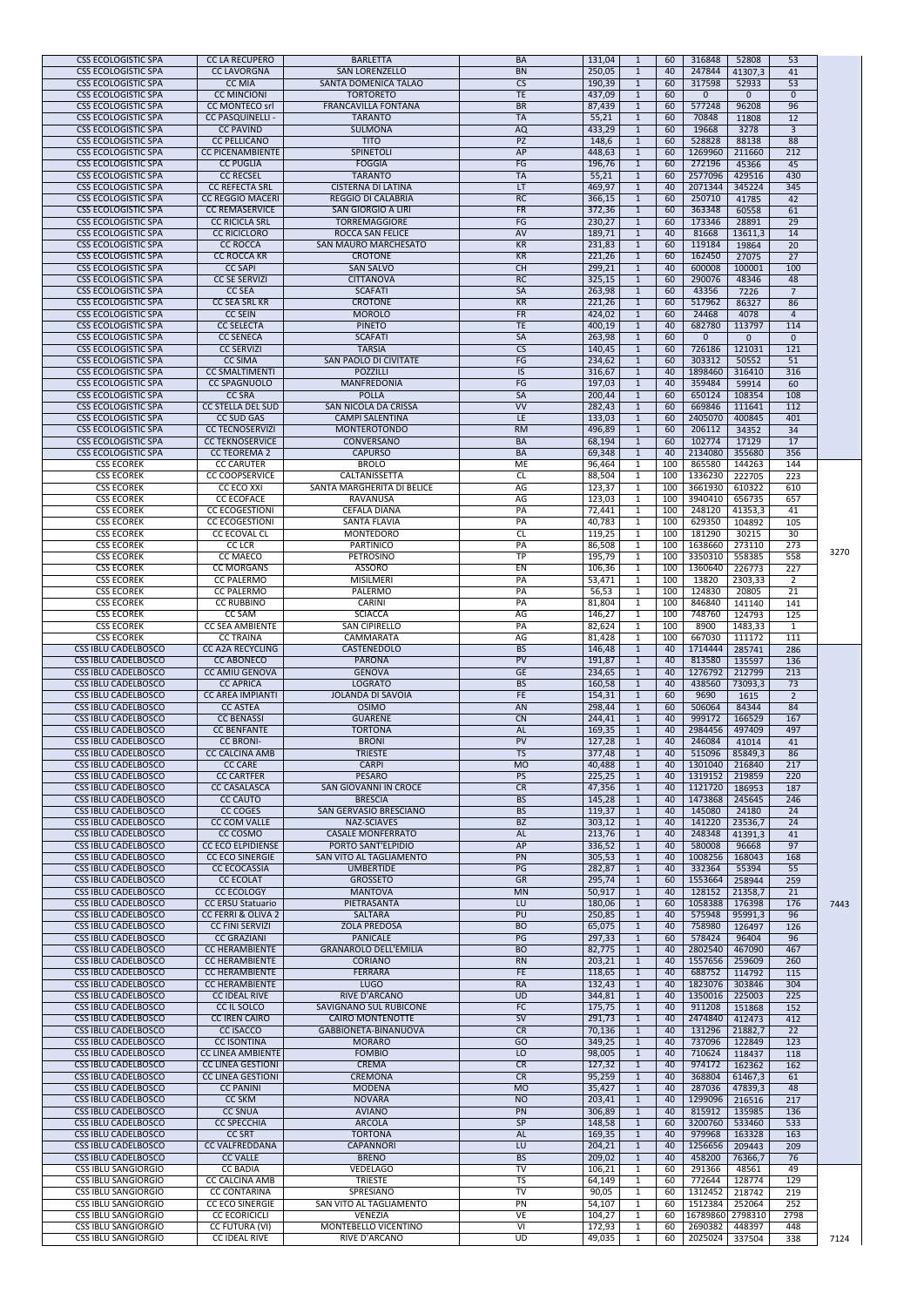| <b>CSS ECOLOGISTIC SPA</b><br><b>CC LA RECUPERO</b><br><b>BARLETTA</b><br>316848<br>53<br><b>BA</b><br>131,04<br>52808<br>60<br>1<br>247844<br><b>CSS ECOLOGISTIC SPA</b><br><b>SAN LORENZELLO</b><br><b>BN</b><br>250,05<br>41307,3<br>41<br><b>CC LAVORGNA</b><br>40<br>$\mathbf{1}$<br><b>CSS ECOLOGISTIC SPA</b><br><b>CC MIA</b><br>SANTA DOMENICA TALAO<br><b>CS</b><br>317598<br>53<br>190,39<br>52933<br>60<br>1<br><b>CC MINCIONI</b><br><b>TORTORETO</b><br><b>TE</b><br><b>CSS ECOLOGISTIC SPA</b><br>437,09<br>60<br>$\mathbf{0}$<br>$\Omega$<br>$\overline{0}$<br>$\mathbf{1}$<br><b>FRANCAVILLA FONTANA</b><br>96<br><b>CSS ECOLOGISTIC SPA</b><br><b>CC MONTECO srl</b><br><b>BR</b><br>577248<br>87,439<br>96208<br>60<br>1<br><b>CSS ECOLOGISTIC SPA</b><br><b>TARANTO</b><br><b>TA</b><br>70848<br><b>CC PASQUINELLI -</b><br>55,21<br>60<br>11808<br>12<br>1<br><b>CSS ECOLOGISTIC SPA</b><br><b>CC PAVIND</b><br><b>SULMONA</b><br><b>AQ</b><br>19668<br>433,29<br>3278<br>$\overline{3}$<br>60<br>1<br>$\overline{PZ}$<br>528828<br>88<br><b>CSS ECOLOGISTIC SPA</b><br><b>CC PELLICANO</b><br><b>TITO</b><br>88138<br>148,6<br>60<br><b>CC PICENAMBIENTE</b><br>AP<br>1269960<br><b>CSS ECOLOGISTIC SPA</b><br><b>SPINETOLI</b><br>448,63<br>211660<br>212<br>60<br><b>CSS ECOLOGISTIC SPA</b><br><b>FOGGIA</b><br>FG<br>272196<br>45366<br>45<br><b>CC PUGLIA</b><br>196,76<br>60<br>$\mathbf{1}$<br><b>TARANTO</b><br><b>TA</b><br>430<br><b>CSS ECOLOGISTIC SPA</b><br><b>CC RECSEL</b><br>55,21<br>2577096<br>429516<br>60<br>$\mathbf{1}$<br><b>CSS ECOLOGISTIC SPA</b><br><b>CC REFECTA SRL</b><br><b>CISTERNA DI LATINA</b><br>LT<br>2071344<br>345224<br>$\frac{1}{345}$<br>469,97<br>$\mathbf{1}$<br>40<br><b>CSS ECOLOGISTIC SPA</b><br><b>RC</b><br>250710<br>41785<br>42<br><b>CC REGGIO MACERI</b><br><b>REGGIO DI CALABRIA</b><br>366,15<br>$\mathbf{1}$<br>60<br><b>CSS ECOLOGISTIC SPA</b><br>363348<br><b>CC REMASERVICE</b><br><b>SAN GIORGIO A LIRI</b><br><b>FR</b><br>372,36<br>60<br>60558<br>61<br>$\mathbf{1}$<br>FG<br><b>CSS ECOLOGISTIC SPA</b><br><b>CC RICICLA SRL</b><br><b>TORREMAGGIORE</b><br>230,27<br>173346<br>28891<br>$\overline{29}$<br>60<br>$\mathbf{1}$<br><b>CSS ECOLOGISTIC SPA</b><br><b>ROCCA SAN FELICE</b><br>81668<br><b>CC RICICLORO</b><br>AV<br>189,71<br>13611,3<br>14<br>40<br>$\mathbf{1}$<br><b>CC ROCCA</b><br>KR<br>231,83<br>119184<br><b>CSS ECOLOGISTIC SPA</b><br><b>SAN MAURO MARCHESATO</b><br>19864<br>20<br>60<br>$\mathbf{1}$<br><b>CSS ECOLOGISTIC SPA</b><br>162450<br><b>CC ROCCA KR</b><br><b>CROTONE</b><br><b>KR</b><br>221,26<br>27075<br>27<br>60<br>$\mathbf{1}$<br>CH<br>299,21<br>600008<br><b>CSS ECOLOGISTIC SPA</b><br><b>CC SAPI</b><br><b>SAN SALVO</b><br>100001<br>40<br>100<br>$\mathbf{1}$<br><b>CSS ECOLOGISTIC SPA</b><br><b>CITTANOVA</b><br>RC<br>290076<br><b>CC SE SERVIZI</b><br>325,15<br>48346<br>48<br>60<br>$\mathbf{1}$<br>SA<br>43356<br><b>CSS ECOLOGISTIC SPA</b><br><b>CC SEA</b><br><b>SCAFATI</b><br>263,98<br>$\overline{7}$<br>60<br>7226<br><b>CROTONE</b><br><b>KR</b><br>517962<br><b>CSS ECOLOGISTIC SPA</b><br><b>CC SEA SRL KR</b><br>221,26<br>60<br>86327<br>86<br>$\mathbf{1}$<br>FR<br>24468<br><b>CSS ECOLOGISTIC SPA</b><br><b>CC SEIN</b><br><b>MOROLO</b><br>424,02<br>60<br>4078<br>$\mathbf{1}$<br>$\overline{4}$<br><b>TE</b><br><b>CSS ECOLOGISTIC SPA</b><br><b>CC SELECTA</b><br><b>PINETO</b><br>400,19<br>682780<br>113797<br>40<br>114<br>$\mathbf{1}$<br>SA<br><b>CSS ECOLOGISTIC SPA</b><br><b>CC SENECA</b><br><b>SCAFATI</b><br>263,98<br>$\overline{0}$<br>60<br>$\overline{0}$<br>$\overline{0}$<br>$\overline{\text{CS}}$<br><b>TARSIA</b><br>726186<br><b>CSS ECOLOGISTIC SPA</b><br><b>CC SERVIZI</b><br>121031<br>121<br>140,45<br>60<br>FG<br>303312<br><b>CSS ECOLOGISTIC SPA</b><br><b>CC SIMA</b><br><b>SAN PAOLO DI CIVITATE</b><br>234,62<br>50552<br>$\overline{51}$<br>60<br>$\mathbf{1}$<br><b>CSS ECOLOGISTIC SPA</b><br><b>CC SMALTIMENTI</b><br><b>POZZILLI</b><br><b>IS</b><br>316,67<br>1898460<br>316410<br>316<br>40<br>1<br>FG<br>359484<br><b>CSS ECOLOGISTIC SPA</b><br><b>CC SPAGNUOLO</b><br><b>MANFREDONIA</b><br>197,03<br>59914<br>60<br>40<br>SA<br><b>CSS ECOLOGISTIC SPA</b><br><b>CC SRA</b><br><b>POLLA</b><br>200,44<br>650124<br>60<br>108354<br>108<br><b>CSS ECOLOGISTIC SPA</b><br><b>CC STELLA DEL SUD</b><br>SAN NICOLA DA CRISSA<br><b>VV</b><br>282,43<br>669846<br>111641<br>60<br>112<br>1<br><b>CAMPI SALENTINA</b><br>2405070<br>400845<br>401<br><b>CSS ECOLOGISTIC SPA</b><br><b>CC SUD GAS</b><br>LE<br>133,03<br>60<br><b>CSS ECOLOGISTIC SPA</b><br><b>CC TECNOSERVIZI</b><br><b>MONTEROTONDO</b><br>RM<br>206112<br>34352<br>$\overline{34}$<br>496,89<br>60<br>$\mathbf{1}$<br><b>CSS ECOLOGISTIC SPA</b><br>102774<br><b>CC TEKNOSERVICE</b><br><b>CONVERSANO</b><br><b>BA</b><br>68,194<br>17129<br>17<br>60<br>$\mathbf{1}$<br>2134080<br><b>CSS ECOLOGISTIC SPA</b><br><b>CC TEOREMA 2</b><br><b>CAPURSO</b><br><b>BA</b><br>69,348<br>355680<br>356<br>$\mathbf{1}$<br>40<br><b>CSS ECOREK</b><br><b>CC CARUTER</b><br><b>BROLO</b><br><b>ME</b><br>96,464<br>865580<br>144263<br>144<br>100<br>1<br>CALTANISSETTA<br>1336230<br>222705<br>$\overline{223}$<br><b>CSS ECOREK</b><br><b>CC COOPSERVICE</b><br><b>CL</b><br>88,504<br>100<br>1<br>AG<br>SANTA MARGHERITA DI BELICE<br>123,37<br>3661930<br>610322<br>610<br><b>CSS ECOREK</b><br><b>CC ECO XXI</b><br>100<br>$\mathbf{1}$<br><b>CSS ECOREK</b><br><b>CC ECOFACE</b><br>3940410<br>656735<br>657<br>RAVANUSA<br>AG<br>123,03<br>100<br>$\mathbf{1}$<br><b>CEFALÀ DIANA</b><br><b>CSS ECOREK</b><br><b>CC ECOGESTIONI</b><br>PA<br>72,441<br>100<br>248120<br>41353,3<br>41<br>629350<br><b>CSS ECOREK</b><br><b>CC ECOGESTIONI</b><br><b>SANTA FLAVIA</b><br>PA<br>40,783<br>100<br>104892<br>105<br>1<br>CL<br>181290<br><b>CSS ECOREK</b><br><b>CC ECOVAL CL</b><br><b>MONTEDORO</b><br>119,25<br>100<br>30215<br>30<br>1<br><b>CC LCR</b><br><b>PARTINICO</b><br>1638660<br>273110<br><b>CSS ECOREK</b><br>PA<br>86,508<br>100<br>273<br>1<br><b>CC MAECO</b><br><b>TP</b><br><b>CSS ECOREK</b><br><b>PETROSINO</b><br>195,79<br>3350310<br>558385<br>558<br>100<br><b>ASSORO</b><br>EN<br>1360640<br>$\overline{227}$<br><b>CSS ECOREK</b><br><b>CC MORGANS</b><br>106,36<br>100<br>226773<br>1<br>PA<br>53,471<br>13820<br>$\overline{2}$<br><b>CSS ECOREK</b><br><b>CC PALERMO</b><br><b>MISILMERI</b><br>100<br>2303,33<br>1<br>124830<br><b>CSS ECOREK</b><br><b>CC PALERMO</b><br><b>PALERMO</b><br>PA<br>56,53<br>100<br>20805<br>21<br>1<br><b>CSS ECOREK</b><br>81,804<br>100<br>846840<br><b>CC RUBBINO</b><br><b>CARINI</b><br>PA<br>141140<br>141<br><b>CSS ECOREK</b><br><b>CC SAM</b><br><b>SCIACCA</b><br>AG<br>748760<br>124793<br>125<br>146,27<br>100<br>1<br>PA<br>82,624<br>8900<br>1483,33<br><b>CSS ECOREK</b><br><b>CC SEA AMBIENTE</b><br><b>SAN CIPIRELLO</b><br>100<br>$\mathbf{1}$<br>$\mathbf{1}$<br><b>CC TRAINA</b><br>AG<br>667030<br>111172<br>111<br><b>CSS ECOREK</b><br>CAMMARATA<br>81,428<br>100<br>1<br><b>BS</b><br>285741<br><b>CSS IBLU CADELBOSCO</b><br><b>CC A2A RECYCLING</b><br><b>CASTENEDOLO</b><br>1714444<br>286<br>146,48<br>40<br>$\mathbf{1}$<br>PV<br>813580<br>136<br><b>CSS IBLU CADELBOSCO</b><br><b>CC ABONECO</b><br><b>PARONA</b><br>191,87<br>135597<br>40<br>1276792<br><b>GE</b><br>212799<br>213<br><b>CSS IBLU CADELBOSCO</b><br><b>CC AMIU GENOVA</b><br><b>GENOVA</b><br>234,65<br>40<br>$\mathbf{1}$<br><b>BS</b><br><b>CSS IBLU CADELBOSCO</b><br><b>CC APRICA</b><br><b>LOGRATO</b><br>438560<br>73<br>160,58<br>73093,3<br>40<br>1<br><b>JOLANDA DI SAVOIA</b><br>FE.<br>9690<br>$\overline{2}$<br><b>CSS IBLU CADELBOSCO</b><br><b>CC AREA IMPIANTI</b><br>154,31<br>60<br>1615<br><b>CC ASTEA</b><br>AN<br>506064<br><b>CSS IBLU CADELBOSCO</b><br><b>OSIMO</b><br>298,44<br>84344<br>84<br>60<br><b>CC BENASSI</b><br><b>GUARENE</b><br>$\overline{C}N$<br>999172<br><b>CSS IBLU CADELBOSCO</b><br>244,41<br>40<br>166529<br>167<br>1<br><b>CSS IBLU CADELBOSCO</b><br><b>TORTONA</b><br>2984456<br><b>CC BENFANTE</b><br><b>AL</b><br>169,35<br>497409<br>497<br>40<br><b>CC BRONI-</b><br>PV<br>127,28<br>246084<br>41<br><b>CSS IBLU CADELBOSCO</b><br><b>BRONI</b><br>40<br>41014<br><b>TS</b><br>515096<br><b>CSS IBLU CADELBOSCO</b><br><b>CC CALCINA AMB</b><br><b>TRIESTE</b><br>377,48<br>85849,3<br>86<br>40<br>1<br><b>CC CARE</b><br><b>CARPI</b><br><b>MO</b><br>1301040<br><b>CSS IBLU CADELBOSCO</b><br>40,488<br>216840<br>217<br>$\mathbf{1}$<br>40<br><b>PESARO</b><br>1319152<br>219859<br><b>CSS IBLU CADELBOSCO</b><br><b>CC CARTFER</b><br><b>PS</b><br>225,25<br>220<br>40<br>$\mathbf{1}$<br><b>CSS IBLU CADELBOSCO</b><br><b>CC CASALASCA</b><br><b>SAN GIOVANNI IN CROCE</b><br>1121720<br>187<br>CR<br>47,356<br>186953<br>40<br>$\mathbf{1}$<br><b>CC CAUTO</b><br><b>BS</b><br>1473868<br><b>CSS IBLU CADELBOSCO</b><br><b>BRESCIA</b><br>145,28<br>245645<br>246<br>40<br>$\mathbf{1}$<br>CC COGES<br>145080<br><b>CSS IBLU CADELBOSCO</b><br>SAN GERVASIO BRESCIANO<br><b>BS</b><br>119,37<br>24180<br>24<br>40<br>$\mathbf{1}$<br><b>BZ</b><br>303,12<br><b>CSS IBLU CADELBOSCO</b><br><b>CC COM VALLE</b><br>NAZ-SCIAVES<br>141220<br>23536,7<br>24<br>40<br>$\mathbf{1}$<br>248348<br><b>CSS IBLU CADELBOSCO</b><br>CC COSMO<br><b>CASALE MONFERRATO</b><br>213,76<br>41391,3<br><b>AL</b><br>40<br>41<br>1<br>AP<br>336,52<br>580008<br><b>CSS IBLU CADELBOSCO</b><br><b>CC ECO ELPIDIENSE</b><br>PORTO SANT'ELPIDIO<br>96668<br>97<br>40<br>$\mathbf{1}$<br>SAN VITO AL TAGLIAMENTO<br>305,53<br>1008256<br>168043<br><b>CSS IBLU CADELBOSCO</b><br><b>CC ECO SINERGIE</b><br>PN<br>168<br>40<br>$\mathbf{1}$<br>332364<br><b>UMBERTIDE</b><br>PG<br>282,87<br>$\overline{55}$<br><b>CSS IBLU CADELBOSCO</b><br><b>CC ECOCASSIA</b><br>40<br>55394<br>$\mathbf{1}$<br>GR<br>1553664<br><b>CSS IBLU CADELBOSCO</b><br><b>CC ECOLAT</b><br><b>GROSSETO</b><br>295,74<br>258944<br>259<br>60<br>$\mathbf{1}$<br>128152<br><b>CSS IBLU CADELBOSCO</b><br><b>CC ECOLOGY</b><br><b>MANTOVA</b><br><b>MN</b><br>50,917<br>21358,7<br>21<br>40<br>$\mathbf{1}$<br>1058388<br><b>CSS IBLU CADELBOSCO</b><br><b>CC ERSU Statuario</b><br>PIETRASANTA<br>176398<br>176<br>LU<br>180,06<br>60<br>$\mathbf{1}$<br>575948<br><b>SALTARA</b><br>PU<br>250,85<br>95991,3<br>96<br><b>CSS IBLU CADELBOSCO</b><br><b>CC FERRI &amp; OLIVA 2</b><br>40<br>$\mathbf{1}$<br>758980<br><b>CSS IBLU CADELBOSCO</b><br><b>CC FINI SERVIZI</b><br><b>ZOLA PREDOSA</b><br><b>BO</b><br>65,075<br>126497<br>40<br>126<br>$\mathbf{1}$<br>PG<br>578424<br>$\overline{96}$<br><b>CSS IBLU CADELBOSCO</b><br><b>CC GRAZIANI</b><br><b>PANICALE</b><br>297,33<br>96404<br>60<br>$\mathbf{1}$<br><b>CSS IBLU CADELBOSCO</b><br><b>BO</b><br><b>CC HERAMBIENTE</b><br><b>GRANAROLO DELL'EMILIA</b><br>82,775<br>2802540<br>467090<br>467<br>40<br>1<br>1557656<br><b>CSS IBLU CADELBOSCO</b><br>259609<br><b>CC HERAMBIENTE</b><br><b>CORIANO</b><br><b>RN</b><br>203,21<br>40<br>260<br>$\mathbf{1}$<br><b>CSS IBLU CADELBOSCO</b><br><b>CC HERAMBIENTE</b><br><b>FE</b><br>688752<br><b>FERRARA</b><br>118,65<br>114792<br>115<br>40<br>1<br>1823076<br><b>CSS IBLU CADELBOSCO</b><br><b>CC HERAMBIENTE</b><br><b>LUGO</b><br><b>RA</b><br>132,43<br>303846<br>40<br>304<br>$\mathbf{1}$<br><b>RIVE D'ARCANO</b><br>1350016<br>225<br><b>CSS IBLU CADELBOSCO</b><br><b>CC IDEAL RIVE</b><br><b>UD</b><br>344,81<br>225003<br>40<br>1<br>FC<br><b>CSS IBLU CADELBOSCO</b><br><b>CC IL SOLCO</b><br><b>SAVIGNANO SUL RUBICONE</b><br>911208<br>151868<br>175,75<br>40<br>152<br>1<br><b>CSS IBLU CADELBOSCO</b><br><b>CC IREN CAIRO</b><br>SV<br>2474840<br><b>CAIRO MONTENOTTE</b><br>412473<br>412<br>291,73<br>40<br><b>CSS IBLU CADELBOSCO</b><br><b>CC ISACCO</b><br>GABBIONETA-BINANUOVA<br>CR<br>131296<br>21882,7<br>$\overline{22}$<br>70,136<br>40<br>$\mathbf{1}$<br><b>CC ISONTINA</b><br>$\overline{GO}$<br>737096<br><b>CSS IBLU CADELBOSCO</b><br><b>MORARO</b><br>349,25<br>122849<br>123<br>1<br>40<br><b>CSS IBLU CADELBOSCO</b><br><b>CC LINEA AMBIENTE</b><br><b>FOMBIO</b><br>710624<br>118437<br>LO<br>98,005<br>118<br>$\mathbf{1}$<br>40<br>CR<br><b>CSS IBLU CADELBOSCO</b><br><b>CC LINEA GESTIONI</b><br><b>CREMA</b><br>974172<br>162362<br>162<br>127,32<br>40<br>1<br><b>CSS IBLU CADELBOSCO</b><br><b>CC LINEA GESTIONI</b><br><b>CREMONA</b><br>CR<br>368804<br>61467,3<br>95,259<br>40<br>61<br>1<br><b>CSS IBLU CADELBOSCO</b><br><b>CC PANINI</b><br><b>MODENA</b><br><b>MO</b><br>35,427<br>287036<br>47839,3<br>48<br>-40<br>1<br><b>CSS IBLU CADELBOSCO</b><br><b>CC SKM</b><br><b>NOVARA</b><br><b>NO</b><br>203,41<br>40<br>1299096<br>216516<br>217<br>815912<br><b>CC SNUA</b><br>306,89<br><b>CSS IBLU CADELBOSCO</b><br><b>AVIANO</b><br>PN<br>135985<br>40<br>136<br>$\mathbf{1}$<br><b>CC SPECCHIA</b><br>ARCOLA<br><b>SP</b><br>3200760<br>533460<br><b>CSS IBLU CADELBOSCO</b><br>148,58<br>533<br>60<br>1<br><b>CSS IBLU CADELBOSCO</b><br><b>CC SRT</b><br><b>TORTONA</b><br><b>AL</b><br>169,35<br>979968<br>163328<br>40<br>163<br><b>CSS IBLU CADELBOSCO</b><br><b>CC VALFREDDANA</b><br><b>CAPANNORI</b><br>1256656<br>209443<br>LU<br>204,21<br>209<br>1<br>40<br><b>CC VALLE</b><br><b>BRENO</b><br><b>BS</b><br>209,02<br>458200<br>76<br><b>CSS IBLU CADELBOSCO</b><br>76366,7<br>$\mathbf{1}$<br>40<br>TV<br><b>VEDELAGO</b><br>291366<br><b>CSS IBLU SANGIORGIO</b><br><b>CC BADIA</b><br>106,21<br>48561<br>60<br>49<br>1<br><b>TRIESTE</b><br><b>TS</b><br>772644<br><b>CSS IBLU SANGIORGIO</b><br><b>CC CALCINA AMB</b><br>64,149<br>60<br>128774<br>129<br>1<br>TV<br><b>CSS IBLU SANGIORGIO</b><br><b>CC CONTARINA</b><br>SPRESIANO<br>1312452<br>90,05<br>218742<br>219<br>60<br>1<br>PN<br>1512384<br><b>CSS IBLU SANGIORGIO</b><br><b>CC ECO SINERGIE</b><br>SAN VITO AL TAGLIAMENTO<br>54,107<br>252064<br>252<br>60<br>$\mathbf{1}$<br>VE<br><b>CSS IBLU SANGIORGIO</b><br><b>CC ECORICICLI</b><br><b>VENEZIA</b><br>16789860 2798310<br>104,27<br>2798<br>60<br>1<br>$\overline{V}$<br><b>CC FUTURA (VI)</b><br>MONTEBELLO VICENTINO<br>172,93<br><b>CSS IBLU SANGIORGIO</b><br>2690382<br>448<br>60<br>448397<br><b>CSS IBLU SANGIORGIO</b><br><b>CC IDEAL RIVE</b><br>RIVE D'ARCANO<br>2025024<br>338<br>UD<br>49,035<br>337504<br>60 |  |  |  |  |  |      |
|-------------------------------------------------------------------------------------------------------------------------------------------------------------------------------------------------------------------------------------------------------------------------------------------------------------------------------------------------------------------------------------------------------------------------------------------------------------------------------------------------------------------------------------------------------------------------------------------------------------------------------------------------------------------------------------------------------------------------------------------------------------------------------------------------------------------------------------------------------------------------------------------------------------------------------------------------------------------------------------------------------------------------------------------------------------------------------------------------------------------------------------------------------------------------------------------------------------------------------------------------------------------------------------------------------------------------------------------------------------------------------------------------------------------------------------------------------------------------------------------------------------------------------------------------------------------------------------------------------------------------------------------------------------------------------------------------------------------------------------------------------------------------------------------------------------------------------------------------------------------------------------------------------------------------------------------------------------------------------------------------------------------------------------------------------------------------------------------------------------------------------------------------------------------------------------------------------------------------------------------------------------------------------------------------------------------------------------------------------------------------------------------------------------------------------------------------------------------------------------------------------------------------------------------------------------------------------------------------------------------------------------------------------------------------------------------------------------------------------------------------------------------------------------------------------------------------------------------------------------------------------------------------------------------------------------------------------------------------------------------------------------------------------------------------------------------------------------------------------------------------------------------------------------------------------------------------------------------------------------------------------------------------------------------------------------------------------------------------------------------------------------------------------------------------------------------------------------------------------------------------------------------------------------------------------------------------------------------------------------------------------------------------------------------------------------------------------------------------------------------------------------------------------------------------------------------------------------------------------------------------------------------------------------------------------------------------------------------------------------------------------------------------------------------------------------------------------------------------------------------------------------------------------------------------------------------------------------------------------------------------------------------------------------------------------------------------------------------------------------------------------------------------------------------------------------------------------------------------------------------------------------------------------------------------------------------------------------------------------------------------------------------------------------------------------------------------------------------------------------------------------------------------------------------------------------------------------------------------------------------------------------------------------------------------------------------------------------------------------------------------------------------------------------------------------------------------------------------------------------------------------------------------------------------------------------------------------------------------------------------------------------------------------------------------------------------------------------------------------------------------------------------------------------------------------------------------------------------------------------------------------------------------------------------------------------------------------------------------------------------------------------------------------------------------------------------------------------------------------------------------------------------------------------------------------------------------------------------------------------------------------------------------------------------------------------------------------------------------------------------------------------------------------------------------------------------------------------------------------------------------------------------------------------------------------------------------------------------------------------------------------------------------------------------------------------------------------------------------------------------------------------------------------------------------------------------------------------------------------------------------------------------------------------------------------------------------------------------------------------------------------------------------------------------------------------------------------------------------------------------------------------------------------------------------------------------------------------------------------------------------------------------------------------------------------------------------------------------------------------------------------------------------------------------------------------------------------------------------------------------------------------------------------------------------------------------------------------------------------------------------------------------------------------------------------------------------------------------------------------------------------------------------------------------------------------------------------------------------------------------------------------------------------------------------------------------------------------------------------------------------------------------------------------------------------------------------------------------------------------------------------------------------------------------------------------------------------------------------------------------------------------------------------------------------------------------------------------------------------------------------------------------------------------------------------------------------------------------------------------------------------------------------------------------------------------------------------------------------------------------------------------------------------------------------------------------------------------------------------------------------------------------------------------------------------------------------------------------------------------------------------------------------------------------------------------------------------------------------------------------------------------------------------------------------------------------------------------------------------------------------------------------------------------------------------------------------------------------------------------------------------------------------------------------------------------------------------------------------------------------------------------------------------------------------------------------------------------------------------------------------------------------------------------------------------------------------------------------------------------------------------------------------------------------------------------------------------------------------------------------------------------------------------------------------------------------------------------------------------------------------------------------------------------------------------------------------------------------------------------------------------------------------------------------------------------------------------------------------------------------------------------------------------------------------------------------------------------------------------------------------------------------------------------------------------------------------------------------------------------------------------------------------------------------------------------------------------------------------------------------------------------------------------------------------------------------------------------------------------------------------------------------------------------------------------------------------------------------------------------------------------------------------------------------------------------------------------------------------------------------------------------------------------------------------------------------------------------------------------------------------------------------------------------------------------------------------------------------------------------------------------------------------------------------------------------------------------------------------------------------------------------------------------------------------------------------------------------------------------------------------------------------------------------------------------------------------------------------------------------------------------------------------------------------------------------------------------------------------------------------------------------------------------------------------------------------------------------------------------------------------------------------------------------------------------------------------------------------------------------------------------------------------------------------------------------------------------------------------------------------------------------------------------------------------------------------------------------------------------------------------------------------------------------------------------------------------------------------------------------------------------------------------------------------------------------------------------------------------------------------------------------------------------------------------------------------------------------------------------------------------------------------------------------------------------------------------------------------------------------------------------------------------------------------------------------------------------------------------------------------------------------------------------------------------------------------------------------------------------------------------------------------------------------------------------------------------------------------------------------------------------------------------------------------------------------------------------------------------------------------------------------------------------------------------------------------------------------------------------------------------------------------------------------------------------------------------------------------------------------------------------------------------------------------------------------------------------------------------------------------------------------------------------------------------------------------------------------------------------------------------------------------------------------------------------------------------------------------------------------------------------------------------------------------------------------------------------------------------------------------------------------------------------------------------------------------------------------------------------------------------------------------------------------------------------------------------------------------------------------------------------------------------------------------------------------------------------------------------------------------------------------------------------------------------------------------------------------------------------------------------------------------------------------------------------------------------------------------------------------------------------------------------------------------------------------------------------------------------------------------------------------------------------------------------------------------------------------------------------------------------------------------------------------------------------------------------------------------------------------|--|--|--|--|--|------|
|                                                                                                                                                                                                                                                                                                                                                                                                                                                                                                                                                                                                                                                                                                                                                                                                                                                                                                                                                                                                                                                                                                                                                                                                                                                                                                                                                                                                                                                                                                                                                                                                                                                                                                                                                                                                                                                                                                                                                                                                                                                                                                                                                                                                                                                                                                                                                                                                                                                                                                                                                                                                                                                                                                                                                                                                                                                                                                                                                                                                                                                                                                                                                                                                                                                                                                                                                                                                                                                                                                                                                                                                                                                                                                                                                                                                                                                                                                                                                                                                                                                                                                                                                                                                                                                                                                                                                                                                                                                                                                                                                                                                                                                                                                                                                                                                                                                                                                                                                                                                                                                                                                                                                                                                                                                                                                                                                                                                                                                                                                                                                                                                                                                                                                                                                                                                                                                                                                                                                                                                                                                                                                                                                                                                                                                                                                                                                                                                                                                                                                                                                                                                                                                                                                                                                                                                                                                                                                                                                                                                                                                                                                                                                                                                                                                                                                                                                                                                                                                                                                                                                                                                                                                                                                                                                                                                                                                                                                                                                                                                                                                                                                                                                                                                                                                                                                                                                                                                                                                                                                                                                                                                                                                                                                                                                                                                                                                                                                                                                                                                                                                                                                                                                                                                                                                                                                                                                                                                                                                                                                                                                                                                                                                                                                                                                                                                                                                                                                                                                                                                                                                                                                                                                                                                                                                                                                                                                                                                                                                                                                                                                                                                                                                                                                                                                                                                                                                                                                                                                                                                                                                                                                                                                                                                                                                                                                                                                                                                                                                                                                                                                                                                                                                                                                                                                                                                                                                                                                                                                                                                                                                                                                                                                                                                                                                                                                                                                                                                                                                                                                                                                                                                                                                                                                                                                                                                                                                                                                                                                                                                                                                                                                                                                                                                                                                                                                                                                                                                                                                                                                                                                                                                                                                                                                                                                                                                                                                                                                                                                                                                                                                                                                                                                                                                                                                                                                                                                                                                                                                                                     |  |  |  |  |  |      |
|                                                                                                                                                                                                                                                                                                                                                                                                                                                                                                                                                                                                                                                                                                                                                                                                                                                                                                                                                                                                                                                                                                                                                                                                                                                                                                                                                                                                                                                                                                                                                                                                                                                                                                                                                                                                                                                                                                                                                                                                                                                                                                                                                                                                                                                                                                                                                                                                                                                                                                                                                                                                                                                                                                                                                                                                                                                                                                                                                                                                                                                                                                                                                                                                                                                                                                                                                                                                                                                                                                                                                                                                                                                                                                                                                                                                                                                                                                                                                                                                                                                                                                                                                                                                                                                                                                                                                                                                                                                                                                                                                                                                                                                                                                                                                                                                                                                                                                                                                                                                                                                                                                                                                                                                                                                                                                                                                                                                                                                                                                                                                                                                                                                                                                                                                                                                                                                                                                                                                                                                                                                                                                                                                                                                                                                                                                                                                                                                                                                                                                                                                                                                                                                                                                                                                                                                                                                                                                                                                                                                                                                                                                                                                                                                                                                                                                                                                                                                                                                                                                                                                                                                                                                                                                                                                                                                                                                                                                                                                                                                                                                                                                                                                                                                                                                                                                                                                                                                                                                                                                                                                                                                                                                                                                                                                                                                                                                                                                                                                                                                                                                                                                                                                                                                                                                                                                                                                                                                                                                                                                                                                                                                                                                                                                                                                                                                                                                                                                                                                                                                                                                                                                                                                                                                                                                                                                                                                                                                                                                                                                                                                                                                                                                                                                                                                                                                                                                                                                                                                                                                                                                                                                                                                                                                                                                                                                                                                                                                                                                                                                                                                                                                                                                                                                                                                                                                                                                                                                                                                                                                                                                                                                                                                                                                                                                                                                                                                                                                                                                                                                                                                                                                                                                                                                                                                                                                                                                                                                                                                                                                                                                                                                                                                                                                                                                                                                                                                                                                                                                                                                                                                                                                                                                                                                                                                                                                                                                                                                                                                                                                                                                                                                                                                                                                                                                                                                                                                                                                                                                                                     |  |  |  |  |  |      |
|                                                                                                                                                                                                                                                                                                                                                                                                                                                                                                                                                                                                                                                                                                                                                                                                                                                                                                                                                                                                                                                                                                                                                                                                                                                                                                                                                                                                                                                                                                                                                                                                                                                                                                                                                                                                                                                                                                                                                                                                                                                                                                                                                                                                                                                                                                                                                                                                                                                                                                                                                                                                                                                                                                                                                                                                                                                                                                                                                                                                                                                                                                                                                                                                                                                                                                                                                                                                                                                                                                                                                                                                                                                                                                                                                                                                                                                                                                                                                                                                                                                                                                                                                                                                                                                                                                                                                                                                                                                                                                                                                                                                                                                                                                                                                                                                                                                                                                                                                                                                                                                                                                                                                                                                                                                                                                                                                                                                                                                                                                                                                                                                                                                                                                                                                                                                                                                                                                                                                                                                                                                                                                                                                                                                                                                                                                                                                                                                                                                                                                                                                                                                                                                                                                                                                                                                                                                                                                                                                                                                                                                                                                                                                                                                                                                                                                                                                                                                                                                                                                                                                                                                                                                                                                                                                                                                                                                                                                                                                                                                                                                                                                                                                                                                                                                                                                                                                                                                                                                                                                                                                                                                                                                                                                                                                                                                                                                                                                                                                                                                                                                                                                                                                                                                                                                                                                                                                                                                                                                                                                                                                                                                                                                                                                                                                                                                                                                                                                                                                                                                                                                                                                                                                                                                                                                                                                                                                                                                                                                                                                                                                                                                                                                                                                                                                                                                                                                                                                                                                                                                                                                                                                                                                                                                                                                                                                                                                                                                                                                                                                                                                                                                                                                                                                                                                                                                                                                                                                                                                                                                                                                                                                                                                                                                                                                                                                                                                                                                                                                                                                                                                                                                                                                                                                                                                                                                                                                                                                                                                                                                                                                                                                                                                                                                                                                                                                                                                                                                                                                                                                                                                                                                                                                                                                                                                                                                                                                                                                                                                                                                                                                                                                                                                                                                                                                                                                                                                                                                                                                                                     |  |  |  |  |  |      |
|                                                                                                                                                                                                                                                                                                                                                                                                                                                                                                                                                                                                                                                                                                                                                                                                                                                                                                                                                                                                                                                                                                                                                                                                                                                                                                                                                                                                                                                                                                                                                                                                                                                                                                                                                                                                                                                                                                                                                                                                                                                                                                                                                                                                                                                                                                                                                                                                                                                                                                                                                                                                                                                                                                                                                                                                                                                                                                                                                                                                                                                                                                                                                                                                                                                                                                                                                                                                                                                                                                                                                                                                                                                                                                                                                                                                                                                                                                                                                                                                                                                                                                                                                                                                                                                                                                                                                                                                                                                                                                                                                                                                                                                                                                                                                                                                                                                                                                                                                                                                                                                                                                                                                                                                                                                                                                                                                                                                                                                                                                                                                                                                                                                                                                                                                                                                                                                                                                                                                                                                                                                                                                                                                                                                                                                                                                                                                                                                                                                                                                                                                                                                                                                                                                                                                                                                                                                                                                                                                                                                                                                                                                                                                                                                                                                                                                                                                                                                                                                                                                                                                                                                                                                                                                                                                                                                                                                                                                                                                                                                                                                                                                                                                                                                                                                                                                                                                                                                                                                                                                                                                                                                                                                                                                                                                                                                                                                                                                                                                                                                                                                                                                                                                                                                                                                                                                                                                                                                                                                                                                                                                                                                                                                                                                                                                                                                                                                                                                                                                                                                                                                                                                                                                                                                                                                                                                                                                                                                                                                                                                                                                                                                                                                                                                                                                                                                                                                                                                                                                                                                                                                                                                                                                                                                                                                                                                                                                                                                                                                                                                                                                                                                                                                                                                                                                                                                                                                                                                                                                                                                                                                                                                                                                                                                                                                                                                                                                                                                                                                                                                                                                                                                                                                                                                                                                                                                                                                                                                                                                                                                                                                                                                                                                                                                                                                                                                                                                                                                                                                                                                                                                                                                                                                                                                                                                                                                                                                                                                                                                                                                                                                                                                                                                                                                                                                                                                                                                                                                                                                                                     |  |  |  |  |  |      |
|                                                                                                                                                                                                                                                                                                                                                                                                                                                                                                                                                                                                                                                                                                                                                                                                                                                                                                                                                                                                                                                                                                                                                                                                                                                                                                                                                                                                                                                                                                                                                                                                                                                                                                                                                                                                                                                                                                                                                                                                                                                                                                                                                                                                                                                                                                                                                                                                                                                                                                                                                                                                                                                                                                                                                                                                                                                                                                                                                                                                                                                                                                                                                                                                                                                                                                                                                                                                                                                                                                                                                                                                                                                                                                                                                                                                                                                                                                                                                                                                                                                                                                                                                                                                                                                                                                                                                                                                                                                                                                                                                                                                                                                                                                                                                                                                                                                                                                                                                                                                                                                                                                                                                                                                                                                                                                                                                                                                                                                                                                                                                                                                                                                                                                                                                                                                                                                                                                                                                                                                                                                                                                                                                                                                                                                                                                                                                                                                                                                                                                                                                                                                                                                                                                                                                                                                                                                                                                                                                                                                                                                                                                                                                                                                                                                                                                                                                                                                                                                                                                                                                                                                                                                                                                                                                                                                                                                                                                                                                                                                                                                                                                                                                                                                                                                                                                                                                                                                                                                                                                                                                                                                                                                                                                                                                                                                                                                                                                                                                                                                                                                                                                                                                                                                                                                                                                                                                                                                                                                                                                                                                                                                                                                                                                                                                                                                                                                                                                                                                                                                                                                                                                                                                                                                                                                                                                                                                                                                                                                                                                                                                                                                                                                                                                                                                                                                                                                                                                                                                                                                                                                                                                                                                                                                                                                                                                                                                                                                                                                                                                                                                                                                                                                                                                                                                                                                                                                                                                                                                                                                                                                                                                                                                                                                                                                                                                                                                                                                                                                                                                                                                                                                                                                                                                                                                                                                                                                                                                                                                                                                                                                                                                                                                                                                                                                                                                                                                                                                                                                                                                                                                                                                                                                                                                                                                                                                                                                                                                                                                                                                                                                                                                                                                                                                                                                                                                                                                                                                                                                                                     |  |  |  |  |  |      |
|                                                                                                                                                                                                                                                                                                                                                                                                                                                                                                                                                                                                                                                                                                                                                                                                                                                                                                                                                                                                                                                                                                                                                                                                                                                                                                                                                                                                                                                                                                                                                                                                                                                                                                                                                                                                                                                                                                                                                                                                                                                                                                                                                                                                                                                                                                                                                                                                                                                                                                                                                                                                                                                                                                                                                                                                                                                                                                                                                                                                                                                                                                                                                                                                                                                                                                                                                                                                                                                                                                                                                                                                                                                                                                                                                                                                                                                                                                                                                                                                                                                                                                                                                                                                                                                                                                                                                                                                                                                                                                                                                                                                                                                                                                                                                                                                                                                                                                                                                                                                                                                                                                                                                                                                                                                                                                                                                                                                                                                                                                                                                                                                                                                                                                                                                                                                                                                                                                                                                                                                                                                                                                                                                                                                                                                                                                                                                                                                                                                                                                                                                                                                                                                                                                                                                                                                                                                                                                                                                                                                                                                                                                                                                                                                                                                                                                                                                                                                                                                                                                                                                                                                                                                                                                                                                                                                                                                                                                                                                                                                                                                                                                                                                                                                                                                                                                                                                                                                                                                                                                                                                                                                                                                                                                                                                                                                                                                                                                                                                                                                                                                                                                                                                                                                                                                                                                                                                                                                                                                                                                                                                                                                                                                                                                                                                                                                                                                                                                                                                                                                                                                                                                                                                                                                                                                                                                                                                                                                                                                                                                                                                                                                                                                                                                                                                                                                                                                                                                                                                                                                                                                                                                                                                                                                                                                                                                                                                                                                                                                                                                                                                                                                                                                                                                                                                                                                                                                                                                                                                                                                                                                                                                                                                                                                                                                                                                                                                                                                                                                                                                                                                                                                                                                                                                                                                                                                                                                                                                                                                                                                                                                                                                                                                                                                                                                                                                                                                                                                                                                                                                                                                                                                                                                                                                                                                                                                                                                                                                                                                                                                                                                                                                                                                                                                                                                                                                                                                                                                                                                                                     |  |  |  |  |  |      |
|                                                                                                                                                                                                                                                                                                                                                                                                                                                                                                                                                                                                                                                                                                                                                                                                                                                                                                                                                                                                                                                                                                                                                                                                                                                                                                                                                                                                                                                                                                                                                                                                                                                                                                                                                                                                                                                                                                                                                                                                                                                                                                                                                                                                                                                                                                                                                                                                                                                                                                                                                                                                                                                                                                                                                                                                                                                                                                                                                                                                                                                                                                                                                                                                                                                                                                                                                                                                                                                                                                                                                                                                                                                                                                                                                                                                                                                                                                                                                                                                                                                                                                                                                                                                                                                                                                                                                                                                                                                                                                                                                                                                                                                                                                                                                                                                                                                                                                                                                                                                                                                                                                                                                                                                                                                                                                                                                                                                                                                                                                                                                                                                                                                                                                                                                                                                                                                                                                                                                                                                                                                                                                                                                                                                                                                                                                                                                                                                                                                                                                                                                                                                                                                                                                                                                                                                                                                                                                                                                                                                                                                                                                                                                                                                                                                                                                                                                                                                                                                                                                                                                                                                                                                                                                                                                                                                                                                                                                                                                                                                                                                                                                                                                                                                                                                                                                                                                                                                                                                                                                                                                                                                                                                                                                                                                                                                                                                                                                                                                                                                                                                                                                                                                                                                                                                                                                                                                                                                                                                                                                                                                                                                                                                                                                                                                                                                                                                                                                                                                                                                                                                                                                                                                                                                                                                                                                                                                                                                                                                                                                                                                                                                                                                                                                                                                                                                                                                                                                                                                                                                                                                                                                                                                                                                                                                                                                                                                                                                                                                                                                                                                                                                                                                                                                                                                                                                                                                                                                                                                                                                                                                                                                                                                                                                                                                                                                                                                                                                                                                                                                                                                                                                                                                                                                                                                                                                                                                                                                                                                                                                                                                                                                                                                                                                                                                                                                                                                                                                                                                                                                                                                                                                                                                                                                                                                                                                                                                                                                                                                                                                                                                                                                                                                                                                                                                                                                                                                                                                                                                                                     |  |  |  |  |  |      |
|                                                                                                                                                                                                                                                                                                                                                                                                                                                                                                                                                                                                                                                                                                                                                                                                                                                                                                                                                                                                                                                                                                                                                                                                                                                                                                                                                                                                                                                                                                                                                                                                                                                                                                                                                                                                                                                                                                                                                                                                                                                                                                                                                                                                                                                                                                                                                                                                                                                                                                                                                                                                                                                                                                                                                                                                                                                                                                                                                                                                                                                                                                                                                                                                                                                                                                                                                                                                                                                                                                                                                                                                                                                                                                                                                                                                                                                                                                                                                                                                                                                                                                                                                                                                                                                                                                                                                                                                                                                                                                                                                                                                                                                                                                                                                                                                                                                                                                                                                                                                                                                                                                                                                                                                                                                                                                                                                                                                                                                                                                                                                                                                                                                                                                                                                                                                                                                                                                                                                                                                                                                                                                                                                                                                                                                                                                                                                                                                                                                                                                                                                                                                                                                                                                                                                                                                                                                                                                                                                                                                                                                                                                                                                                                                                                                                                                                                                                                                                                                                                                                                                                                                                                                                                                                                                                                                                                                                                                                                                                                                                                                                                                                                                                                                                                                                                                                                                                                                                                                                                                                                                                                                                                                                                                                                                                                                                                                                                                                                                                                                                                                                                                                                                                                                                                                                                                                                                                                                                                                                                                                                                                                                                                                                                                                                                                                                                                                                                                                                                                                                                                                                                                                                                                                                                                                                                                                                                                                                                                                                                                                                                                                                                                                                                                                                                                                                                                                                                                                                                                                                                                                                                                                                                                                                                                                                                                                                                                                                                                                                                                                                                                                                                                                                                                                                                                                                                                                                                                                                                                                                                                                                                                                                                                                                                                                                                                                                                                                                                                                                                                                                                                                                                                                                                                                                                                                                                                                                                                                                                                                                                                                                                                                                                                                                                                                                                                                                                                                                                                                                                                                                                                                                                                                                                                                                                                                                                                                                                                                                                                                                                                                                                                                                                                                                                                                                                                                                                                                                                                                                                     |  |  |  |  |  |      |
|                                                                                                                                                                                                                                                                                                                                                                                                                                                                                                                                                                                                                                                                                                                                                                                                                                                                                                                                                                                                                                                                                                                                                                                                                                                                                                                                                                                                                                                                                                                                                                                                                                                                                                                                                                                                                                                                                                                                                                                                                                                                                                                                                                                                                                                                                                                                                                                                                                                                                                                                                                                                                                                                                                                                                                                                                                                                                                                                                                                                                                                                                                                                                                                                                                                                                                                                                                                                                                                                                                                                                                                                                                                                                                                                                                                                                                                                                                                                                                                                                                                                                                                                                                                                                                                                                                                                                                                                                                                                                                                                                                                                                                                                                                                                                                                                                                                                                                                                                                                                                                                                                                                                                                                                                                                                                                                                                                                                                                                                                                                                                                                                                                                                                                                                                                                                                                                                                                                                                                                                                                                                                                                                                                                                                                                                                                                                                                                                                                                                                                                                                                                                                                                                                                                                                                                                                                                                                                                                                                                                                                                                                                                                                                                                                                                                                                                                                                                                                                                                                                                                                                                                                                                                                                                                                                                                                                                                                                                                                                                                                                                                                                                                                                                                                                                                                                                                                                                                                                                                                                                                                                                                                                                                                                                                                                                                                                                                                                                                                                                                                                                                                                                                                                                                                                                                                                                                                                                                                                                                                                                                                                                                                                                                                                                                                                                                                                                                                                                                                                                                                                                                                                                                                                                                                                                                                                                                                                                                                                                                                                                                                                                                                                                                                                                                                                                                                                                                                                                                                                                                                                                                                                                                                                                                                                                                                                                                                                                                                                                                                                                                                                                                                                                                                                                                                                                                                                                                                                                                                                                                                                                                                                                                                                                                                                                                                                                                                                                                                                                                                                                                                                                                                                                                                                                                                                                                                                                                                                                                                                                                                                                                                                                                                                                                                                                                                                                                                                                                                                                                                                                                                                                                                                                                                                                                                                                                                                                                                                                                                                                                                                                                                                                                                                                                                                                                                                                                                                                                                                                                                     |  |  |  |  |  |      |
|                                                                                                                                                                                                                                                                                                                                                                                                                                                                                                                                                                                                                                                                                                                                                                                                                                                                                                                                                                                                                                                                                                                                                                                                                                                                                                                                                                                                                                                                                                                                                                                                                                                                                                                                                                                                                                                                                                                                                                                                                                                                                                                                                                                                                                                                                                                                                                                                                                                                                                                                                                                                                                                                                                                                                                                                                                                                                                                                                                                                                                                                                                                                                                                                                                                                                                                                                                                                                                                                                                                                                                                                                                                                                                                                                                                                                                                                                                                                                                                                                                                                                                                                                                                                                                                                                                                                                                                                                                                                                                                                                                                                                                                                                                                                                                                                                                                                                                                                                                                                                                                                                                                                                                                                                                                                                                                                                                                                                                                                                                                                                                                                                                                                                                                                                                                                                                                                                                                                                                                                                                                                                                                                                                                                                                                                                                                                                                                                                                                                                                                                                                                                                                                                                                                                                                                                                                                                                                                                                                                                                                                                                                                                                                                                                                                                                                                                                                                                                                                                                                                                                                                                                                                                                                                                                                                                                                                                                                                                                                                                                                                                                                                                                                                                                                                                                                                                                                                                                                                                                                                                                                                                                                                                                                                                                                                                                                                                                                                                                                                                                                                                                                                                                                                                                                                                                                                                                                                                                                                                                                                                                                                                                                                                                                                                                                                                                                                                                                                                                                                                                                                                                                                                                                                                                                                                                                                                                                                                                                                                                                                                                                                                                                                                                                                                                                                                                                                                                                                                                                                                                                                                                                                                                                                                                                                                                                                                                                                                                                                                                                                                                                                                                                                                                                                                                                                                                                                                                                                                                                                                                                                                                                                                                                                                                                                                                                                                                                                                                                                                                                                                                                                                                                                                                                                                                                                                                                                                                                                                                                                                                                                                                                                                                                                                                                                                                                                                                                                                                                                                                                                                                                                                                                                                                                                                                                                                                                                                                                                                                                                                                                                                                                                                                                                                                                                                                                                                                                                                                                                                                     |  |  |  |  |  |      |
|                                                                                                                                                                                                                                                                                                                                                                                                                                                                                                                                                                                                                                                                                                                                                                                                                                                                                                                                                                                                                                                                                                                                                                                                                                                                                                                                                                                                                                                                                                                                                                                                                                                                                                                                                                                                                                                                                                                                                                                                                                                                                                                                                                                                                                                                                                                                                                                                                                                                                                                                                                                                                                                                                                                                                                                                                                                                                                                                                                                                                                                                                                                                                                                                                                                                                                                                                                                                                                                                                                                                                                                                                                                                                                                                                                                                                                                                                                                                                                                                                                                                                                                                                                                                                                                                                                                                                                                                                                                                                                                                                                                                                                                                                                                                                                                                                                                                                                                                                                                                                                                                                                                                                                                                                                                                                                                                                                                                                                                                                                                                                                                                                                                                                                                                                                                                                                                                                                                                                                                                                                                                                                                                                                                                                                                                                                                                                                                                                                                                                                                                                                                                                                                                                                                                                                                                                                                                                                                                                                                                                                                                                                                                                                                                                                                                                                                                                                                                                                                                                                                                                                                                                                                                                                                                                                                                                                                                                                                                                                                                                                                                                                                                                                                                                                                                                                                                                                                                                                                                                                                                                                                                                                                                                                                                                                                                                                                                                                                                                                                                                                                                                                                                                                                                                                                                                                                                                                                                                                                                                                                                                                                                                                                                                                                                                                                                                                                                                                                                                                                                                                                                                                                                                                                                                                                                                                                                                                                                                                                                                                                                                                                                                                                                                                                                                                                                                                                                                                                                                                                                                                                                                                                                                                                                                                                                                                                                                                                                                                                                                                                                                                                                                                                                                                                                                                                                                                                                                                                                                                                                                                                                                                                                                                                                                                                                                                                                                                                                                                                                                                                                                                                                                                                                                                                                                                                                                                                                                                                                                                                                                                                                                                                                                                                                                                                                                                                                                                                                                                                                                                                                                                                                                                                                                                                                                                                                                                                                                                                                                                                                                                                                                                                                                                                                                                                                                                                                                                                                                                                                                     |  |  |  |  |  |      |
|                                                                                                                                                                                                                                                                                                                                                                                                                                                                                                                                                                                                                                                                                                                                                                                                                                                                                                                                                                                                                                                                                                                                                                                                                                                                                                                                                                                                                                                                                                                                                                                                                                                                                                                                                                                                                                                                                                                                                                                                                                                                                                                                                                                                                                                                                                                                                                                                                                                                                                                                                                                                                                                                                                                                                                                                                                                                                                                                                                                                                                                                                                                                                                                                                                                                                                                                                                                                                                                                                                                                                                                                                                                                                                                                                                                                                                                                                                                                                                                                                                                                                                                                                                                                                                                                                                                                                                                                                                                                                                                                                                                                                                                                                                                                                                                                                                                                                                                                                                                                                                                                                                                                                                                                                                                                                                                                                                                                                                                                                                                                                                                                                                                                                                                                                                                                                                                                                                                                                                                                                                                                                                                                                                                                                                                                                                                                                                                                                                                                                                                                                                                                                                                                                                                                                                                                                                                                                                                                                                                                                                                                                                                                                                                                                                                                                                                                                                                                                                                                                                                                                                                                                                                                                                                                                                                                                                                                                                                                                                                                                                                                                                                                                                                                                                                                                                                                                                                                                                                                                                                                                                                                                                                                                                                                                                                                                                                                                                                                                                                                                                                                                                                                                                                                                                                                                                                                                                                                                                                                                                                                                                                                                                                                                                                                                                                                                                                                                                                                                                                                                                                                                                                                                                                                                                                                                                                                                                                                                                                                                                                                                                                                                                                                                                                                                                                                                                                                                                                                                                                                                                                                                                                                                                                                                                                                                                                                                                                                                                                                                                                                                                                                                                                                                                                                                                                                                                                                                                                                                                                                                                                                                                                                                                                                                                                                                                                                                                                                                                                                                                                                                                                                                                                                                                                                                                                                                                                                                                                                                                                                                                                                                                                                                                                                                                                                                                                                                                                                                                                                                                                                                                                                                                                                                                                                                                                                                                                                                                                                                                                                                                                                                                                                                                                                                                                                                                                                                                                                                                                                                     |  |  |  |  |  |      |
|                                                                                                                                                                                                                                                                                                                                                                                                                                                                                                                                                                                                                                                                                                                                                                                                                                                                                                                                                                                                                                                                                                                                                                                                                                                                                                                                                                                                                                                                                                                                                                                                                                                                                                                                                                                                                                                                                                                                                                                                                                                                                                                                                                                                                                                                                                                                                                                                                                                                                                                                                                                                                                                                                                                                                                                                                                                                                                                                                                                                                                                                                                                                                                                                                                                                                                                                                                                                                                                                                                                                                                                                                                                                                                                                                                                                                                                                                                                                                                                                                                                                                                                                                                                                                                                                                                                                                                                                                                                                                                                                                                                                                                                                                                                                                                                                                                                                                                                                                                                                                                                                                                                                                                                                                                                                                                                                                                                                                                                                                                                                                                                                                                                                                                                                                                                                                                                                                                                                                                                                                                                                                                                                                                                                                                                                                                                                                                                                                                                                                                                                                                                                                                                                                                                                                                                                                                                                                                                                                                                                                                                                                                                                                                                                                                                                                                                                                                                                                                                                                                                                                                                                                                                                                                                                                                                                                                                                                                                                                                                                                                                                                                                                                                                                                                                                                                                                                                                                                                                                                                                                                                                                                                                                                                                                                                                                                                                                                                                                                                                                                                                                                                                                                                                                                                                                                                                                                                                                                                                                                                                                                                                                                                                                                                                                                                                                                                                                                                                                                                                                                                                                                                                                                                                                                                                                                                                                                                                                                                                                                                                                                                                                                                                                                                                                                                                                                                                                                                                                                                                                                                                                                                                                                                                                                                                                                                                                                                                                                                                                                                                                                                                                                                                                                                                                                                                                                                                                                                                                                                                                                                                                                                                                                                                                                                                                                                                                                                                                                                                                                                                                                                                                                                                                                                                                                                                                                                                                                                                                                                                                                                                                                                                                                                                                                                                                                                                                                                                                                                                                                                                                                                                                                                                                                                                                                                                                                                                                                                                                                                                                                                                                                                                                                                                                                                                                                                                                                                                                                                                                                     |  |  |  |  |  |      |
|                                                                                                                                                                                                                                                                                                                                                                                                                                                                                                                                                                                                                                                                                                                                                                                                                                                                                                                                                                                                                                                                                                                                                                                                                                                                                                                                                                                                                                                                                                                                                                                                                                                                                                                                                                                                                                                                                                                                                                                                                                                                                                                                                                                                                                                                                                                                                                                                                                                                                                                                                                                                                                                                                                                                                                                                                                                                                                                                                                                                                                                                                                                                                                                                                                                                                                                                                                                                                                                                                                                                                                                                                                                                                                                                                                                                                                                                                                                                                                                                                                                                                                                                                                                                                                                                                                                                                                                                                                                                                                                                                                                                                                                                                                                                                                                                                                                                                                                                                                                                                                                                                                                                                                                                                                                                                                                                                                                                                                                                                                                                                                                                                                                                                                                                                                                                                                                                                                                                                                                                                                                                                                                                                                                                                                                                                                                                                                                                                                                                                                                                                                                                                                                                                                                                                                                                                                                                                                                                                                                                                                                                                                                                                                                                                                                                                                                                                                                                                                                                                                                                                                                                                                                                                                                                                                                                                                                                                                                                                                                                                                                                                                                                                                                                                                                                                                                                                                                                                                                                                                                                                                                                                                                                                                                                                                                                                                                                                                                                                                                                                                                                                                                                                                                                                                                                                                                                                                                                                                                                                                                                                                                                                                                                                                                                                                                                                                                                                                                                                                                                                                                                                                                                                                                                                                                                                                                                                                                                                                                                                                                                                                                                                                                                                                                                                                                                                                                                                                                                                                                                                                                                                                                                                                                                                                                                                                                                                                                                                                                                                                                                                                                                                                                                                                                                                                                                                                                                                                                                                                                                                                                                                                                                                                                                                                                                                                                                                                                                                                                                                                                                                                                                                                                                                                                                                                                                                                                                                                                                                                                                                                                                                                                                                                                                                                                                                                                                                                                                                                                                                                                                                                                                                                                                                                                                                                                                                                                                                                                                                                                                                                                                                                                                                                                                                                                                                                                                                                                                                                                                                     |  |  |  |  |  |      |
|                                                                                                                                                                                                                                                                                                                                                                                                                                                                                                                                                                                                                                                                                                                                                                                                                                                                                                                                                                                                                                                                                                                                                                                                                                                                                                                                                                                                                                                                                                                                                                                                                                                                                                                                                                                                                                                                                                                                                                                                                                                                                                                                                                                                                                                                                                                                                                                                                                                                                                                                                                                                                                                                                                                                                                                                                                                                                                                                                                                                                                                                                                                                                                                                                                                                                                                                                                                                                                                                                                                                                                                                                                                                                                                                                                                                                                                                                                                                                                                                                                                                                                                                                                                                                                                                                                                                                                                                                                                                                                                                                                                                                                                                                                                                                                                                                                                                                                                                                                                                                                                                                                                                                                                                                                                                                                                                                                                                                                                                                                                                                                                                                                                                                                                                                                                                                                                                                                                                                                                                                                                                                                                                                                                                                                                                                                                                                                                                                                                                                                                                                                                                                                                                                                                                                                                                                                                                                                                                                                                                                                                                                                                                                                                                                                                                                                                                                                                                                                                                                                                                                                                                                                                                                                                                                                                                                                                                                                                                                                                                                                                                                                                                                                                                                                                                                                                                                                                                                                                                                                                                                                                                                                                                                                                                                                                                                                                                                                                                                                                                                                                                                                                                                                                                                                                                                                                                                                                                                                                                                                                                                                                                                                                                                                                                                                                                                                                                                                                                                                                                                                                                                                                                                                                                                                                                                                                                                                                                                                                                                                                                                                                                                                                                                                                                                                                                                                                                                                                                                                                                                                                                                                                                                                                                                                                                                                                                                                                                                                                                                                                                                                                                                                                                                                                                                                                                                                                                                                                                                                                                                                                                                                                                                                                                                                                                                                                                                                                                                                                                                                                                                                                                                                                                                                                                                                                                                                                                                                                                                                                                                                                                                                                                                                                                                                                                                                                                                                                                                                                                                                                                                                                                                                                                                                                                                                                                                                                                                                                                                                                                                                                                                                                                                                                                                                                                                                                                                                                                                                                                                     |  |  |  |  |  |      |
|                                                                                                                                                                                                                                                                                                                                                                                                                                                                                                                                                                                                                                                                                                                                                                                                                                                                                                                                                                                                                                                                                                                                                                                                                                                                                                                                                                                                                                                                                                                                                                                                                                                                                                                                                                                                                                                                                                                                                                                                                                                                                                                                                                                                                                                                                                                                                                                                                                                                                                                                                                                                                                                                                                                                                                                                                                                                                                                                                                                                                                                                                                                                                                                                                                                                                                                                                                                                                                                                                                                                                                                                                                                                                                                                                                                                                                                                                                                                                                                                                                                                                                                                                                                                                                                                                                                                                                                                                                                                                                                                                                                                                                                                                                                                                                                                                                                                                                                                                                                                                                                                                                                                                                                                                                                                                                                                                                                                                                                                                                                                                                                                                                                                                                                                                                                                                                                                                                                                                                                                                                                                                                                                                                                                                                                                                                                                                                                                                                                                                                                                                                                                                                                                                                                                                                                                                                                                                                                                                                                                                                                                                                                                                                                                                                                                                                                                                                                                                                                                                                                                                                                                                                                                                                                                                                                                                                                                                                                                                                                                                                                                                                                                                                                                                                                                                                                                                                                                                                                                                                                                                                                                                                                                                                                                                                                                                                                                                                                                                                                                                                                                                                                                                                                                                                                                                                                                                                                                                                                                                                                                                                                                                                                                                                                                                                                                                                                                                                                                                                                                                                                                                                                                                                                                                                                                                                                                                                                                                                                                                                                                                                                                                                                                                                                                                                                                                                                                                                                                                                                                                                                                                                                                                                                                                                                                                                                                                                                                                                                                                                                                                                                                                                                                                                                                                                                                                                                                                                                                                                                                                                                                                                                                                                                                                                                                                                                                                                                                                                                                                                                                                                                                                                                                                                                                                                                                                                                                                                                                                                                                                                                                                                                                                                                                                                                                                                                                                                                                                                                                                                                                                                                                                                                                                                                                                                                                                                                                                                                                                                                                                                                                                                                                                                                                                                                                                                                                                                                                                                                                                     |  |  |  |  |  |      |
|                                                                                                                                                                                                                                                                                                                                                                                                                                                                                                                                                                                                                                                                                                                                                                                                                                                                                                                                                                                                                                                                                                                                                                                                                                                                                                                                                                                                                                                                                                                                                                                                                                                                                                                                                                                                                                                                                                                                                                                                                                                                                                                                                                                                                                                                                                                                                                                                                                                                                                                                                                                                                                                                                                                                                                                                                                                                                                                                                                                                                                                                                                                                                                                                                                                                                                                                                                                                                                                                                                                                                                                                                                                                                                                                                                                                                                                                                                                                                                                                                                                                                                                                                                                                                                                                                                                                                                                                                                                                                                                                                                                                                                                                                                                                                                                                                                                                                                                                                                                                                                                                                                                                                                                                                                                                                                                                                                                                                                                                                                                                                                                                                                                                                                                                                                                                                                                                                                                                                                                                                                                                                                                                                                                                                                                                                                                                                                                                                                                                                                                                                                                                                                                                                                                                                                                                                                                                                                                                                                                                                                                                                                                                                                                                                                                                                                                                                                                                                                                                                                                                                                                                                                                                                                                                                                                                                                                                                                                                                                                                                                                                                                                                                                                                                                                                                                                                                                                                                                                                                                                                                                                                                                                                                                                                                                                                                                                                                                                                                                                                                                                                                                                                                                                                                                                                                                                                                                                                                                                                                                                                                                                                                                                                                                                                                                                                                                                                                                                                                                                                                                                                                                                                                                                                                                                                                                                                                                                                                                                                                                                                                                                                                                                                                                                                                                                                                                                                                                                                                                                                                                                                                                                                                                                                                                                                                                                                                                                                                                                                                                                                                                                                                                                                                                                                                                                                                                                                                                                                                                                                                                                                                                                                                                                                                                                                                                                                                                                                                                                                                                                                                                                                                                                                                                                                                                                                                                                                                                                                                                                                                                                                                                                                                                                                                                                                                                                                                                                                                                                                                                                                                                                                                                                                                                                                                                                                                                                                                                                                                                                                                                                                                                                                                                                                                                                                                                                                                                                                                                                                                     |  |  |  |  |  |      |
|                                                                                                                                                                                                                                                                                                                                                                                                                                                                                                                                                                                                                                                                                                                                                                                                                                                                                                                                                                                                                                                                                                                                                                                                                                                                                                                                                                                                                                                                                                                                                                                                                                                                                                                                                                                                                                                                                                                                                                                                                                                                                                                                                                                                                                                                                                                                                                                                                                                                                                                                                                                                                                                                                                                                                                                                                                                                                                                                                                                                                                                                                                                                                                                                                                                                                                                                                                                                                                                                                                                                                                                                                                                                                                                                                                                                                                                                                                                                                                                                                                                                                                                                                                                                                                                                                                                                                                                                                                                                                                                                                                                                                                                                                                                                                                                                                                                                                                                                                                                                                                                                                                                                                                                                                                                                                                                                                                                                                                                                                                                                                                                                                                                                                                                                                                                                                                                                                                                                                                                                                                                                                                                                                                                                                                                                                                                                                                                                                                                                                                                                                                                                                                                                                                                                                                                                                                                                                                                                                                                                                                                                                                                                                                                                                                                                                                                                                                                                                                                                                                                                                                                                                                                                                                                                                                                                                                                                                                                                                                                                                                                                                                                                                                                                                                                                                                                                                                                                                                                                                                                                                                                                                                                                                                                                                                                                                                                                                                                                                                                                                                                                                                                                                                                                                                                                                                                                                                                                                                                                                                                                                                                                                                                                                                                                                                                                                                                                                                                                                                                                                                                                                                                                                                                                                                                                                                                                                                                                                                                                                                                                                                                                                                                                                                                                                                                                                                                                                                                                                                                                                                                                                                                                                                                                                                                                                                                                                                                                                                                                                                                                                                                                                                                                                                                                                                                                                                                                                                                                                                                                                                                                                                                                                                                                                                                                                                                                                                                                                                                                                                                                                                                                                                                                                                                                                                                                                                                                                                                                                                                                                                                                                                                                                                                                                                                                                                                                                                                                                                                                                                                                                                                                                                                                                                                                                                                                                                                                                                                                                                                                                                                                                                                                                                                                                                                                                                                                                                                                                                                                                     |  |  |  |  |  |      |
|                                                                                                                                                                                                                                                                                                                                                                                                                                                                                                                                                                                                                                                                                                                                                                                                                                                                                                                                                                                                                                                                                                                                                                                                                                                                                                                                                                                                                                                                                                                                                                                                                                                                                                                                                                                                                                                                                                                                                                                                                                                                                                                                                                                                                                                                                                                                                                                                                                                                                                                                                                                                                                                                                                                                                                                                                                                                                                                                                                                                                                                                                                                                                                                                                                                                                                                                                                                                                                                                                                                                                                                                                                                                                                                                                                                                                                                                                                                                                                                                                                                                                                                                                                                                                                                                                                                                                                                                                                                                                                                                                                                                                                                                                                                                                                                                                                                                                                                                                                                                                                                                                                                                                                                                                                                                                                                                                                                                                                                                                                                                                                                                                                                                                                                                                                                                                                                                                                                                                                                                                                                                                                                                                                                                                                                                                                                                                                                                                                                                                                                                                                                                                                                                                                                                                                                                                                                                                                                                                                                                                                                                                                                                                                                                                                                                                                                                                                                                                                                                                                                                                                                                                                                                                                                                                                                                                                                                                                                                                                                                                                                                                                                                                                                                                                                                                                                                                                                                                                                                                                                                                                                                                                                                                                                                                                                                                                                                                                                                                                                                                                                                                                                                                                                                                                                                                                                                                                                                                                                                                                                                                                                                                                                                                                                                                                                                                                                                                                                                                                                                                                                                                                                                                                                                                                                                                                                                                                                                                                                                                                                                                                                                                                                                                                                                                                                                                                                                                                                                                                                                                                                                                                                                                                                                                                                                                                                                                                                                                                                                                                                                                                                                                                                                                                                                                                                                                                                                                                                                                                                                                                                                                                                                                                                                                                                                                                                                                                                                                                                                                                                                                                                                                                                                                                                                                                                                                                                                                                                                                                                                                                                                                                                                                                                                                                                                                                                                                                                                                                                                                                                                                                                                                                                                                                                                                                                                                                                                                                                                                                                                                                                                                                                                                                                                                                                                                                                                                                                                                                                                                     |  |  |  |  |  |      |
|                                                                                                                                                                                                                                                                                                                                                                                                                                                                                                                                                                                                                                                                                                                                                                                                                                                                                                                                                                                                                                                                                                                                                                                                                                                                                                                                                                                                                                                                                                                                                                                                                                                                                                                                                                                                                                                                                                                                                                                                                                                                                                                                                                                                                                                                                                                                                                                                                                                                                                                                                                                                                                                                                                                                                                                                                                                                                                                                                                                                                                                                                                                                                                                                                                                                                                                                                                                                                                                                                                                                                                                                                                                                                                                                                                                                                                                                                                                                                                                                                                                                                                                                                                                                                                                                                                                                                                                                                                                                                                                                                                                                                                                                                                                                                                                                                                                                                                                                                                                                                                                                                                                                                                                                                                                                                                                                                                                                                                                                                                                                                                                                                                                                                                                                                                                                                                                                                                                                                                                                                                                                                                                                                                                                                                                                                                                                                                                                                                                                                                                                                                                                                                                                                                                                                                                                                                                                                                                                                                                                                                                                                                                                                                                                                                                                                                                                                                                                                                                                                                                                                                                                                                                                                                                                                                                                                                                                                                                                                                                                                                                                                                                                                                                                                                                                                                                                                                                                                                                                                                                                                                                                                                                                                                                                                                                                                                                                                                                                                                                                                                                                                                                                                                                                                                                                                                                                                                                                                                                                                                                                                                                                                                                                                                                                                                                                                                                                                                                                                                                                                                                                                                                                                                                                                                                                                                                                                                                                                                                                                                                                                                                                                                                                                                                                                                                                                                                                                                                                                                                                                                                                                                                                                                                                                                                                                                                                                                                                                                                                                                                                                                                                                                                                                                                                                                                                                                                                                                                                                                                                                                                                                                                                                                                                                                                                                                                                                                                                                                                                                                                                                                                                                                                                                                                                                                                                                                                                                                                                                                                                                                                                                                                                                                                                                                                                                                                                                                                                                                                                                                                                                                                                                                                                                                                                                                                                                                                                                                                                                                                                                                                                                                                                                                                                                                                                                                                                                                                                                                                                                     |  |  |  |  |  |      |
|                                                                                                                                                                                                                                                                                                                                                                                                                                                                                                                                                                                                                                                                                                                                                                                                                                                                                                                                                                                                                                                                                                                                                                                                                                                                                                                                                                                                                                                                                                                                                                                                                                                                                                                                                                                                                                                                                                                                                                                                                                                                                                                                                                                                                                                                                                                                                                                                                                                                                                                                                                                                                                                                                                                                                                                                                                                                                                                                                                                                                                                                                                                                                                                                                                                                                                                                                                                                                                                                                                                                                                                                                                                                                                                                                                                                                                                                                                                                                                                                                                                                                                                                                                                                                                                                                                                                                                                                                                                                                                                                                                                                                                                                                                                                                                                                                                                                                                                                                                                                                                                                                                                                                                                                                                                                                                                                                                                                                                                                                                                                                                                                                                                                                                                                                                                                                                                                                                                                                                                                                                                                                                                                                                                                                                                                                                                                                                                                                                                                                                                                                                                                                                                                                                                                                                                                                                                                                                                                                                                                                                                                                                                                                                                                                                                                                                                                                                                                                                                                                                                                                                                                                                                                                                                                                                                                                                                                                                                                                                                                                                                                                                                                                                                                                                                                                                                                                                                                                                                                                                                                                                                                                                                                                                                                                                                                                                                                                                                                                                                                                                                                                                                                                                                                                                                                                                                                                                                                                                                                                                                                                                                                                                                                                                                                                                                                                                                                                                                                                                                                                                                                                                                                                                                                                                                                                                                                                                                                                                                                                                                                                                                                                                                                                                                                                                                                                                                                                                                                                                                                                                                                                                                                                                                                                                                                                                                                                                                                                                                                                                                                                                                                                                                                                                                                                                                                                                                                                                                                                                                                                                                                                                                                                                                                                                                                                                                                                                                                                                                                                                                                                                                                                                                                                                                                                                                                                                                                                                                                                                                                                                                                                                                                                                                                                                                                                                                                                                                                                                                                                                                                                                                                                                                                                                                                                                                                                                                                                                                                                                                                                                                                                                                                                                                                                                                                                                                                                                                                                                                                                     |  |  |  |  |  |      |
|                                                                                                                                                                                                                                                                                                                                                                                                                                                                                                                                                                                                                                                                                                                                                                                                                                                                                                                                                                                                                                                                                                                                                                                                                                                                                                                                                                                                                                                                                                                                                                                                                                                                                                                                                                                                                                                                                                                                                                                                                                                                                                                                                                                                                                                                                                                                                                                                                                                                                                                                                                                                                                                                                                                                                                                                                                                                                                                                                                                                                                                                                                                                                                                                                                                                                                                                                                                                                                                                                                                                                                                                                                                                                                                                                                                                                                                                                                                                                                                                                                                                                                                                                                                                                                                                                                                                                                                                                                                                                                                                                                                                                                                                                                                                                                                                                                                                                                                                                                                                                                                                                                                                                                                                                                                                                                                                                                                                                                                                                                                                                                                                                                                                                                                                                                                                                                                                                                                                                                                                                                                                                                                                                                                                                                                                                                                                                                                                                                                                                                                                                                                                                                                                                                                                                                                                                                                                                                                                                                                                                                                                                                                                                                                                                                                                                                                                                                                                                                                                                                                                                                                                                                                                                                                                                                                                                                                                                                                                                                                                                                                                                                                                                                                                                                                                                                                                                                                                                                                                                                                                                                                                                                                                                                                                                                                                                                                                                                                                                                                                                                                                                                                                                                                                                                                                                                                                                                                                                                                                                                                                                                                                                                                                                                                                                                                                                                                                                                                                                                                                                                                                                                                                                                                                                                                                                                                                                                                                                                                                                                                                                                                                                                                                                                                                                                                                                                                                                                                                                                                                                                                                                                                                                                                                                                                                                                                                                                                                                                                                                                                                                                                                                                                                                                                                                                                                                                                                                                                                                                                                                                                                                                                                                                                                                                                                                                                                                                                                                                                                                                                                                                                                                                                                                                                                                                                                                                                                                                                                                                                                                                                                                                                                                                                                                                                                                                                                                                                                                                                                                                                                                                                                                                                                                                                                                                                                                                                                                                                                                                                                                                                                                                                                                                                                                                                                                                                                                                                                                                                                                     |  |  |  |  |  |      |
|                                                                                                                                                                                                                                                                                                                                                                                                                                                                                                                                                                                                                                                                                                                                                                                                                                                                                                                                                                                                                                                                                                                                                                                                                                                                                                                                                                                                                                                                                                                                                                                                                                                                                                                                                                                                                                                                                                                                                                                                                                                                                                                                                                                                                                                                                                                                                                                                                                                                                                                                                                                                                                                                                                                                                                                                                                                                                                                                                                                                                                                                                                                                                                                                                                                                                                                                                                                                                                                                                                                                                                                                                                                                                                                                                                                                                                                                                                                                                                                                                                                                                                                                                                                                                                                                                                                                                                                                                                                                                                                                                                                                                                                                                                                                                                                                                                                                                                                                                                                                                                                                                                                                                                                                                                                                                                                                                                                                                                                                                                                                                                                                                                                                                                                                                                                                                                                                                                                                                                                                                                                                                                                                                                                                                                                                                                                                                                                                                                                                                                                                                                                                                                                                                                                                                                                                                                                                                                                                                                                                                                                                                                                                                                                                                                                                                                                                                                                                                                                                                                                                                                                                                                                                                                                                                                                                                                                                                                                                                                                                                                                                                                                                                                                                                                                                                                                                                                                                                                                                                                                                                                                                                                                                                                                                                                                                                                                                                                                                                                                                                                                                                                                                                                                                                                                                                                                                                                                                                                                                                                                                                                                                                                                                                                                                                                                                                                                                                                                                                                                                                                                                                                                                                                                                                                                                                                                                                                                                                                                                                                                                                                                                                                                                                                                                                                                                                                                                                                                                                                                                                                                                                                                                                                                                                                                                                                                                                                                                                                                                                                                                                                                                                                                                                                                                                                                                                                                                                                                                                                                                                                                                                                                                                                                                                                                                                                                                                                                                                                                                                                                                                                                                                                                                                                                                                                                                                                                                                                                                                                                                                                                                                                                                                                                                                                                                                                                                                                                                                                                                                                                                                                                                                                                                                                                                                                                                                                                                                                                                                                                                                                                                                                                                                                                                                                                                                                                                                                                                                                                                                     |  |  |  |  |  |      |
|                                                                                                                                                                                                                                                                                                                                                                                                                                                                                                                                                                                                                                                                                                                                                                                                                                                                                                                                                                                                                                                                                                                                                                                                                                                                                                                                                                                                                                                                                                                                                                                                                                                                                                                                                                                                                                                                                                                                                                                                                                                                                                                                                                                                                                                                                                                                                                                                                                                                                                                                                                                                                                                                                                                                                                                                                                                                                                                                                                                                                                                                                                                                                                                                                                                                                                                                                                                                                                                                                                                                                                                                                                                                                                                                                                                                                                                                                                                                                                                                                                                                                                                                                                                                                                                                                                                                                                                                                                                                                                                                                                                                                                                                                                                                                                                                                                                                                                                                                                                                                                                                                                                                                                                                                                                                                                                                                                                                                                                                                                                                                                                                                                                                                                                                                                                                                                                                                                                                                                                                                                                                                                                                                                                                                                                                                                                                                                                                                                                                                                                                                                                                                                                                                                                                                                                                                                                                                                                                                                                                                                                                                                                                                                                                                                                                                                                                                                                                                                                                                                                                                                                                                                                                                                                                                                                                                                                                                                                                                                                                                                                                                                                                                                                                                                                                                                                                                                                                                                                                                                                                                                                                                                                                                                                                                                                                                                                                                                                                                                                                                                                                                                                                                                                                                                                                                                                                                                                                                                                                                                                                                                                                                                                                                                                                                                                                                                                                                                                                                                                                                                                                                                                                                                                                                                                                                                                                                                                                                                                                                                                                                                                                                                                                                                                                                                                                                                                                                                                                                                                                                                                                                                                                                                                                                                                                                                                                                                                                                                                                                                                                                                                                                                                                                                                                                                                                                                                                                                                                                                                                                                                                                                                                                                                                                                                                                                                                                                                                                                                                                                                                                                                                                                                                                                                                                                                                                                                                                                                                                                                                                                                                                                                                                                                                                                                                                                                                                                                                                                                                                                                                                                                                                                                                                                                                                                                                                                                                                                                                                                                                                                                                                                                                                                                                                                                                                                                                                                                                                                                                                     |  |  |  |  |  |      |
|                                                                                                                                                                                                                                                                                                                                                                                                                                                                                                                                                                                                                                                                                                                                                                                                                                                                                                                                                                                                                                                                                                                                                                                                                                                                                                                                                                                                                                                                                                                                                                                                                                                                                                                                                                                                                                                                                                                                                                                                                                                                                                                                                                                                                                                                                                                                                                                                                                                                                                                                                                                                                                                                                                                                                                                                                                                                                                                                                                                                                                                                                                                                                                                                                                                                                                                                                                                                                                                                                                                                                                                                                                                                                                                                                                                                                                                                                                                                                                                                                                                                                                                                                                                                                                                                                                                                                                                                                                                                                                                                                                                                                                                                                                                                                                                                                                                                                                                                                                                                                                                                                                                                                                                                                                                                                                                                                                                                                                                                                                                                                                                                                                                                                                                                                                                                                                                                                                                                                                                                                                                                                                                                                                                                                                                                                                                                                                                                                                                                                                                                                                                                                                                                                                                                                                                                                                                                                                                                                                                                                                                                                                                                                                                                                                                                                                                                                                                                                                                                                                                                                                                                                                                                                                                                                                                                                                                                                                                                                                                                                                                                                                                                                                                                                                                                                                                                                                                                                                                                                                                                                                                                                                                                                                                                                                                                                                                                                                                                                                                                                                                                                                                                                                                                                                                                                                                                                                                                                                                                                                                                                                                                                                                                                                                                                                                                                                                                                                                                                                                                                                                                                                                                                                                                                                                                                                                                                                                                                                                                                                                                                                                                                                                                                                                                                                                                                                                                                                                                                                                                                                                                                                                                                                                                                                                                                                                                                                                                                                                                                                                                                                                                                                                                                                                                                                                                                                                                                                                                                                                                                                                                                                                                                                                                                                                                                                                                                                                                                                                                                                                                                                                                                                                                                                                                                                                                                                                                                                                                                                                                                                                                                                                                                                                                                                                                                                                                                                                                                                                                                                                                                                                                                                                                                                                                                                                                                                                                                                                                                                                                                                                                                                                                                                                                                                                                                                                                                                                                                                                                                     |  |  |  |  |  |      |
|                                                                                                                                                                                                                                                                                                                                                                                                                                                                                                                                                                                                                                                                                                                                                                                                                                                                                                                                                                                                                                                                                                                                                                                                                                                                                                                                                                                                                                                                                                                                                                                                                                                                                                                                                                                                                                                                                                                                                                                                                                                                                                                                                                                                                                                                                                                                                                                                                                                                                                                                                                                                                                                                                                                                                                                                                                                                                                                                                                                                                                                                                                                                                                                                                                                                                                                                                                                                                                                                                                                                                                                                                                                                                                                                                                                                                                                                                                                                                                                                                                                                                                                                                                                                                                                                                                                                                                                                                                                                                                                                                                                                                                                                                                                                                                                                                                                                                                                                                                                                                                                                                                                                                                                                                                                                                                                                                                                                                                                                                                                                                                                                                                                                                                                                                                                                                                                                                                                                                                                                                                                                                                                                                                                                                                                                                                                                                                                                                                                                                                                                                                                                                                                                                                                                                                                                                                                                                                                                                                                                                                                                                                                                                                                                                                                                                                                                                                                                                                                                                                                                                                                                                                                                                                                                                                                                                                                                                                                                                                                                                                                                                                                                                                                                                                                                                                                                                                                                                                                                                                                                                                                                                                                                                                                                                                                                                                                                                                                                                                                                                                                                                                                                                                                                                                                                                                                                                                                                                                                                                                                                                                                                                                                                                                                                                                                                                                                                                                                                                                                                                                                                                                                                                                                                                                                                                                                                                                                                                                                                                                                                                                                                                                                                                                                                                                                                                                                                                                                                                                                                                                                                                                                                                                                                                                                                                                                                                                                                                                                                                                                                                                                                                                                                                                                                                                                                                                                                                                                                                                                                                                                                                                                                                                                                                                                                                                                                                                                                                                                                                                                                                                                                                                                                                                                                                                                                                                                                                                                                                                                                                                                                                                                                                                                                                                                                                                                                                                                                                                                                                                                                                                                                                                                                                                                                                                                                                                                                                                                                                                                                                                                                                                                                                                                                                                                                                                                                                                                                                                                                                     |  |  |  |  |  |      |
|                                                                                                                                                                                                                                                                                                                                                                                                                                                                                                                                                                                                                                                                                                                                                                                                                                                                                                                                                                                                                                                                                                                                                                                                                                                                                                                                                                                                                                                                                                                                                                                                                                                                                                                                                                                                                                                                                                                                                                                                                                                                                                                                                                                                                                                                                                                                                                                                                                                                                                                                                                                                                                                                                                                                                                                                                                                                                                                                                                                                                                                                                                                                                                                                                                                                                                                                                                                                                                                                                                                                                                                                                                                                                                                                                                                                                                                                                                                                                                                                                                                                                                                                                                                                                                                                                                                                                                                                                                                                                                                                                                                                                                                                                                                                                                                                                                                                                                                                                                                                                                                                                                                                                                                                                                                                                                                                                                                                                                                                                                                                                                                                                                                                                                                                                                                                                                                                                                                                                                                                                                                                                                                                                                                                                                                                                                                                                                                                                                                                                                                                                                                                                                                                                                                                                                                                                                                                                                                                                                                                                                                                                                                                                                                                                                                                                                                                                                                                                                                                                                                                                                                                                                                                                                                                                                                                                                                                                                                                                                                                                                                                                                                                                                                                                                                                                                                                                                                                                                                                                                                                                                                                                                                                                                                                                                                                                                                                                                                                                                                                                                                                                                                                                                                                                                                                                                                                                                                                                                                                                                                                                                                                                                                                                                                                                                                                                                                                                                                                                                                                                                                                                                                                                                                                                                                                                                                                                                                                                                                                                                                                                                                                                                                                                                                                                                                                                                                                                                                                                                                                                                                                                                                                                                                                                                                                                                                                                                                                                                                                                                                                                                                                                                                                                                                                                                                                                                                                                                                                                                                                                                                                                                                                                                                                                                                                                                                                                                                                                                                                                                                                                                                                                                                                                                                                                                                                                                                                                                                                                                                                                                                                                                                                                                                                                                                                                                                                                                                                                                                                                                                                                                                                                                                                                                                                                                                                                                                                                                                                                                                                                                                                                                                                                                                                                                                                                                                                                                                                                                                                                     |  |  |  |  |  |      |
|                                                                                                                                                                                                                                                                                                                                                                                                                                                                                                                                                                                                                                                                                                                                                                                                                                                                                                                                                                                                                                                                                                                                                                                                                                                                                                                                                                                                                                                                                                                                                                                                                                                                                                                                                                                                                                                                                                                                                                                                                                                                                                                                                                                                                                                                                                                                                                                                                                                                                                                                                                                                                                                                                                                                                                                                                                                                                                                                                                                                                                                                                                                                                                                                                                                                                                                                                                                                                                                                                                                                                                                                                                                                                                                                                                                                                                                                                                                                                                                                                                                                                                                                                                                                                                                                                                                                                                                                                                                                                                                                                                                                                                                                                                                                                                                                                                                                                                                                                                                                                                                                                                                                                                                                                                                                                                                                                                                                                                                                                                                                                                                                                                                                                                                                                                                                                                                                                                                                                                                                                                                                                                                                                                                                                                                                                                                                                                                                                                                                                                                                                                                                                                                                                                                                                                                                                                                                                                                                                                                                                                                                                                                                                                                                                                                                                                                                                                                                                                                                                                                                                                                                                                                                                                                                                                                                                                                                                                                                                                                                                                                                                                                                                                                                                                                                                                                                                                                                                                                                                                                                                                                                                                                                                                                                                                                                                                                                                                                                                                                                                                                                                                                                                                                                                                                                                                                                                                                                                                                                                                                                                                                                                                                                                                                                                                                                                                                                                                                                                                                                                                                                                                                                                                                                                                                                                                                                                                                                                                                                                                                                                                                                                                                                                                                                                                                                                                                                                                                                                                                                                                                                                                                                                                                                                                                                                                                                                                                                                                                                                                                                                                                                                                                                                                                                                                                                                                                                                                                                                                                                                                                                                                                                                                                                                                                                                                                                                                                                                                                                                                                                                                                                                                                                                                                                                                                                                                                                                                                                                                                                                                                                                                                                                                                                                                                                                                                                                                                                                                                                                                                                                                                                                                                                                                                                                                                                                                                                                                                                                                                                                                                                                                                                                                                                                                                                                                                                                                                                                                                                                     |  |  |  |  |  |      |
|                                                                                                                                                                                                                                                                                                                                                                                                                                                                                                                                                                                                                                                                                                                                                                                                                                                                                                                                                                                                                                                                                                                                                                                                                                                                                                                                                                                                                                                                                                                                                                                                                                                                                                                                                                                                                                                                                                                                                                                                                                                                                                                                                                                                                                                                                                                                                                                                                                                                                                                                                                                                                                                                                                                                                                                                                                                                                                                                                                                                                                                                                                                                                                                                                                                                                                                                                                                                                                                                                                                                                                                                                                                                                                                                                                                                                                                                                                                                                                                                                                                                                                                                                                                                                                                                                                                                                                                                                                                                                                                                                                                                                                                                                                                                                                                                                                                                                                                                                                                                                                                                                                                                                                                                                                                                                                                                                                                                                                                                                                                                                                                                                                                                                                                                                                                                                                                                                                                                                                                                                                                                                                                                                                                                                                                                                                                                                                                                                                                                                                                                                                                                                                                                                                                                                                                                                                                                                                                                                                                                                                                                                                                                                                                                                                                                                                                                                                                                                                                                                                                                                                                                                                                                                                                                                                                                                                                                                                                                                                                                                                                                                                                                                                                                                                                                                                                                                                                                                                                                                                                                                                                                                                                                                                                                                                                                                                                                                                                                                                                                                                                                                                                                                                                                                                                                                                                                                                                                                                                                                                                                                                                                                                                                                                                                                                                                                                                                                                                                                                                                                                                                                                                                                                                                                                                                                                                                                                                                                                                                                                                                                                                                                                                                                                                                                                                                                                                                                                                                                                                                                                                                                                                                                                                                                                                                                                                                                                                                                                                                                                                                                                                                                                                                                                                                                                                                                                                                                                                                                                                                                                                                                                                                                                                                                                                                                                                                                                                                                                                                                                                                                                                                                                                                                                                                                                                                                                                                                                                                                                                                                                                                                                                                                                                                                                                                                                                                                                                                                                                                                                                                                                                                                                                                                                                                                                                                                                                                                                                                                                                                                                                                                                                                                                                                                                                                                                                                                                                                                                                                                     |  |  |  |  |  |      |
|                                                                                                                                                                                                                                                                                                                                                                                                                                                                                                                                                                                                                                                                                                                                                                                                                                                                                                                                                                                                                                                                                                                                                                                                                                                                                                                                                                                                                                                                                                                                                                                                                                                                                                                                                                                                                                                                                                                                                                                                                                                                                                                                                                                                                                                                                                                                                                                                                                                                                                                                                                                                                                                                                                                                                                                                                                                                                                                                                                                                                                                                                                                                                                                                                                                                                                                                                                                                                                                                                                                                                                                                                                                                                                                                                                                                                                                                                                                                                                                                                                                                                                                                                                                                                                                                                                                                                                                                                                                                                                                                                                                                                                                                                                                                                                                                                                                                                                                                                                                                                                                                                                                                                                                                                                                                                                                                                                                                                                                                                                                                                                                                                                                                                                                                                                                                                                                                                                                                                                                                                                                                                                                                                                                                                                                                                                                                                                                                                                                                                                                                                                                                                                                                                                                                                                                                                                                                                                                                                                                                                                                                                                                                                                                                                                                                                                                                                                                                                                                                                                                                                                                                                                                                                                                                                                                                                                                                                                                                                                                                                                                                                                                                                                                                                                                                                                                                                                                                                                                                                                                                                                                                                                                                                                                                                                                                                                                                                                                                                                                                                                                                                                                                                                                                                                                                                                                                                                                                                                                                                                                                                                                                                                                                                                                                                                                                                                                                                                                                                                                                                                                                                                                                                                                                                                                                                                                                                                                                                                                                                                                                                                                                                                                                                                                                                                                                                                                                                                                                                                                                                                                                                                                                                                                                                                                                                                                                                                                                                                                                                                                                                                                                                                                                                                                                                                                                                                                                                                                                                                                                                                                                                                                                                                                                                                                                                                                                                                                                                                                                                                                                                                                                                                                                                                                                                                                                                                                                                                                                                                                                                                                                                                                                                                                                                                                                                                                                                                                                                                                                                                                                                                                                                                                                                                                                                                                                                                                                                                                                                                                                                                                                                                                                                                                                                                                                                                                                                                                                                                                                                     |  |  |  |  |  |      |
|                                                                                                                                                                                                                                                                                                                                                                                                                                                                                                                                                                                                                                                                                                                                                                                                                                                                                                                                                                                                                                                                                                                                                                                                                                                                                                                                                                                                                                                                                                                                                                                                                                                                                                                                                                                                                                                                                                                                                                                                                                                                                                                                                                                                                                                                                                                                                                                                                                                                                                                                                                                                                                                                                                                                                                                                                                                                                                                                                                                                                                                                                                                                                                                                                                                                                                                                                                                                                                                                                                                                                                                                                                                                                                                                                                                                                                                                                                                                                                                                                                                                                                                                                                                                                                                                                                                                                                                                                                                                                                                                                                                                                                                                                                                                                                                                                                                                                                                                                                                                                                                                                                                                                                                                                                                                                                                                                                                                                                                                                                                                                                                                                                                                                                                                                                                                                                                                                                                                                                                                                                                                                                                                                                                                                                                                                                                                                                                                                                                                                                                                                                                                                                                                                                                                                                                                                                                                                                                                                                                                                                                                                                                                                                                                                                                                                                                                                                                                                                                                                                                                                                                                                                                                                                                                                                                                                                                                                                                                                                                                                                                                                                                                                                                                                                                                                                                                                                                                                                                                                                                                                                                                                                                                                                                                                                                                                                                                                                                                                                                                                                                                                                                                                                                                                                                                                                                                                                                                                                                                                                                                                                                                                                                                                                                                                                                                                                                                                                                                                                                                                                                                                                                                                                                                                                                                                                                                                                                                                                                                                                                                                                                                                                                                                                                                                                                                                                                                                                                                                                                                                                                                                                                                                                                                                                                                                                                                                                                                                                                                                                                                                                                                                                                                                                                                                                                                                                                                                                                                                                                                                                                                                                                                                                                                                                                                                                                                                                                                                                                                                                                                                                                                                                                                                                                                                                                                                                                                                                                                                                                                                                                                                                                                                                                                                                                                                                                                                                                                                                                                                                                                                                                                                                                                                                                                                                                                                                                                                                                                                                                                                                                                                                                                                                                                                                                                                                                                                                                                                                                                                     |  |  |  |  |  |      |
|                                                                                                                                                                                                                                                                                                                                                                                                                                                                                                                                                                                                                                                                                                                                                                                                                                                                                                                                                                                                                                                                                                                                                                                                                                                                                                                                                                                                                                                                                                                                                                                                                                                                                                                                                                                                                                                                                                                                                                                                                                                                                                                                                                                                                                                                                                                                                                                                                                                                                                                                                                                                                                                                                                                                                                                                                                                                                                                                                                                                                                                                                                                                                                                                                                                                                                                                                                                                                                                                                                                                                                                                                                                                                                                                                                                                                                                                                                                                                                                                                                                                                                                                                                                                                                                                                                                                                                                                                                                                                                                                                                                                                                                                                                                                                                                                                                                                                                                                                                                                                                                                                                                                                                                                                                                                                                                                                                                                                                                                                                                                                                                                                                                                                                                                                                                                                                                                                                                                                                                                                                                                                                                                                                                                                                                                                                                                                                                                                                                                                                                                                                                                                                                                                                                                                                                                                                                                                                                                                                                                                                                                                                                                                                                                                                                                                                                                                                                                                                                                                                                                                                                                                                                                                                                                                                                                                                                                                                                                                                                                                                                                                                                                                                                                                                                                                                                                                                                                                                                                                                                                                                                                                                                                                                                                                                                                                                                                                                                                                                                                                                                                                                                                                                                                                                                                                                                                                                                                                                                                                                                                                                                                                                                                                                                                                                                                                                                                                                                                                                                                                                                                                                                                                                                                                                                                                                                                                                                                                                                                                                                                                                                                                                                                                                                                                                                                                                                                                                                                                                                                                                                                                                                                                                                                                                                                                                                                                                                                                                                                                                                                                                                                                                                                                                                                                                                                                                                                                                                                                                                                                                                                                                                                                                                                                                                                                                                                                                                                                                                                                                                                                                                                                                                                                                                                                                                                                                                                                                                                                                                                                                                                                                                                                                                                                                                                                                                                                                                                                                                                                                                                                                                                                                                                                                                                                                                                                                                                                                                                                                                                                                                                                                                                                                                                                                                                                                                                                                                                                                                                                     |  |  |  |  |  |      |
|                                                                                                                                                                                                                                                                                                                                                                                                                                                                                                                                                                                                                                                                                                                                                                                                                                                                                                                                                                                                                                                                                                                                                                                                                                                                                                                                                                                                                                                                                                                                                                                                                                                                                                                                                                                                                                                                                                                                                                                                                                                                                                                                                                                                                                                                                                                                                                                                                                                                                                                                                                                                                                                                                                                                                                                                                                                                                                                                                                                                                                                                                                                                                                                                                                                                                                                                                                                                                                                                                                                                                                                                                                                                                                                                                                                                                                                                                                                                                                                                                                                                                                                                                                                                                                                                                                                                                                                                                                                                                                                                                                                                                                                                                                                                                                                                                                                                                                                                                                                                                                                                                                                                                                                                                                                                                                                                                                                                                                                                                                                                                                                                                                                                                                                                                                                                                                                                                                                                                                                                                                                                                                                                                                                                                                                                                                                                                                                                                                                                                                                                                                                                                                                                                                                                                                                                                                                                                                                                                                                                                                                                                                                                                                                                                                                                                                                                                                                                                                                                                                                                                                                                                                                                                                                                                                                                                                                                                                                                                                                                                                                                                                                                                                                                                                                                                                                                                                                                                                                                                                                                                                                                                                                                                                                                                                                                                                                                                                                                                                                                                                                                                                                                                                                                                                                                                                                                                                                                                                                                                                                                                                                                                                                                                                                                                                                                                                                                                                                                                                                                                                                                                                                                                                                                                                                                                                                                                                                                                                                                                                                                                                                                                                                                                                                                                                                                                                                                                                                                                                                                                                                                                                                                                                                                                                                                                                                                                                                                                                                                                                                                                                                                                                                                                                                                                                                                                                                                                                                                                                                                                                                                                                                                                                                                                                                                                                                                                                                                                                                                                                                                                                                                                                                                                                                                                                                                                                                                                                                                                                                                                                                                                                                                                                                                                                                                                                                                                                                                                                                                                                                                                                                                                                                                                                                                                                                                                                                                                                                                                                                                                                                                                                                                                                                                                                                                                                                                                                                                                                                                                     |  |  |  |  |  | 3270 |
|                                                                                                                                                                                                                                                                                                                                                                                                                                                                                                                                                                                                                                                                                                                                                                                                                                                                                                                                                                                                                                                                                                                                                                                                                                                                                                                                                                                                                                                                                                                                                                                                                                                                                                                                                                                                                                                                                                                                                                                                                                                                                                                                                                                                                                                                                                                                                                                                                                                                                                                                                                                                                                                                                                                                                                                                                                                                                                                                                                                                                                                                                                                                                                                                                                                                                                                                                                                                                                                                                                                                                                                                                                                                                                                                                                                                                                                                                                                                                                                                                                                                                                                                                                                                                                                                                                                                                                                                                                                                                                                                                                                                                                                                                                                                                                                                                                                                                                                                                                                                                                                                                                                                                                                                                                                                                                                                                                                                                                                                                                                                                                                                                                                                                                                                                                                                                                                                                                                                                                                                                                                                                                                                                                                                                                                                                                                                                                                                                                                                                                                                                                                                                                                                                                                                                                                                                                                                                                                                                                                                                                                                                                                                                                                                                                                                                                                                                                                                                                                                                                                                                                                                                                                                                                                                                                                                                                                                                                                                                                                                                                                                                                                                                                                                                                                                                                                                                                                                                                                                                                                                                                                                                                                                                                                                                                                                                                                                                                                                                                                                                                                                                                                                                                                                                                                                                                                                                                                                                                                                                                                                                                                                                                                                                                                                                                                                                                                                                                                                                                                                                                                                                                                                                                                                                                                                                                                                                                                                                                                                                                                                                                                                                                                                                                                                                                                                                                                                                                                                                                                                                                                                                                                                                                                                                                                                                                                                                                                                                                                                                                                                                                                                                                                                                                                                                                                                                                                                                                                                                                                                                                                                                                                                                                                                                                                                                                                                                                                                                                                                                                                                                                                                                                                                                                                                                                                                                                                                                                                                                                                                                                                                                                                                                                                                                                                                                                                                                                                                                                                                                                                                                                                                                                                                                                                                                                                                                                                                                                                                                                                                                                                                                                                                                                                                                                                                                                                                                                                                                                                                                     |  |  |  |  |  |      |
|                                                                                                                                                                                                                                                                                                                                                                                                                                                                                                                                                                                                                                                                                                                                                                                                                                                                                                                                                                                                                                                                                                                                                                                                                                                                                                                                                                                                                                                                                                                                                                                                                                                                                                                                                                                                                                                                                                                                                                                                                                                                                                                                                                                                                                                                                                                                                                                                                                                                                                                                                                                                                                                                                                                                                                                                                                                                                                                                                                                                                                                                                                                                                                                                                                                                                                                                                                                                                                                                                                                                                                                                                                                                                                                                                                                                                                                                                                                                                                                                                                                                                                                                                                                                                                                                                                                                                                                                                                                                                                                                                                                                                                                                                                                                                                                                                                                                                                                                                                                                                                                                                                                                                                                                                                                                                                                                                                                                                                                                                                                                                                                                                                                                                                                                                                                                                                                                                                                                                                                                                                                                                                                                                                                                                                                                                                                                                                                                                                                                                                                                                                                                                                                                                                                                                                                                                                                                                                                                                                                                                                                                                                                                                                                                                                                                                                                                                                                                                                                                                                                                                                                                                                                                                                                                                                                                                                                                                                                                                                                                                                                                                                                                                                                                                                                                                                                                                                                                                                                                                                                                                                                                                                                                                                                                                                                                                                                                                                                                                                                                                                                                                                                                                                                                                                                                                                                                                                                                                                                                                                                                                                                                                                                                                                                                                                                                                                                                                                                                                                                                                                                                                                                                                                                                                                                                                                                                                                                                                                                                                                                                                                                                                                                                                                                                                                                                                                                                                                                                                                                                                                                                                                                                                                                                                                                                                                                                                                                                                                                                                                                                                                                                                                                                                                                                                                                                                                                                                                                                                                                                                                                                                                                                                                                                                                                                                                                                                                                                                                                                                                                                                                                                                                                                                                                                                                                                                                                                                                                                                                                                                                                                                                                                                                                                                                                                                                                                                                                                                                                                                                                                                                                                                                                                                                                                                                                                                                                                                                                                                                                                                                                                                                                                                                                                                                                                                                                                                                                                                                                                                     |  |  |  |  |  |      |
|                                                                                                                                                                                                                                                                                                                                                                                                                                                                                                                                                                                                                                                                                                                                                                                                                                                                                                                                                                                                                                                                                                                                                                                                                                                                                                                                                                                                                                                                                                                                                                                                                                                                                                                                                                                                                                                                                                                                                                                                                                                                                                                                                                                                                                                                                                                                                                                                                                                                                                                                                                                                                                                                                                                                                                                                                                                                                                                                                                                                                                                                                                                                                                                                                                                                                                                                                                                                                                                                                                                                                                                                                                                                                                                                                                                                                                                                                                                                                                                                                                                                                                                                                                                                                                                                                                                                                                                                                                                                                                                                                                                                                                                                                                                                                                                                                                                                                                                                                                                                                                                                                                                                                                                                                                                                                                                                                                                                                                                                                                                                                                                                                                                                                                                                                                                                                                                                                                                                                                                                                                                                                                                                                                                                                                                                                                                                                                                                                                                                                                                                                                                                                                                                                                                                                                                                                                                                                                                                                                                                                                                                                                                                                                                                                                                                                                                                                                                                                                                                                                                                                                                                                                                                                                                                                                                                                                                                                                                                                                                                                                                                                                                                                                                                                                                                                                                                                                                                                                                                                                                                                                                                                                                                                                                                                                                                                                                                                                                                                                                                                                                                                                                                                                                                                                                                                                                                                                                                                                                                                                                                                                                                                                                                                                                                                                                                                                                                                                                                                                                                                                                                                                                                                                                                                                                                                                                                                                                                                                                                                                                                                                                                                                                                                                                                                                                                                                                                                                                                                                                                                                                                                                                                                                                                                                                                                                                                                                                                                                                                                                                                                                                                                                                                                                                                                                                                                                                                                                                                                                                                                                                                                                                                                                                                                                                                                                                                                                                                                                                                                                                                                                                                                                                                                                                                                                                                                                                                                                                                                                                                                                                                                                                                                                                                                                                                                                                                                                                                                                                                                                                                                                                                                                                                                                                                                                                                                                                                                                                                                                                                                                                                                                                                                                                                                                                                                                                                                                                                                                                                                     |  |  |  |  |  |      |
|                                                                                                                                                                                                                                                                                                                                                                                                                                                                                                                                                                                                                                                                                                                                                                                                                                                                                                                                                                                                                                                                                                                                                                                                                                                                                                                                                                                                                                                                                                                                                                                                                                                                                                                                                                                                                                                                                                                                                                                                                                                                                                                                                                                                                                                                                                                                                                                                                                                                                                                                                                                                                                                                                                                                                                                                                                                                                                                                                                                                                                                                                                                                                                                                                                                                                                                                                                                                                                                                                                                                                                                                                                                                                                                                                                                                                                                                                                                                                                                                                                                                                                                                                                                                                                                                                                                                                                                                                                                                                                                                                                                                                                                                                                                                                                                                                                                                                                                                                                                                                                                                                                                                                                                                                                                                                                                                                                                                                                                                                                                                                                                                                                                                                                                                                                                                                                                                                                                                                                                                                                                                                                                                                                                                                                                                                                                                                                                                                                                                                                                                                                                                                                                                                                                                                                                                                                                                                                                                                                                                                                                                                                                                                                                                                                                                                                                                                                                                                                                                                                                                                                                                                                                                                                                                                                                                                                                                                                                                                                                                                                                                                                                                                                                                                                                                                                                                                                                                                                                                                                                                                                                                                                                                                                                                                                                                                                                                                                                                                                                                                                                                                                                                                                                                                                                                                                                                                                                                                                                                                                                                                                                                                                                                                                                                                                                                                                                                                                                                                                                                                                                                                                                                                                                                                                                                                                                                                                                                                                                                                                                                                                                                                                                                                                                                                                                                                                                                                                                                                                                                                                                                                                                                                                                                                                                                                                                                                                                                                                                                                                                                                                                                                                                                                                                                                                                                                                                                                                                                                                                                                                                                                                                                                                                                                                                                                                                                                                                                                                                                                                                                                                                                                                                                                                                                                                                                                                                                                                                                                                                                                                                                                                                                                                                                                                                                                                                                                                                                                                                                                                                                                                                                                                                                                                                                                                                                                                                                                                                                                                                                                                                                                                                                                                                                                                                                                                                                                                                                                                                                                     |  |  |  |  |  |      |
|                                                                                                                                                                                                                                                                                                                                                                                                                                                                                                                                                                                                                                                                                                                                                                                                                                                                                                                                                                                                                                                                                                                                                                                                                                                                                                                                                                                                                                                                                                                                                                                                                                                                                                                                                                                                                                                                                                                                                                                                                                                                                                                                                                                                                                                                                                                                                                                                                                                                                                                                                                                                                                                                                                                                                                                                                                                                                                                                                                                                                                                                                                                                                                                                                                                                                                                                                                                                                                                                                                                                                                                                                                                                                                                                                                                                                                                                                                                                                                                                                                                                                                                                                                                                                                                                                                                                                                                                                                                                                                                                                                                                                                                                                                                                                                                                                                                                                                                                                                                                                                                                                                                                                                                                                                                                                                                                                                                                                                                                                                                                                                                                                                                                                                                                                                                                                                                                                                                                                                                                                                                                                                                                                                                                                                                                                                                                                                                                                                                                                                                                                                                                                                                                                                                                                                                                                                                                                                                                                                                                                                                                                                                                                                                                                                                                                                                                                                                                                                                                                                                                                                                                                                                                                                                                                                                                                                                                                                                                                                                                                                                                                                                                                                                                                                                                                                                                                                                                                                                                                                                                                                                                                                                                                                                                                                                                                                                                                                                                                                                                                                                                                                                                                                                                                                                                                                                                                                                                                                                                                                                                                                                                                                                                                                                                                                                                                                                                                                                                                                                                                                                                                                                                                                                                                                                                                                                                                                                                                                                                                                                                                                                                                                                                                                                                                                                                                                                                                                                                                                                                                                                                                                                                                                                                                                                                                                                                                                                                                                                                                                                                                                                                                                                                                                                                                                                                                                                                                                                                                                                                                                                                                                                                                                                                                                                                                                                                                                                                                                                                                                                                                                                                                                                                                                                                                                                                                                                                                                                                                                                                                                                                                                                                                                                                                                                                                                                                                                                                                                                                                                                                                                                                                                                                                                                                                                                                                                                                                                                                                                                                                                                                                                                                                                                                                                                                                                                                                                                                                                                                                     |  |  |  |  |  |      |
|                                                                                                                                                                                                                                                                                                                                                                                                                                                                                                                                                                                                                                                                                                                                                                                                                                                                                                                                                                                                                                                                                                                                                                                                                                                                                                                                                                                                                                                                                                                                                                                                                                                                                                                                                                                                                                                                                                                                                                                                                                                                                                                                                                                                                                                                                                                                                                                                                                                                                                                                                                                                                                                                                                                                                                                                                                                                                                                                                                                                                                                                                                                                                                                                                                                                                                                                                                                                                                                                                                                                                                                                                                                                                                                                                                                                                                                                                                                                                                                                                                                                                                                                                                                                                                                                                                                                                                                                                                                                                                                                                                                                                                                                                                                                                                                                                                                                                                                                                                                                                                                                                                                                                                                                                                                                                                                                                                                                                                                                                                                                                                                                                                                                                                                                                                                                                                                                                                                                                                                                                                                                                                                                                                                                                                                                                                                                                                                                                                                                                                                                                                                                                                                                                                                                                                                                                                                                                                                                                                                                                                                                                                                                                                                                                                                                                                                                                                                                                                                                                                                                                                                                                                                                                                                                                                                                                                                                                                                                                                                                                                                                                                                                                                                                                                                                                                                                                                                                                                                                                                                                                                                                                                                                                                                                                                                                                                                                                                                                                                                                                                                                                                                                                                                                                                                                                                                                                                                                                                                                                                                                                                                                                                                                                                                                                                                                                                                                                                                                                                                                                                                                                                                                                                                                                                                                                                                                                                                                                                                                                                                                                                                                                                                                                                                                                                                                                                                                                                                                                                                                                                                                                                                                                                                                                                                                                                                                                                                                                                                                                                                                                                                                                                                                                                                                                                                                                                                                                                                                                                                                                                                                                                                                                                                                                                                                                                                                                                                                                                                                                                                                                                                                                                                                                                                                                                                                                                                                                                                                                                                                                                                                                                                                                                                                                                                                                                                                                                                                                                                                                                                                                                                                                                                                                                                                                                                                                                                                                                                                                                                                                                                                                                                                                                                                                                                                                                                                                                                                                                                                                     |  |  |  |  |  |      |
|                                                                                                                                                                                                                                                                                                                                                                                                                                                                                                                                                                                                                                                                                                                                                                                                                                                                                                                                                                                                                                                                                                                                                                                                                                                                                                                                                                                                                                                                                                                                                                                                                                                                                                                                                                                                                                                                                                                                                                                                                                                                                                                                                                                                                                                                                                                                                                                                                                                                                                                                                                                                                                                                                                                                                                                                                                                                                                                                                                                                                                                                                                                                                                                                                                                                                                                                                                                                                                                                                                                                                                                                                                                                                                                                                                                                                                                                                                                                                                                                                                                                                                                                                                                                                                                                                                                                                                                                                                                                                                                                                                                                                                                                                                                                                                                                                                                                                                                                                                                                                                                                                                                                                                                                                                                                                                                                                                                                                                                                                                                                                                                                                                                                                                                                                                                                                                                                                                                                                                                                                                                                                                                                                                                                                                                                                                                                                                                                                                                                                                                                                                                                                                                                                                                                                                                                                                                                                                                                                                                                                                                                                                                                                                                                                                                                                                                                                                                                                                                                                                                                                                                                                                                                                                                                                                                                                                                                                                                                                                                                                                                                                                                                                                                                                                                                                                                                                                                                                                                                                                                                                                                                                                                                                                                                                                                                                                                                                                                                                                                                                                                                                                                                                                                                                                                                                                                                                                                                                                                                                                                                                                                                                                                                                                                                                                                                                                                                                                                                                                                                                                                                                                                                                                                                                                                                                                                                                                                                                                                                                                                                                                                                                                                                                                                                                                                                                                                                                                                                                                                                                                                                                                                                                                                                                                                                                                                                                                                                                                                                                                                                                                                                                                                                                                                                                                                                                                                                                                                                                                                                                                                                                                                                                                                                                                                                                                                                                                                                                                                                                                                                                                                                                                                                                                                                                                                                                                                                                                                                                                                                                                                                                                                                                                                                                                                                                                                                                                                                                                                                                                                                                                                                                                                                                                                                                                                                                                                                                                                                                                                                                                                                                                                                                                                                                                                                                                                                                                                                                                                                                     |  |  |  |  |  |      |
|                                                                                                                                                                                                                                                                                                                                                                                                                                                                                                                                                                                                                                                                                                                                                                                                                                                                                                                                                                                                                                                                                                                                                                                                                                                                                                                                                                                                                                                                                                                                                                                                                                                                                                                                                                                                                                                                                                                                                                                                                                                                                                                                                                                                                                                                                                                                                                                                                                                                                                                                                                                                                                                                                                                                                                                                                                                                                                                                                                                                                                                                                                                                                                                                                                                                                                                                                                                                                                                                                                                                                                                                                                                                                                                                                                                                                                                                                                                                                                                                                                                                                                                                                                                                                                                                                                                                                                                                                                                                                                                                                                                                                                                                                                                                                                                                                                                                                                                                                                                                                                                                                                                                                                                                                                                                                                                                                                                                                                                                                                                                                                                                                                                                                                                                                                                                                                                                                                                                                                                                                                                                                                                                                                                                                                                                                                                                                                                                                                                                                                                                                                                                                                                                                                                                                                                                                                                                                                                                                                                                                                                                                                                                                                                                                                                                                                                                                                                                                                                                                                                                                                                                                                                                                                                                                                                                                                                                                                                                                                                                                                                                                                                                                                                                                                                                                                                                                                                                                                                                                                                                                                                                                                                                                                                                                                                                                                                                                                                                                                                                                                                                                                                                                                                                                                                                                                                                                                                                                                                                                                                                                                                                                                                                                                                                                                                                                                                                                                                                                                                                                                                                                                                                                                                                                                                                                                                                                                                                                                                                                                                                                                                                                                                                                                                                                                                                                                                                                                                                                                                                                                                                                                                                                                                                                                                                                                                                                                                                                                                                                                                                                                                                                                                                                                                                                                                                                                                                                                                                                                                                                                                                                                                                                                                                                                                                                                                                                                                                                                                                                                                                                                                                                                                                                                                                                                                                                                                                                                                                                                                                                                                                                                                                                                                                                                                                                                                                                                                                                                                                                                                                                                                                                                                                                                                                                                                                                                                                                                                                                                                                                                                                                                                                                                                                                                                                                                                                                                                                                                                                                     |  |  |  |  |  |      |
|                                                                                                                                                                                                                                                                                                                                                                                                                                                                                                                                                                                                                                                                                                                                                                                                                                                                                                                                                                                                                                                                                                                                                                                                                                                                                                                                                                                                                                                                                                                                                                                                                                                                                                                                                                                                                                                                                                                                                                                                                                                                                                                                                                                                                                                                                                                                                                                                                                                                                                                                                                                                                                                                                                                                                                                                                                                                                                                                                                                                                                                                                                                                                                                                                                                                                                                                                                                                                                                                                                                                                                                                                                                                                                                                                                                                                                                                                                                                                                                                                                                                                                                                                                                                                                                                                                                                                                                                                                                                                                                                                                                                                                                                                                                                                                                                                                                                                                                                                                                                                                                                                                                                                                                                                                                                                                                                                                                                                                                                                                                                                                                                                                                                                                                                                                                                                                                                                                                                                                                                                                                                                                                                                                                                                                                                                                                                                                                                                                                                                                                                                                                                                                                                                                                                                                                                                                                                                                                                                                                                                                                                                                                                                                                                                                                                                                                                                                                                                                                                                                                                                                                                                                                                                                                                                                                                                                                                                                                                                                                                                                                                                                                                                                                                                                                                                                                                                                                                                                                                                                                                                                                                                                                                                                                                                                                                                                                                                                                                                                                                                                                                                                                                                                                                                                                                                                                                                                                                                                                                                                                                                                                                                                                                                                                                                                                                                                                                                                                                                                                                                                                                                                                                                                                                                                                                                                                                                                                                                                                                                                                                                                                                                                                                                                                                                                                                                                                                                                                                                                                                                                                                                                                                                                                                                                                                                                                                                                                                                                                                                                                                                                                                                                                                                                                                                                                                                                                                                                                                                                                                                                                                                                                                                                                                                                                                                                                                                                                                                                                                                                                                                                                                                                                                                                                                                                                                                                                                                                                                                                                                                                                                                                                                                                                                                                                                                                                                                                                                                                                                                                                                                                                                                                                                                                                                                                                                                                                                                                                                                                                                                                                                                                                                                                                                                                                                                                                                                                                                                                                                                     |  |  |  |  |  |      |
|                                                                                                                                                                                                                                                                                                                                                                                                                                                                                                                                                                                                                                                                                                                                                                                                                                                                                                                                                                                                                                                                                                                                                                                                                                                                                                                                                                                                                                                                                                                                                                                                                                                                                                                                                                                                                                                                                                                                                                                                                                                                                                                                                                                                                                                                                                                                                                                                                                                                                                                                                                                                                                                                                                                                                                                                                                                                                                                                                                                                                                                                                                                                                                                                                                                                                                                                                                                                                                                                                                                                                                                                                                                                                                                                                                                                                                                                                                                                                                                                                                                                                                                                                                                                                                                                                                                                                                                                                                                                                                                                                                                                                                                                                                                                                                                                                                                                                                                                                                                                                                                                                                                                                                                                                                                                                                                                                                                                                                                                                                                                                                                                                                                                                                                                                                                                                                                                                                                                                                                                                                                                                                                                                                                                                                                                                                                                                                                                                                                                                                                                                                                                                                                                                                                                                                                                                                                                                                                                                                                                                                                                                                                                                                                                                                                                                                                                                                                                                                                                                                                                                                                                                                                                                                                                                                                                                                                                                                                                                                                                                                                                                                                                                                                                                                                                                                                                                                                                                                                                                                                                                                                                                                                                                                                                                                                                                                                                                                                                                                                                                                                                                                                                                                                                                                                                                                                                                                                                                                                                                                                                                                                                                                                                                                                                                                                                                                                                                                                                                                                                                                                                                                                                                                                                                                                                                                                                                                                                                                                                                                                                                                                                                                                                                                                                                                                                                                                                                                                                                                                                                                                                                                                                                                                                                                                                                                                                                                                                                                                                                                                                                                                                                                                                                                                                                                                                                                                                                                                                                                                                                                                                                                                                                                                                                                                                                                                                                                                                                                                                                                                                                                                                                                                                                                                                                                                                                                                                                                                                                                                                                                                                                                                                                                                                                                                                                                                                                                                                                                                                                                                                                                                                                                                                                                                                                                                                                                                                                                                                                                                                                                                                                                                                                                                                                                                                                                                                                                                                                                                                                     |  |  |  |  |  |      |
|                                                                                                                                                                                                                                                                                                                                                                                                                                                                                                                                                                                                                                                                                                                                                                                                                                                                                                                                                                                                                                                                                                                                                                                                                                                                                                                                                                                                                                                                                                                                                                                                                                                                                                                                                                                                                                                                                                                                                                                                                                                                                                                                                                                                                                                                                                                                                                                                                                                                                                                                                                                                                                                                                                                                                                                                                                                                                                                                                                                                                                                                                                                                                                                                                                                                                                                                                                                                                                                                                                                                                                                                                                                                                                                                                                                                                                                                                                                                                                                                                                                                                                                                                                                                                                                                                                                                                                                                                                                                                                                                                                                                                                                                                                                                                                                                                                                                                                                                                                                                                                                                                                                                                                                                                                                                                                                                                                                                                                                                                                                                                                                                                                                                                                                                                                                                                                                                                                                                                                                                                                                                                                                                                                                                                                                                                                                                                                                                                                                                                                                                                                                                                                                                                                                                                                                                                                                                                                                                                                                                                                                                                                                                                                                                                                                                                                                                                                                                                                                                                                                                                                                                                                                                                                                                                                                                                                                                                                                                                                                                                                                                                                                                                                                                                                                                                                                                                                                                                                                                                                                                                                                                                                                                                                                                                                                                                                                                                                                                                                                                                                                                                                                                                                                                                                                                                                                                                                                                                                                                                                                                                                                                                                                                                                                                                                                                                                                                                                                                                                                                                                                                                                                                                                                                                                                                                                                                                                                                                                                                                                                                                                                                                                                                                                                                                                                                                                                                                                                                                                                                                                                                                                                                                                                                                                                                                                                                                                                                                                                                                                                                                                                                                                                                                                                                                                                                                                                                                                                                                                                                                                                                                                                                                                                                                                                                                                                                                                                                                                                                                                                                                                                                                                                                                                                                                                                                                                                                                                                                                                                                                                                                                                                                                                                                                                                                                                                                                                                                                                                                                                                                                                                                                                                                                                                                                                                                                                                                                                                                                                                                                                                                                                                                                                                                                                                                                                                                                                                                                                                                                     |  |  |  |  |  |      |
|                                                                                                                                                                                                                                                                                                                                                                                                                                                                                                                                                                                                                                                                                                                                                                                                                                                                                                                                                                                                                                                                                                                                                                                                                                                                                                                                                                                                                                                                                                                                                                                                                                                                                                                                                                                                                                                                                                                                                                                                                                                                                                                                                                                                                                                                                                                                                                                                                                                                                                                                                                                                                                                                                                                                                                                                                                                                                                                                                                                                                                                                                                                                                                                                                                                                                                                                                                                                                                                                                                                                                                                                                                                                                                                                                                                                                                                                                                                                                                                                                                                                                                                                                                                                                                                                                                                                                                                                                                                                                                                                                                                                                                                                                                                                                                                                                                                                                                                                                                                                                                                                                                                                                                                                                                                                                                                                                                                                                                                                                                                                                                                                                                                                                                                                                                                                                                                                                                                                                                                                                                                                                                                                                                                                                                                                                                                                                                                                                                                                                                                                                                                                                                                                                                                                                                                                                                                                                                                                                                                                                                                                                                                                                                                                                                                                                                                                                                                                                                                                                                                                                                                                                                                                                                                                                                                                                                                                                                                                                                                                                                                                                                                                                                                                                                                                                                                                                                                                                                                                                                                                                                                                                                                                                                                                                                                                                                                                                                                                                                                                                                                                                                                                                                                                                                                                                                                                                                                                                                                                                                                                                                                                                                                                                                                                                                                                                                                                                                                                                                                                                                                                                                                                                                                                                                                                                                                                                                                                                                                                                                                                                                                                                                                                                                                                                                                                                                                                                                                                                                                                                                                                                                                                                                                                                                                                                                                                                                                                                                                                                                                                                                                                                                                                                                                                                                                                                                                                                                                                                                                                                                                                                                                                                                                                                                                                                                                                                                                                                                                                                                                                                                                                                                                                                                                                                                                                                                                                                                                                                                                                                                                                                                                                                                                                                                                                                                                                                                                                                                                                                                                                                                                                                                                                                                                                                                                                                                                                                                                                                                                                                                                                                                                                                                                                                                                                                                                                                                                                                                                                                     |  |  |  |  |  |      |
|                                                                                                                                                                                                                                                                                                                                                                                                                                                                                                                                                                                                                                                                                                                                                                                                                                                                                                                                                                                                                                                                                                                                                                                                                                                                                                                                                                                                                                                                                                                                                                                                                                                                                                                                                                                                                                                                                                                                                                                                                                                                                                                                                                                                                                                                                                                                                                                                                                                                                                                                                                                                                                                                                                                                                                                                                                                                                                                                                                                                                                                                                                                                                                                                                                                                                                                                                                                                                                                                                                                                                                                                                                                                                                                                                                                                                                                                                                                                                                                                                                                                                                                                                                                                                                                                                                                                                                                                                                                                                                                                                                                                                                                                                                                                                                                                                                                                                                                                                                                                                                                                                                                                                                                                                                                                                                                                                                                                                                                                                                                                                                                                                                                                                                                                                                                                                                                                                                                                                                                                                                                                                                                                                                                                                                                                                                                                                                                                                                                                                                                                                                                                                                                                                                                                                                                                                                                                                                                                                                                                                                                                                                                                                                                                                                                                                                                                                                                                                                                                                                                                                                                                                                                                                                                                                                                                                                                                                                                                                                                                                                                                                                                                                                                                                                                                                                                                                                                                                                                                                                                                                                                                                                                                                                                                                                                                                                                                                                                                                                                                                                                                                                                                                                                                                                                                                                                                                                                                                                                                                                                                                                                                                                                                                                                                                                                                                                                                                                                                                                                                                                                                                                                                                                                                                                                                                                                                                                                                                                                                                                                                                                                                                                                                                                                                                                                                                                                                                                                                                                                                                                                                                                                                                                                                                                                                                                                                                                                                                                                                                                                                                                                                                                                                                                                                                                                                                                                                                                                                                                                                                                                                                                                                                                                                                                                                                                                                                                                                                                                                                                                                                                                                                                                                                                                                                                                                                                                                                                                                                                                                                                                                                                                                                                                                                                                                                                                                                                                                                                                                                                                                                                                                                                                                                                                                                                                                                                                                                                                                                                                                                                                                                                                                                                                                                                                                                                                                                                                                                                                                                     |  |  |  |  |  |      |
|                                                                                                                                                                                                                                                                                                                                                                                                                                                                                                                                                                                                                                                                                                                                                                                                                                                                                                                                                                                                                                                                                                                                                                                                                                                                                                                                                                                                                                                                                                                                                                                                                                                                                                                                                                                                                                                                                                                                                                                                                                                                                                                                                                                                                                                                                                                                                                                                                                                                                                                                                                                                                                                                                                                                                                                                                                                                                                                                                                                                                                                                                                                                                                                                                                                                                                                                                                                                                                                                                                                                                                                                                                                                                                                                                                                                                                                                                                                                                                                                                                                                                                                                                                                                                                                                                                                                                                                                                                                                                                                                                                                                                                                                                                                                                                                                                                                                                                                                                                                                                                                                                                                                                                                                                                                                                                                                                                                                                                                                                                                                                                                                                                                                                                                                                                                                                                                                                                                                                                                                                                                                                                                                                                                                                                                                                                                                                                                                                                                                                                                                                                                                                                                                                                                                                                                                                                                                                                                                                                                                                                                                                                                                                                                                                                                                                                                                                                                                                                                                                                                                                                                                                                                                                                                                                                                                                                                                                                                                                                                                                                                                                                                                                                                                                                                                                                                                                                                                                                                                                                                                                                                                                                                                                                                                                                                                                                                                                                                                                                                                                                                                                                                                                                                                                                                                                                                                                                                                                                                                                                                                                                                                                                                                                                                                                                                                                                                                                                                                                                                                                                                                                                                                                                                                                                                                                                                                                                                                                                                                                                                                                                                                                                                                                                                                                                                                                                                                                                                                                                                                                                                                                                                                                                                                                                                                                                                                                                                                                                                                                                                                                                                                                                                                                                                                                                                                                                                                                                                                                                                                                                                                                                                                                                                                                                                                                                                                                                                                                                                                                                                                                                                                                                                                                                                                                                                                                                                                                                                                                                                                                                                                                                                                                                                                                                                                                                                                                                                                                                                                                                                                                                                                                                                                                                                                                                                                                                                                                                                                                                                                                                                                                                                                                                                                                                                                                                                                                                                                                                                                                     |  |  |  |  |  |      |
|                                                                                                                                                                                                                                                                                                                                                                                                                                                                                                                                                                                                                                                                                                                                                                                                                                                                                                                                                                                                                                                                                                                                                                                                                                                                                                                                                                                                                                                                                                                                                                                                                                                                                                                                                                                                                                                                                                                                                                                                                                                                                                                                                                                                                                                                                                                                                                                                                                                                                                                                                                                                                                                                                                                                                                                                                                                                                                                                                                                                                                                                                                                                                                                                                                                                                                                                                                                                                                                                                                                                                                                                                                                                                                                                                                                                                                                                                                                                                                                                                                                                                                                                                                                                                                                                                                                                                                                                                                                                                                                                                                                                                                                                                                                                                                                                                                                                                                                                                                                                                                                                                                                                                                                                                                                                                                                                                                                                                                                                                                                                                                                                                                                                                                                                                                                                                                                                                                                                                                                                                                                                                                                                                                                                                                                                                                                                                                                                                                                                                                                                                                                                                                                                                                                                                                                                                                                                                                                                                                                                                                                                                                                                                                                                                                                                                                                                                                                                                                                                                                                                                                                                                                                                                                                                                                                                                                                                                                                                                                                                                                                                                                                                                                                                                                                                                                                                                                                                                                                                                                                                                                                                                                                                                                                                                                                                                                                                                                                                                                                                                                                                                                                                                                                                                                                                                                                                                                                                                                                                                                                                                                                                                                                                                                                                                                                                                                                                                                                                                                                                                                                                                                                                                                                                                                                                                                                                                                                                                                                                                                                                                                                                                                                                                                                                                                                                                                                                                                                                                                                                                                                                                                                                                                                                                                                                                                                                                                                                                                                                                                                                                                                                                                                                                                                                                                                                                                                                                                                                                                                                                                                                                                                                                                                                                                                                                                                                                                                                                                                                                                                                                                                                                                                                                                                                                                                                                                                                                                                                                                                                                                                                                                                                                                                                                                                                                                                                                                                                                                                                                                                                                                                                                                                                                                                                                                                                                                                                                                                                                                                                                                                                                                                                                                                                                                                                                                                                                                                                                                                                                     |  |  |  |  |  |      |
|                                                                                                                                                                                                                                                                                                                                                                                                                                                                                                                                                                                                                                                                                                                                                                                                                                                                                                                                                                                                                                                                                                                                                                                                                                                                                                                                                                                                                                                                                                                                                                                                                                                                                                                                                                                                                                                                                                                                                                                                                                                                                                                                                                                                                                                                                                                                                                                                                                                                                                                                                                                                                                                                                                                                                                                                                                                                                                                                                                                                                                                                                                                                                                                                                                                                                                                                                                                                                                                                                                                                                                                                                                                                                                                                                                                                                                                                                                                                                                                                                                                                                                                                                                                                                                                                                                                                                                                                                                                                                                                                                                                                                                                                                                                                                                                                                                                                                                                                                                                                                                                                                                                                                                                                                                                                                                                                                                                                                                                                                                                                                                                                                                                                                                                                                                                                                                                                                                                                                                                                                                                                                                                                                                                                                                                                                                                                                                                                                                                                                                                                                                                                                                                                                                                                                                                                                                                                                                                                                                                                                                                                                                                                                                                                                                                                                                                                                                                                                                                                                                                                                                                                                                                                                                                                                                                                                                                                                                                                                                                                                                                                                                                                                                                                                                                                                                                                                                                                                                                                                                                                                                                                                                                                                                                                                                                                                                                                                                                                                                                                                                                                                                                                                                                                                                                                                                                                                                                                                                                                                                                                                                                                                                                                                                                                                                                                                                                                                                                                                                                                                                                                                                                                                                                                                                                                                                                                                                                                                                                                                                                                                                                                                                                                                                                                                                                                                                                                                                                                                                                                                                                                                                                                                                                                                                                                                                                                                                                                                                                                                                                                                                                                                                                                                                                                                                                                                                                                                                                                                                                                                                                                                                                                                                                                                                                                                                                                                                                                                                                                                                                                                                                                                                                                                                                                                                                                                                                                                                                                                                                                                                                                                                                                                                                                                                                                                                                                                                                                                                                                                                                                                                                                                                                                                                                                                                                                                                                                                                                                                                                                                                                                                                                                                                                                                                                                                                                                                                                                                                                                                     |  |  |  |  |  |      |
|                                                                                                                                                                                                                                                                                                                                                                                                                                                                                                                                                                                                                                                                                                                                                                                                                                                                                                                                                                                                                                                                                                                                                                                                                                                                                                                                                                                                                                                                                                                                                                                                                                                                                                                                                                                                                                                                                                                                                                                                                                                                                                                                                                                                                                                                                                                                                                                                                                                                                                                                                                                                                                                                                                                                                                                                                                                                                                                                                                                                                                                                                                                                                                                                                                                                                                                                                                                                                                                                                                                                                                                                                                                                                                                                                                                                                                                                                                                                                                                                                                                                                                                                                                                                                                                                                                                                                                                                                                                                                                                                                                                                                                                                                                                                                                                                                                                                                                                                                                                                                                                                                                                                                                                                                                                                                                                                                                                                                                                                                                                                                                                                                                                                                                                                                                                                                                                                                                                                                                                                                                                                                                                                                                                                                                                                                                                                                                                                                                                                                                                                                                                                                                                                                                                                                                                                                                                                                                                                                                                                                                                                                                                                                                                                                                                                                                                                                                                                                                                                                                                                                                                                                                                                                                                                                                                                                                                                                                                                                                                                                                                                                                                                                                                                                                                                                                                                                                                                                                                                                                                                                                                                                                                                                                                                                                                                                                                                                                                                                                                                                                                                                                                                                                                                                                                                                                                                                                                                                                                                                                                                                                                                                                                                                                                                                                                                                                                                                                                                                                                                                                                                                                                                                                                                                                                                                                                                                                                                                                                                                                                                                                                                                                                                                                                                                                                                                                                                                                                                                                                                                                                                                                                                                                                                                                                                                                                                                                                                                                                                                                                                                                                                                                                                                                                                                                                                                                                                                                                                                                                                                                                                                                                                                                                                                                                                                                                                                                                                                                                                                                                                                                                                                                                                                                                                                                                                                                                                                                                                                                                                                                                                                                                                                                                                                                                                                                                                                                                                                                                                                                                                                                                                                                                                                                                                                                                                                                                                                                                                                                                                                                                                                                                                                                                                                                                                                                                                                                                                                                                                                     |  |  |  |  |  |      |
|                                                                                                                                                                                                                                                                                                                                                                                                                                                                                                                                                                                                                                                                                                                                                                                                                                                                                                                                                                                                                                                                                                                                                                                                                                                                                                                                                                                                                                                                                                                                                                                                                                                                                                                                                                                                                                                                                                                                                                                                                                                                                                                                                                                                                                                                                                                                                                                                                                                                                                                                                                                                                                                                                                                                                                                                                                                                                                                                                                                                                                                                                                                                                                                                                                                                                                                                                                                                                                                                                                                                                                                                                                                                                                                                                                                                                                                                                                                                                                                                                                                                                                                                                                                                                                                                                                                                                                                                                                                                                                                                                                                                                                                                                                                                                                                                                                                                                                                                                                                                                                                                                                                                                                                                                                                                                                                                                                                                                                                                                                                                                                                                                                                                                                                                                                                                                                                                                                                                                                                                                                                                                                                                                                                                                                                                                                                                                                                                                                                                                                                                                                                                                                                                                                                                                                                                                                                                                                                                                                                                                                                                                                                                                                                                                                                                                                                                                                                                                                                                                                                                                                                                                                                                                                                                                                                                                                                                                                                                                                                                                                                                                                                                                                                                                                                                                                                                                                                                                                                                                                                                                                                                                                                                                                                                                                                                                                                                                                                                                                                                                                                                                                                                                                                                                                                                                                                                                                                                                                                                                                                                                                                                                                                                                                                                                                                                                                                                                                                                                                                                                                                                                                                                                                                                                                                                                                                                                                                                                                                                                                                                                                                                                                                                                                                                                                                                                                                                                                                                                                                                                                                                                                                                                                                                                                                                                                                                                                                                                                                                                                                                                                                                                                                                                                                                                                                                                                                                                                                                                                                                                                                                                                                                                                                                                                                                                                                                                                                                                                                                                                                                                                                                                                                                                                                                                                                                                                                                                                                                                                                                                                                                                                                                                                                                                                                                                                                                                                                                                                                                                                                                                                                                                                                                                                                                                                                                                                                                                                                                                                                                                                                                                                                                                                                                                                                                                                                                                                                                                                                                                     |  |  |  |  |  |      |
|                                                                                                                                                                                                                                                                                                                                                                                                                                                                                                                                                                                                                                                                                                                                                                                                                                                                                                                                                                                                                                                                                                                                                                                                                                                                                                                                                                                                                                                                                                                                                                                                                                                                                                                                                                                                                                                                                                                                                                                                                                                                                                                                                                                                                                                                                                                                                                                                                                                                                                                                                                                                                                                                                                                                                                                                                                                                                                                                                                                                                                                                                                                                                                                                                                                                                                                                                                                                                                                                                                                                                                                                                                                                                                                                                                                                                                                                                                                                                                                                                                                                                                                                                                                                                                                                                                                                                                                                                                                                                                                                                                                                                                                                                                                                                                                                                                                                                                                                                                                                                                                                                                                                                                                                                                                                                                                                                                                                                                                                                                                                                                                                                                                                                                                                                                                                                                                                                                                                                                                                                                                                                                                                                                                                                                                                                                                                                                                                                                                                                                                                                                                                                                                                                                                                                                                                                                                                                                                                                                                                                                                                                                                                                                                                                                                                                                                                                                                                                                                                                                                                                                                                                                                                                                                                                                                                                                                                                                                                                                                                                                                                                                                                                                                                                                                                                                                                                                                                                                                                                                                                                                                                                                                                                                                                                                                                                                                                                                                                                                                                                                                                                                                                                                                                                                                                                                                                                                                                                                                                                                                                                                                                                                                                                                                                                                                                                                                                                                                                                                                                                                                                                                                                                                                                                                                                                                                                                                                                                                                                                                                                                                                                                                                                                                                                                                                                                                                                                                                                                                                                                                                                                                                                                                                                                                                                                                                                                                                                                                                                                                                                                                                                                                                                                                                                                                                                                                                                                                                                                                                                                                                                                                                                                                                                                                                                                                                                                                                                                                                                                                                                                                                                                                                                                                                                                                                                                                                                                                                                                                                                                                                                                                                                                                                                                                                                                                                                                                                                                                                                                                                                                                                                                                                                                                                                                                                                                                                                                                                                                                                                                                                                                                                                                                                                                                                                                                                                                                                                                                                                                     |  |  |  |  |  |      |
|                                                                                                                                                                                                                                                                                                                                                                                                                                                                                                                                                                                                                                                                                                                                                                                                                                                                                                                                                                                                                                                                                                                                                                                                                                                                                                                                                                                                                                                                                                                                                                                                                                                                                                                                                                                                                                                                                                                                                                                                                                                                                                                                                                                                                                                                                                                                                                                                                                                                                                                                                                                                                                                                                                                                                                                                                                                                                                                                                                                                                                                                                                                                                                                                                                                                                                                                                                                                                                                                                                                                                                                                                                                                                                                                                                                                                                                                                                                                                                                                                                                                                                                                                                                                                                                                                                                                                                                                                                                                                                                                                                                                                                                                                                                                                                                                                                                                                                                                                                                                                                                                                                                                                                                                                                                                                                                                                                                                                                                                                                                                                                                                                                                                                                                                                                                                                                                                                                                                                                                                                                                                                                                                                                                                                                                                                                                                                                                                                                                                                                                                                                                                                                                                                                                                                                                                                                                                                                                                                                                                                                                                                                                                                                                                                                                                                                                                                                                                                                                                                                                                                                                                                                                                                                                                                                                                                                                                                                                                                                                                                                                                                                                                                                                                                                                                                                                                                                                                                                                                                                                                                                                                                                                                                                                                                                                                                                                                                                                                                                                                                                                                                                                                                                                                                                                                                                                                                                                                                                                                                                                                                                                                                                                                                                                                                                                                                                                                                                                                                                                                                                                                                                                                                                                                                                                                                                                                                                                                                                                                                                                                                                                                                                                                                                                                                                                                                                                                                                                                                                                                                                                                                                                                                                                                                                                                                                                                                                                                                                                                                                                                                                                                                                                                                                                                                                                                                                                                                                                                                                                                                                                                                                                                                                                                                                                                                                                                                                                                                                                                                                                                                                                                                                                                                                                                                                                                                                                                                                                                                                                                                                                                                                                                                                                                                                                                                                                                                                                                                                                                                                                                                                                                                                                                                                                                                                                                                                                                                                                                                                                                                                                                                                                                                                                                                                                                                                                                                                                                                                                                                     |  |  |  |  |  |      |
|                                                                                                                                                                                                                                                                                                                                                                                                                                                                                                                                                                                                                                                                                                                                                                                                                                                                                                                                                                                                                                                                                                                                                                                                                                                                                                                                                                                                                                                                                                                                                                                                                                                                                                                                                                                                                                                                                                                                                                                                                                                                                                                                                                                                                                                                                                                                                                                                                                                                                                                                                                                                                                                                                                                                                                                                                                                                                                                                                                                                                                                                                                                                                                                                                                                                                                                                                                                                                                                                                                                                                                                                                                                                                                                                                                                                                                                                                                                                                                                                                                                                                                                                                                                                                                                                                                                                                                                                                                                                                                                                                                                                                                                                                                                                                                                                                                                                                                                                                                                                                                                                                                                                                                                                                                                                                                                                                                                                                                                                                                                                                                                                                                                                                                                                                                                                                                                                                                                                                                                                                                                                                                                                                                                                                                                                                                                                                                                                                                                                                                                                                                                                                                                                                                                                                                                                                                                                                                                                                                                                                                                                                                                                                                                                                                                                                                                                                                                                                                                                                                                                                                                                                                                                                                                                                                                                                                                                                                                                                                                                                                                                                                                                                                                                                                                                                                                                                                                                                                                                                                                                                                                                                                                                                                                                                                                                                                                                                                                                                                                                                                                                                                                                                                                                                                                                                                                                                                                                                                                                                                                                                                                                                                                                                                                                                                                                                                                                                                                                                                                                                                                                                                                                                                                                                                                                                                                                                                                                                                                                                                                                                                                                                                                                                                                                                                                                                                                                                                                                                                                                                                                                                                                                                                                                                                                                                                                                                                                                                                                                                                                                                                                                                                                                                                                                                                                                                                                                                                                                                                                                                                                                                                                                                                                                                                                                                                                                                                                                                                                                                                                                                                                                                                                                                                                                                                                                                                                                                                                                                                                                                                                                                                                                                                                                                                                                                                                                                                                                                                                                                                                                                                                                                                                                                                                                                                                                                                                                                                                                                                                                                                                                                                                                                                                                                                                                                                                                                                                                                                                                                     |  |  |  |  |  |      |
|                                                                                                                                                                                                                                                                                                                                                                                                                                                                                                                                                                                                                                                                                                                                                                                                                                                                                                                                                                                                                                                                                                                                                                                                                                                                                                                                                                                                                                                                                                                                                                                                                                                                                                                                                                                                                                                                                                                                                                                                                                                                                                                                                                                                                                                                                                                                                                                                                                                                                                                                                                                                                                                                                                                                                                                                                                                                                                                                                                                                                                                                                                                                                                                                                                                                                                                                                                                                                                                                                                                                                                                                                                                                                                                                                                                                                                                                                                                                                                                                                                                                                                                                                                                                                                                                                                                                                                                                                                                                                                                                                                                                                                                                                                                                                                                                                                                                                                                                                                                                                                                                                                                                                                                                                                                                                                                                                                                                                                                                                                                                                                                                                                                                                                                                                                                                                                                                                                                                                                                                                                                                                                                                                                                                                                                                                                                                                                                                                                                                                                                                                                                                                                                                                                                                                                                                                                                                                                                                                                                                                                                                                                                                                                                                                                                                                                                                                                                                                                                                                                                                                                                                                                                                                                                                                                                                                                                                                                                                                                                                                                                                                                                                                                                                                                                                                                                                                                                                                                                                                                                                                                                                                                                                                                                                                                                                                                                                                                                                                                                                                                                                                                                                                                                                                                                                                                                                                                                                                                                                                                                                                                                                                                                                                                                                                                                                                                                                                                                                                                                                                                                                                                                                                                                                                                                                                                                                                                                                                                                                                                                                                                                                                                                                                                                                                                                                                                                                                                                                                                                                                                                                                                                                                                                                                                                                                                                                                                                                                                                                                                                                                                                                                                                                                                                                                                                                                                                                                                                                                                                                                                                                                                                                                                                                                                                                                                                                                                                                                                                                                                                                                                                                                                                                                                                                                                                                                                                                                                                                                                                                                                                                                                                                                                                                                                                                                                                                                                                                                                                                                                                                                                                                                                                                                                                                                                                                                                                                                                                                                                                                                                                                                                                                                                                                                                                                                                                                                                                                                                                                                     |  |  |  |  |  | 7443 |
|                                                                                                                                                                                                                                                                                                                                                                                                                                                                                                                                                                                                                                                                                                                                                                                                                                                                                                                                                                                                                                                                                                                                                                                                                                                                                                                                                                                                                                                                                                                                                                                                                                                                                                                                                                                                                                                                                                                                                                                                                                                                                                                                                                                                                                                                                                                                                                                                                                                                                                                                                                                                                                                                                                                                                                                                                                                                                                                                                                                                                                                                                                                                                                                                                                                                                                                                                                                                                                                                                                                                                                                                                                                                                                                                                                                                                                                                                                                                                                                                                                                                                                                                                                                                                                                                                                                                                                                                                                                                                                                                                                                                                                                                                                                                                                                                                                                                                                                                                                                                                                                                                                                                                                                                                                                                                                                                                                                                                                                                                                                                                                                                                                                                                                                                                                                                                                                                                                                                                                                                                                                                                                                                                                                                                                                                                                                                                                                                                                                                                                                                                                                                                                                                                                                                                                                                                                                                                                                                                                                                                                                                                                                                                                                                                                                                                                                                                                                                                                                                                                                                                                                                                                                                                                                                                                                                                                                                                                                                                                                                                                                                                                                                                                                                                                                                                                                                                                                                                                                                                                                                                                                                                                                                                                                                                                                                                                                                                                                                                                                                                                                                                                                                                                                                                                                                                                                                                                                                                                                                                                                                                                                                                                                                                                                                                                                                                                                                                                                                                                                                                                                                                                                                                                                                                                                                                                                                                                                                                                                                                                                                                                                                                                                                                                                                                                                                                                                                                                                                                                                                                                                                                                                                                                                                                                                                                                                                                                                                                                                                                                                                                                                                                                                                                                                                                                                                                                                                                                                                                                                                                                                                                                                                                                                                                                                                                                                                                                                                                                                                                                                                                                                                                                                                                                                                                                                                                                                                                                                                                                                                                                                                                                                                                                                                                                                                                                                                                                                                                                                                                                                                                                                                                                                                                                                                                                                                                                                                                                                                                                                                                                                                                                                                                                                                                                                                                                                                                                                                                                                                                     |  |  |  |  |  |      |
|                                                                                                                                                                                                                                                                                                                                                                                                                                                                                                                                                                                                                                                                                                                                                                                                                                                                                                                                                                                                                                                                                                                                                                                                                                                                                                                                                                                                                                                                                                                                                                                                                                                                                                                                                                                                                                                                                                                                                                                                                                                                                                                                                                                                                                                                                                                                                                                                                                                                                                                                                                                                                                                                                                                                                                                                                                                                                                                                                                                                                                                                                                                                                                                                                                                                                                                                                                                                                                                                                                                                                                                                                                                                                                                                                                                                                                                                                                                                                                                                                                                                                                                                                                                                                                                                                                                                                                                                                                                                                                                                                                                                                                                                                                                                                                                                                                                                                                                                                                                                                                                                                                                                                                                                                                                                                                                                                                                                                                                                                                                                                                                                                                                                                                                                                                                                                                                                                                                                                                                                                                                                                                                                                                                                                                                                                                                                                                                                                                                                                                                                                                                                                                                                                                                                                                                                                                                                                                                                                                                                                                                                                                                                                                                                                                                                                                                                                                                                                                                                                                                                                                                                                                                                                                                                                                                                                                                                                                                                                                                                                                                                                                                                                                                                                                                                                                                                                                                                                                                                                                                                                                                                                                                                                                                                                                                                                                                                                                                                                                                                                                                                                                                                                                                                                                                                                                                                                                                                                                                                                                                                                                                                                                                                                                                                                                                                                                                                                                                                                                                                                                                                                                                                                                                                                                                                                                                                                                                                                                                                                                                                                                                                                                                                                                                                                                                                                                                                                                                                                                                                                                                                                                                                                                                                                                                                                                                                                                                                                                                                                                                                                                                                                                                                                                                                                                                                                                                                                                                                                                                                                                                                                                                                                                                                                                                                                                                                                                                                                                                                                                                                                                                                                                                                                                                                                                                                                                                                                                                                                                                                                                                                                                                                                                                                                                                                                                                                                                                                                                                                                                                                                                                                                                                                                                                                                                                                                                                                                                                                                                                                                                                                                                                                                                                                                                                                                                                                                                                                                                                                                     |  |  |  |  |  |      |
|                                                                                                                                                                                                                                                                                                                                                                                                                                                                                                                                                                                                                                                                                                                                                                                                                                                                                                                                                                                                                                                                                                                                                                                                                                                                                                                                                                                                                                                                                                                                                                                                                                                                                                                                                                                                                                                                                                                                                                                                                                                                                                                                                                                                                                                                                                                                                                                                                                                                                                                                                                                                                                                                                                                                                                                                                                                                                                                                                                                                                                                                                                                                                                                                                                                                                                                                                                                                                                                                                                                                                                                                                                                                                                                                                                                                                                                                                                                                                                                                                                                                                                                                                                                                                                                                                                                                                                                                                                                                                                                                                                                                                                                                                                                                                                                                                                                                                                                                                                                                                                                                                                                                                                                                                                                                                                                                                                                                                                                                                                                                                                                                                                                                                                                                                                                                                                                                                                                                                                                                                                                                                                                                                                                                                                                                                                                                                                                                                                                                                                                                                                                                                                                                                                                                                                                                                                                                                                                                                                                                                                                                                                                                                                                                                                                                                                                                                                                                                                                                                                                                                                                                                                                                                                                                                                                                                                                                                                                                                                                                                                                                                                                                                                                                                                                                                                                                                                                                                                                                                                                                                                                                                                                                                                                                                                                                                                                                                                                                                                                                                                                                                                                                                                                                                                                                                                                                                                                                                                                                                                                                                                                                                                                                                                                                                                                                                                                                                                                                                                                                                                                                                                                                                                                                                                                                                                                                                                                                                                                                                                                                                                                                                                                                                                                                                                                                                                                                                                                                                                                                                                                                                                                                                                                                                                                                                                                                                                                                                                                                                                                                                                                                                                                                                                                                                                                                                                                                                                                                                                                                                                                                                                                                                                                                                                                                                                                                                                                                                                                                                                                                                                                                                                                                                                                                                                                                                                                                                                                                                                                                                                                                                                                                                                                                                                                                                                                                                                                                                                                                                                                                                                                                                                                                                                                                                                                                                                                                                                                                                                                                                                                                                                                                                                                                                                                                                                                                                                                                                                                                                     |  |  |  |  |  |      |
|                                                                                                                                                                                                                                                                                                                                                                                                                                                                                                                                                                                                                                                                                                                                                                                                                                                                                                                                                                                                                                                                                                                                                                                                                                                                                                                                                                                                                                                                                                                                                                                                                                                                                                                                                                                                                                                                                                                                                                                                                                                                                                                                                                                                                                                                                                                                                                                                                                                                                                                                                                                                                                                                                                                                                                                                                                                                                                                                                                                                                                                                                                                                                                                                                                                                                                                                                                                                                                                                                                                                                                                                                                                                                                                                                                                                                                                                                                                                                                                                                                                                                                                                                                                                                                                                                                                                                                                                                                                                                                                                                                                                                                                                                                                                                                                                                                                                                                                                                                                                                                                                                                                                                                                                                                                                                                                                                                                                                                                                                                                                                                                                                                                                                                                                                                                                                                                                                                                                                                                                                                                                                                                                                                                                                                                                                                                                                                                                                                                                                                                                                                                                                                                                                                                                                                                                                                                                                                                                                                                                                                                                                                                                                                                                                                                                                                                                                                                                                                                                                                                                                                                                                                                                                                                                                                                                                                                                                                                                                                                                                                                                                                                                                                                                                                                                                                                                                                                                                                                                                                                                                                                                                                                                                                                                                                                                                                                                                                                                                                                                                                                                                                                                                                                                                                                                                                                                                                                                                                                                                                                                                                                                                                                                                                                                                                                                                                                                                                                                                                                                                                                                                                                                                                                                                                                                                                                                                                                                                                                                                                                                                                                                                                                                                                                                                                                                                                                                                                                                                                                                                                                                                                                                                                                                                                                                                                                                                                                                                                                                                                                                                                                                                                                                                                                                                                                                                                                                                                                                                                                                                                                                                                                                                                                                                                                                                                                                                                                                                                                                                                                                                                                                                                                                                                                                                                                                                                                                                                                                                                                                                                                                                                                                                                                                                                                                                                                                                                                                                                                                                                                                                                                                                                                                                                                                                                                                                                                                                                                                                                                                                                                                                                                                                                                                                                                                                                                                                                                                                                                                                     |  |  |  |  |  |      |
|                                                                                                                                                                                                                                                                                                                                                                                                                                                                                                                                                                                                                                                                                                                                                                                                                                                                                                                                                                                                                                                                                                                                                                                                                                                                                                                                                                                                                                                                                                                                                                                                                                                                                                                                                                                                                                                                                                                                                                                                                                                                                                                                                                                                                                                                                                                                                                                                                                                                                                                                                                                                                                                                                                                                                                                                                                                                                                                                                                                                                                                                                                                                                                                                                                                                                                                                                                                                                                                                                                                                                                                                                                                                                                                                                                                                                                                                                                                                                                                                                                                                                                                                                                                                                                                                                                                                                                                                                                                                                                                                                                                                                                                                                                                                                                                                                                                                                                                                                                                                                                                                                                                                                                                                                                                                                                                                                                                                                                                                                                                                                                                                                                                                                                                                                                                                                                                                                                                                                                                                                                                                                                                                                                                                                                                                                                                                                                                                                                                                                                                                                                                                                                                                                                                                                                                                                                                                                                                                                                                                                                                                                                                                                                                                                                                                                                                                                                                                                                                                                                                                                                                                                                                                                                                                                                                                                                                                                                                                                                                                                                                                                                                                                                                                                                                                                                                                                                                                                                                                                                                                                                                                                                                                                                                                                                                                                                                                                                                                                                                                                                                                                                                                                                                                                                                                                                                                                                                                                                                                                                                                                                                                                                                                                                                                                                                                                                                                                                                                                                                                                                                                                                                                                                                                                                                                                                                                                                                                                                                                                                                                                                                                                                                                                                                                                                                                                                                                                                                                                                                                                                                                                                                                                                                                                                                                                                                                                                                                                                                                                                                                                                                                                                                                                                                                                                                                                                                                                                                                                                                                                                                                                                                                                                                                                                                                                                                                                                                                                                                                                                                                                                                                                                                                                                                                                                                                                                                                                                                                                                                                                                                                                                                                                                                                                                                                                                                                                                                                                                                                                                                                                                                                                                                                                                                                                                                                                                                                                                                                                                                                                                                                                                                                                                                                                                                                                                                                                                                                                                                                                     |  |  |  |  |  |      |
|                                                                                                                                                                                                                                                                                                                                                                                                                                                                                                                                                                                                                                                                                                                                                                                                                                                                                                                                                                                                                                                                                                                                                                                                                                                                                                                                                                                                                                                                                                                                                                                                                                                                                                                                                                                                                                                                                                                                                                                                                                                                                                                                                                                                                                                                                                                                                                                                                                                                                                                                                                                                                                                                                                                                                                                                                                                                                                                                                                                                                                                                                                                                                                                                                                                                                                                                                                                                                                                                                                                                                                                                                                                                                                                                                                                                                                                                                                                                                                                                                                                                                                                                                                                                                                                                                                                                                                                                                                                                                                                                                                                                                                                                                                                                                                                                                                                                                                                                                                                                                                                                                                                                                                                                                                                                                                                                                                                                                                                                                                                                                                                                                                                                                                                                                                                                                                                                                                                                                                                                                                                                                                                                                                                                                                                                                                                                                                                                                                                                                                                                                                                                                                                                                                                                                                                                                                                                                                                                                                                                                                                                                                                                                                                                                                                                                                                                                                                                                                                                                                                                                                                                                                                                                                                                                                                                                                                                                                                                                                                                                                                                                                                                                                                                                                                                                                                                                                                                                                                                                                                                                                                                                                                                                                                                                                                                                                                                                                                                                                                                                                                                                                                                                                                                                                                                                                                                                                                                                                                                                                                                                                                                                                                                                                                                                                                                                                                                                                                                                                                                                                                                                                                                                                                                                                                                                                                                                                                                                                                                                                                                                                                                                                                                                                                                                                                                                                                                                                                                                                                                                                                                                                                                                                                                                                                                                                                                                                                                                                                                                                                                                                                                                                                                                                                                                                                                                                                                                                                                                                                                                                                                                                                                                                                                                                                                                                                                                                                                                                                                                                                                                                                                                                                                                                                                                                                                                                                                                                                                                                                                                                                                                                                                                                                                                                                                                                                                                                                                                                                                                                                                                                                                                                                                                                                                                                                                                                                                                                                                                                                                                                                                                                                                                                                                                                                                                                                                                                                                                                                                                     |  |  |  |  |  |      |
|                                                                                                                                                                                                                                                                                                                                                                                                                                                                                                                                                                                                                                                                                                                                                                                                                                                                                                                                                                                                                                                                                                                                                                                                                                                                                                                                                                                                                                                                                                                                                                                                                                                                                                                                                                                                                                                                                                                                                                                                                                                                                                                                                                                                                                                                                                                                                                                                                                                                                                                                                                                                                                                                                                                                                                                                                                                                                                                                                                                                                                                                                                                                                                                                                                                                                                                                                                                                                                                                                                                                                                                                                                                                                                                                                                                                                                                                                                                                                                                                                                                                                                                                                                                                                                                                                                                                                                                                                                                                                                                                                                                                                                                                                                                                                                                                                                                                                                                                                                                                                                                                                                                                                                                                                                                                                                                                                                                                                                                                                                                                                                                                                                                                                                                                                                                                                                                                                                                                                                                                                                                                                                                                                                                                                                                                                                                                                                                                                                                                                                                                                                                                                                                                                                                                                                                                                                                                                                                                                                                                                                                                                                                                                                                                                                                                                                                                                                                                                                                                                                                                                                                                                                                                                                                                                                                                                                                                                                                                                                                                                                                                                                                                                                                                                                                                                                                                                                                                                                                                                                                                                                                                                                                                                                                                                                                                                                                                                                                                                                                                                                                                                                                                                                                                                                                                                                                                                                                                                                                                                                                                                                                                                                                                                                                                                                                                                                                                                                                                                                                                                                                                                                                                                                                                                                                                                                                                                                                                                                                                                                                                                                                                                                                                                                                                                                                                                                                                                                                                                                                                                                                                                                                                                                                                                                                                                                                                                                                                                                                                                                                                                                                                                                                                                                                                                                                                                                                                                                                                                                                                                                                                                                                                                                                                                                                                                                                                                                                                                                                                                                                                                                                                                                                                                                                                                                                                                                                                                                                                                                                                                                                                                                                                                                                                                                                                                                                                                                                                                                                                                                                                                                                                                                                                                                                                                                                                                                                                                                                                                                                                                                                                                                                                                                                                                                                                                                                                                                                                                                                                                     |  |  |  |  |  |      |
|                                                                                                                                                                                                                                                                                                                                                                                                                                                                                                                                                                                                                                                                                                                                                                                                                                                                                                                                                                                                                                                                                                                                                                                                                                                                                                                                                                                                                                                                                                                                                                                                                                                                                                                                                                                                                                                                                                                                                                                                                                                                                                                                                                                                                                                                                                                                                                                                                                                                                                                                                                                                                                                                                                                                                                                                                                                                                                                                                                                                                                                                                                                                                                                                                                                                                                                                                                                                                                                                                                                                                                                                                                                                                                                                                                                                                                                                                                                                                                                                                                                                                                                                                                                                                                                                                                                                                                                                                                                                                                                                                                                                                                                                                                                                                                                                                                                                                                                                                                                                                                                                                                                                                                                                                                                                                                                                                                                                                                                                                                                                                                                                                                                                                                                                                                                                                                                                                                                                                                                                                                                                                                                                                                                                                                                                                                                                                                                                                                                                                                                                                                                                                                                                                                                                                                                                                                                                                                                                                                                                                                                                                                                                                                                                                                                                                                                                                                                                                                                                                                                                                                                                                                                                                                                                                                                                                                                                                                                                                                                                                                                                                                                                                                                                                                                                                                                                                                                                                                                                                                                                                                                                                                                                                                                                                                                                                                                                                                                                                                                                                                                                                                                                                                                                                                                                                                                                                                                                                                                                                                                                                                                                                                                                                                                                                                                                                                                                                                                                                                                                                                                                                                                                                                                                                                                                                                                                                                                                                                                                                                                                                                                                                                                                                                                                                                                                                                                                                                                                                                                                                                                                                                                                                                                                                                                                                                                                                                                                                                                                                                                                                                                                                                                                                                                                                                                                                                                                                                                                                                                                                                                                                                                                                                                                                                                                                                                                                                                                                                                                                                                                                                                                                                                                                                                                                                                                                                                                                                                                                                                                                                                                                                                                                                                                                                                                                                                                                                                                                                                                                                                                                                                                                                                                                                                                                                                                                                                                                                                                                                                                                                                                                                                                                                                                                                                                                                                                                                                                                                                                                     |  |  |  |  |  |      |
|                                                                                                                                                                                                                                                                                                                                                                                                                                                                                                                                                                                                                                                                                                                                                                                                                                                                                                                                                                                                                                                                                                                                                                                                                                                                                                                                                                                                                                                                                                                                                                                                                                                                                                                                                                                                                                                                                                                                                                                                                                                                                                                                                                                                                                                                                                                                                                                                                                                                                                                                                                                                                                                                                                                                                                                                                                                                                                                                                                                                                                                                                                                                                                                                                                                                                                                                                                                                                                                                                                                                                                                                                                                                                                                                                                                                                                                                                                                                                                                                                                                                                                                                                                                                                                                                                                                                                                                                                                                                                                                                                                                                                                                                                                                                                                                                                                                                                                                                                                                                                                                                                                                                                                                                                                                                                                                                                                                                                                                                                                                                                                                                                                                                                                                                                                                                                                                                                                                                                                                                                                                                                                                                                                                                                                                                                                                                                                                                                                                                                                                                                                                                                                                                                                                                                                                                                                                                                                                                                                                                                                                                                                                                                                                                                                                                                                                                                                                                                                                                                                                                                                                                                                                                                                                                                                                                                                                                                                                                                                                                                                                                                                                                                                                                                                                                                                                                                                                                                                                                                                                                                                                                                                                                                                                                                                                                                                                                                                                                                                                                                                                                                                                                                                                                                                                                                                                                                                                                                                                                                                                                                                                                                                                                                                                                                                                                                                                                                                                                                                                                                                                                                                                                                                                                                                                                                                                                                                                                                                                                                                                                                                                                                                                                                                                                                                                                                                                                                                                                                                                                                                                                                                                                                                                                                                                                                                                                                                                                                                                                                                                                                                                                                                                                                                                                                                                                                                                                                                                                                                                                                                                                                                                                                                                                                                                                                                                                                                                                                                                                                                                                                                                                                                                                                                                                                                                                                                                                                                                                                                                                                                                                                                                                                                                                                                                                                                                                                                                                                                                                                                                                                                                                                                                                                                                                                                                                                                                                                                                                                                                                                                                                                                                                                                                                                                                                                                                                                                                                                                                                                     |  |  |  |  |  |      |
|                                                                                                                                                                                                                                                                                                                                                                                                                                                                                                                                                                                                                                                                                                                                                                                                                                                                                                                                                                                                                                                                                                                                                                                                                                                                                                                                                                                                                                                                                                                                                                                                                                                                                                                                                                                                                                                                                                                                                                                                                                                                                                                                                                                                                                                                                                                                                                                                                                                                                                                                                                                                                                                                                                                                                                                                                                                                                                                                                                                                                                                                                                                                                                                                                                                                                                                                                                                                                                                                                                                                                                                                                                                                                                                                                                                                                                                                                                                                                                                                                                                                                                                                                                                                                                                                                                                                                                                                                                                                                                                                                                                                                                                                                                                                                                                                                                                                                                                                                                                                                                                                                                                                                                                                                                                                                                                                                                                                                                                                                                                                                                                                                                                                                                                                                                                                                                                                                                                                                                                                                                                                                                                                                                                                                                                                                                                                                                                                                                                                                                                                                                                                                                                                                                                                                                                                                                                                                                                                                                                                                                                                                                                                                                                                                                                                                                                                                                                                                                                                                                                                                                                                                                                                                                                                                                                                                                                                                                                                                                                                                                                                                                                                                                                                                                                                                                                                                                                                                                                                                                                                                                                                                                                                                                                                                                                                                                                                                                                                                                                                                                                                                                                                                                                                                                                                                                                                                                                                                                                                                                                                                                                                                                                                                                                                                                                                                                                                                                                                                                                                                                                                                                                                                                                                                                                                                                                                                                                                                                                                                                                                                                                                                                                                                                                                                                                                                                                                                                                                                                                                                                                                                                                                                                                                                                                                                                                                                                                                                                                                                                                                                                                                                                                                                                                                                                                                                                                                                                                                                                                                                                                                                                                                                                                                                                                                                                                                                                                                                                                                                                                                                                                                                                                                                                                                                                                                                                                                                                                                                                                                                                                                                                                                                                                                                                                                                                                                                                                                                                                                                                                                                                                                                                                                                                                                                                                                                                                                                                                                                                                                                                                                                                                                                                                                                                                                                                                                                                                                                                                                                     |  |  |  |  |  |      |
|                                                                                                                                                                                                                                                                                                                                                                                                                                                                                                                                                                                                                                                                                                                                                                                                                                                                                                                                                                                                                                                                                                                                                                                                                                                                                                                                                                                                                                                                                                                                                                                                                                                                                                                                                                                                                                                                                                                                                                                                                                                                                                                                                                                                                                                                                                                                                                                                                                                                                                                                                                                                                                                                                                                                                                                                                                                                                                                                                                                                                                                                                                                                                                                                                                                                                                                                                                                                                                                                                                                                                                                                                                                                                                                                                                                                                                                                                                                                                                                                                                                                                                                                                                                                                                                                                                                                                                                                                                                                                                                                                                                                                                                                                                                                                                                                                                                                                                                                                                                                                                                                                                                                                                                                                                                                                                                                                                                                                                                                                                                                                                                                                                                                                                                                                                                                                                                                                                                                                                                                                                                                                                                                                                                                                                                                                                                                                                                                                                                                                                                                                                                                                                                                                                                                                                                                                                                                                                                                                                                                                                                                                                                                                                                                                                                                                                                                                                                                                                                                                                                                                                                                                                                                                                                                                                                                                                                                                                                                                                                                                                                                                                                                                                                                                                                                                                                                                                                                                                                                                                                                                                                                                                                                                                                                                                                                                                                                                                                                                                                                                                                                                                                                                                                                                                                                                                                                                                                                                                                                                                                                                                                                                                                                                                                                                                                                                                                                                                                                                                                                                                                                                                                                                                                                                                                                                                                                                                                                                                                                                                                                                                                                                                                                                                                                                                                                                                                                                                                                                                                                                                                                                                                                                                                                                                                                                                                                                                                                                                                                                                                                                                                                                                                                                                                                                                                                                                                                                                                                                                                                                                                                                                                                                                                                                                                                                                                                                                                                                                                                                                                                                                                                                                                                                                                                                                                                                                                                                                                                                                                                                                                                                                                                                                                                                                                                                                                                                                                                                                                                                                                                                                                                                                                                                                                                                                                                                                                                                                                                                                                                                                                                                                                                                                                                                                                                                                                                                                                                                                                                                     |  |  |  |  |  |      |
|                                                                                                                                                                                                                                                                                                                                                                                                                                                                                                                                                                                                                                                                                                                                                                                                                                                                                                                                                                                                                                                                                                                                                                                                                                                                                                                                                                                                                                                                                                                                                                                                                                                                                                                                                                                                                                                                                                                                                                                                                                                                                                                                                                                                                                                                                                                                                                                                                                                                                                                                                                                                                                                                                                                                                                                                                                                                                                                                                                                                                                                                                                                                                                                                                                                                                                                                                                                                                                                                                                                                                                                                                                                                                                                                                                                                                                                                                                                                                                                                                                                                                                                                                                                                                                                                                                                                                                                                                                                                                                                                                                                                                                                                                                                                                                                                                                                                                                                                                                                                                                                                                                                                                                                                                                                                                                                                                                                                                                                                                                                                                                                                                                                                                                                                                                                                                                                                                                                                                                                                                                                                                                                                                                                                                                                                                                                                                                                                                                                                                                                                                                                                                                                                                                                                                                                                                                                                                                                                                                                                                                                                                                                                                                                                                                                                                                                                                                                                                                                                                                                                                                                                                                                                                                                                                                                                                                                                                                                                                                                                                                                                                                                                                                                                                                                                                                                                                                                                                                                                                                                                                                                                                                                                                                                                                                                                                                                                                                                                                                                                                                                                                                                                                                                                                                                                                                                                                                                                                                                                                                                                                                                                                                                                                                                                                                                                                                                                                                                                                                                                                                                                                                                                                                                                                                                                                                                                                                                                                                                                                                                                                                                                                                                                                                                                                                                                                                                                                                                                                                                                                                                                                                                                                                                                                                                                                                                                                                                                                                                                                                                                                                                                                                                                                                                                                                                                                                                                                                                                                                                                                                                                                                                                                                                                                                                                                                                                                                                                                                                                                                                                                                                                                                                                                                                                                                                                                                                                                                                                                                                                                                                                                                                                                                                                                                                                                                                                                                                                                                                                                                                                                                                                                                                                                                                                                                                                                                                                                                                                                                                                                                                                                                                                                                                                                                                                                                                                                                                                                                                                                     |  |  |  |  |  |      |
|                                                                                                                                                                                                                                                                                                                                                                                                                                                                                                                                                                                                                                                                                                                                                                                                                                                                                                                                                                                                                                                                                                                                                                                                                                                                                                                                                                                                                                                                                                                                                                                                                                                                                                                                                                                                                                                                                                                                                                                                                                                                                                                                                                                                                                                                                                                                                                                                                                                                                                                                                                                                                                                                                                                                                                                                                                                                                                                                                                                                                                                                                                                                                                                                                                                                                                                                                                                                                                                                                                                                                                                                                                                                                                                                                                                                                                                                                                                                                                                                                                                                                                                                                                                                                                                                                                                                                                                                                                                                                                                                                                                                                                                                                                                                                                                                                                                                                                                                                                                                                                                                                                                                                                                                                                                                                                                                                                                                                                                                                                                                                                                                                                                                                                                                                                                                                                                                                                                                                                                                                                                                                                                                                                                                                                                                                                                                                                                                                                                                                                                                                                                                                                                                                                                                                                                                                                                                                                                                                                                                                                                                                                                                                                                                                                                                                                                                                                                                                                                                                                                                                                                                                                                                                                                                                                                                                                                                                                                                                                                                                                                                                                                                                                                                                                                                                                                                                                                                                                                                                                                                                                                                                                                                                                                                                                                                                                                                                                                                                                                                                                                                                                                                                                                                                                                                                                                                                                                                                                                                                                                                                                                                                                                                                                                                                                                                                                                                                                                                                                                                                                                                                                                                                                                                                                                                                                                                                                                                                                                                                                                                                                                                                                                                                                                                                                                                                                                                                                                                                                                                                                                                                                                                                                                                                                                                                                                                                                                                                                                                                                                                                                                                                                                                                                                                                                                                                                                                                                                                                                                                                                                                                                                                                                                                                                                                                                                                                                                                                                                                                                                                                                                                                                                                                                                                                                                                                                                                                                                                                                                                                                                                                                                                                                                                                                                                                                                                                                                                                                                                                                                                                                                                                                                                                                                                                                                                                                                                                                                                                                                                                                                                                                                                                                                                                                                                                                                                                                                                                                                                                     |  |  |  |  |  |      |
|                                                                                                                                                                                                                                                                                                                                                                                                                                                                                                                                                                                                                                                                                                                                                                                                                                                                                                                                                                                                                                                                                                                                                                                                                                                                                                                                                                                                                                                                                                                                                                                                                                                                                                                                                                                                                                                                                                                                                                                                                                                                                                                                                                                                                                                                                                                                                                                                                                                                                                                                                                                                                                                                                                                                                                                                                                                                                                                                                                                                                                                                                                                                                                                                                                                                                                                                                                                                                                                                                                                                                                                                                                                                                                                                                                                                                                                                                                                                                                                                                                                                                                                                                                                                                                                                                                                                                                                                                                                                                                                                                                                                                                                                                                                                                                                                                                                                                                                                                                                                                                                                                                                                                                                                                                                                                                                                                                                                                                                                                                                                                                                                                                                                                                                                                                                                                                                                                                                                                                                                                                                                                                                                                                                                                                                                                                                                                                                                                                                                                                                                                                                                                                                                                                                                                                                                                                                                                                                                                                                                                                                                                                                                                                                                                                                                                                                                                                                                                                                                                                                                                                                                                                                                                                                                                                                                                                                                                                                                                                                                                                                                                                                                                                                                                                                                                                                                                                                                                                                                                                                                                                                                                                                                                                                                                                                                                                                                                                                                                                                                                                                                                                                                                                                                                                                                                                                                                                                                                                                                                                                                                                                                                                                                                                                                                                                                                                                                                                                                                                                                                                                                                                                                                                                                                                                                                                                                                                                                                                                                                                                                                                                                                                                                                                                                                                                                                                                                                                                                                                                                                                                                                                                                                                                                                                                                                                                                                                                                                                                                                                                                                                                                                                                                                                                                                                                                                                                                                                                                                                                                                                                                                                                                                                                                                                                                                                                                                                                                                                                                                                                                                                                                                                                                                                                                                                                                                                                                                                                                                                                                                                                                                                                                                                                                                                                                                                                                                                                                                                                                                                                                                                                                                                                                                                                                                                                                                                                                                                                                                                                                                                                                                                                                                                                                                                                                                                                                                                                                                                                                                     |  |  |  |  |  |      |
|                                                                                                                                                                                                                                                                                                                                                                                                                                                                                                                                                                                                                                                                                                                                                                                                                                                                                                                                                                                                                                                                                                                                                                                                                                                                                                                                                                                                                                                                                                                                                                                                                                                                                                                                                                                                                                                                                                                                                                                                                                                                                                                                                                                                                                                                                                                                                                                                                                                                                                                                                                                                                                                                                                                                                                                                                                                                                                                                                                                                                                                                                                                                                                                                                                                                                                                                                                                                                                                                                                                                                                                                                                                                                                                                                                                                                                                                                                                                                                                                                                                                                                                                                                                                                                                                                                                                                                                                                                                                                                                                                                                                                                                                                                                                                                                                                                                                                                                                                                                                                                                                                                                                                                                                                                                                                                                                                                                                                                                                                                                                                                                                                                                                                                                                                                                                                                                                                                                                                                                                                                                                                                                                                                                                                                                                                                                                                                                                                                                                                                                                                                                                                                                                                                                                                                                                                                                                                                                                                                                                                                                                                                                                                                                                                                                                                                                                                                                                                                                                                                                                                                                                                                                                                                                                                                                                                                                                                                                                                                                                                                                                                                                                                                                                                                                                                                                                                                                                                                                                                                                                                                                                                                                                                                                                                                                                                                                                                                                                                                                                                                                                                                                                                                                                                                                                                                                                                                                                                                                                                                                                                                                                                                                                                                                                                                                                                                                                                                                                                                                                                                                                                                                                                                                                                                                                                                                                                                                                                                                                                                                                                                                                                                                                                                                                                                                                                                                                                                                                                                                                                                                                                                                                                                                                                                                                                                                                                                                                                                                                                                                                                                                                                                                                                                                                                                                                                                                                                                                                                                                                                                                                                                                                                                                                                                                                                                                                                                                                                                                                                                                                                                                                                                                                                                                                                                                                                                                                                                                                                                                                                                                                                                                                                                                                                                                                                                                                                                                                                                                                                                                                                                                                                                                                                                                                                                                                                                                                                                                                                                                                                                                                                                                                                                                                                                                                                                                                                                                                                                                                                     |  |  |  |  |  |      |
|                                                                                                                                                                                                                                                                                                                                                                                                                                                                                                                                                                                                                                                                                                                                                                                                                                                                                                                                                                                                                                                                                                                                                                                                                                                                                                                                                                                                                                                                                                                                                                                                                                                                                                                                                                                                                                                                                                                                                                                                                                                                                                                                                                                                                                                                                                                                                                                                                                                                                                                                                                                                                                                                                                                                                                                                                                                                                                                                                                                                                                                                                                                                                                                                                                                                                                                                                                                                                                                                                                                                                                                                                                                                                                                                                                                                                                                                                                                                                                                                                                                                                                                                                                                                                                                                                                                                                                                                                                                                                                                                                                                                                                                                                                                                                                                                                                                                                                                                                                                                                                                                                                                                                                                                                                                                                                                                                                                                                                                                                                                                                                                                                                                                                                                                                                                                                                                                                                                                                                                                                                                                                                                                                                                                                                                                                                                                                                                                                                                                                                                                                                                                                                                                                                                                                                                                                                                                                                                                                                                                                                                                                                                                                                                                                                                                                                                                                                                                                                                                                                                                                                                                                                                                                                                                                                                                                                                                                                                                                                                                                                                                                                                                                                                                                                                                                                                                                                                                                                                                                                                                                                                                                                                                                                                                                                                                                                                                                                                                                                                                                                                                                                                                                                                                                                                                                                                                                                                                                                                                                                                                                                                                                                                                                                                                                                                                                                                                                                                                                                                                                                                                                                                                                                                                                                                                                                                                                                                                                                                                                                                                                                                                                                                                                                                                                                                                                                                                                                                                                                                                                                                                                                                                                                                                                                                                                                                                                                                                                                                                                                                                                                                                                                                                                                                                                                                                                                                                                                                                                                                                                                                                                                                                                                                                                                                                                                                                                                                                                                                                                                                                                                                                                                                                                                                                                                                                                                                                                                                                                                                                                                                                                                                                                                                                                                                                                                                                                                                                                                                                                                                                                                                                                                                                                                                                                                                                                                                                                                                                                                                                                                                                                                                                                                                                                                                                                                                                                                                                                                                                                     |  |  |  |  |  |      |
|                                                                                                                                                                                                                                                                                                                                                                                                                                                                                                                                                                                                                                                                                                                                                                                                                                                                                                                                                                                                                                                                                                                                                                                                                                                                                                                                                                                                                                                                                                                                                                                                                                                                                                                                                                                                                                                                                                                                                                                                                                                                                                                                                                                                                                                                                                                                                                                                                                                                                                                                                                                                                                                                                                                                                                                                                                                                                                                                                                                                                                                                                                                                                                                                                                                                                                                                                                                                                                                                                                                                                                                                                                                                                                                                                                                                                                                                                                                                                                                                                                                                                                                                                                                                                                                                                                                                                                                                                                                                                                                                                                                                                                                                                                                                                                                                                                                                                                                                                                                                                                                                                                                                                                                                                                                                                                                                                                                                                                                                                                                                                                                                                                                                                                                                                                                                                                                                                                                                                                                                                                                                                                                                                                                                                                                                                                                                                                                                                                                                                                                                                                                                                                                                                                                                                                                                                                                                                                                                                                                                                                                                                                                                                                                                                                                                                                                                                                                                                                                                                                                                                                                                                                                                                                                                                                                                                                                                                                                                                                                                                                                                                                                                                                                                                                                                                                                                                                                                                                                                                                                                                                                                                                                                                                                                                                                                                                                                                                                                                                                                                                                                                                                                                                                                                                                                                                                                                                                                                                                                                                                                                                                                                                                                                                                                                                                                                                                                                                                                                                                                                                                                                                                                                                                                                                                                                                                                                                                                                                                                                                                                                                                                                                                                                                                                                                                                                                                                                                                                                                                                                                                                                                                                                                                                                                                                                                                                                                                                                                                                                                                                                                                                                                                                                                                                                                                                                                                                                                                                                                                                                                                                                                                                                                                                                                                                                                                                                                                                                                                                                                                                                                                                                                                                                                                                                                                                                                                                                                                                                                                                                                                                                                                                                                                                                                                                                                                                                                                                                                                                                                                                                                                                                                                                                                                                                                                                                                                                                                                                                                                                                                                                                                                                                                                                                                                                                                                                                                                                                                                                                     |  |  |  |  |  |      |
|                                                                                                                                                                                                                                                                                                                                                                                                                                                                                                                                                                                                                                                                                                                                                                                                                                                                                                                                                                                                                                                                                                                                                                                                                                                                                                                                                                                                                                                                                                                                                                                                                                                                                                                                                                                                                                                                                                                                                                                                                                                                                                                                                                                                                                                                                                                                                                                                                                                                                                                                                                                                                                                                                                                                                                                                                                                                                                                                                                                                                                                                                                                                                                                                                                                                                                                                                                                                                                                                                                                                                                                                                                                                                                                                                                                                                                                                                                                                                                                                                                                                                                                                                                                                                                                                                                                                                                                                                                                                                                                                                                                                                                                                                                                                                                                                                                                                                                                                                                                                                                                                                                                                                                                                                                                                                                                                                                                                                                                                                                                                                                                                                                                                                                                                                                                                                                                                                                                                                                                                                                                                                                                                                                                                                                                                                                                                                                                                                                                                                                                                                                                                                                                                                                                                                                                                                                                                                                                                                                                                                                                                                                                                                                                                                                                                                                                                                                                                                                                                                                                                                                                                                                                                                                                                                                                                                                                                                                                                                                                                                                                                                                                                                                                                                                                                                                                                                                                                                                                                                                                                                                                                                                                                                                                                                                                                                                                                                                                                                                                                                                                                                                                                                                                                                                                                                                                                                                                                                                                                                                                                                                                                                                                                                                                                                                                                                                                                                                                                                                                                                                                                                                                                                                                                                                                                                                                                                                                                                                                                                                                                                                                                                                                                                                                                                                                                                                                                                                                                                                                                                                                                                                                                                                                                                                                                                                                                                                                                                                                                                                                                                                                                                                                                                                                                                                                                                                                                                                                                                                                                                                                                                                                                                                                                                                                                                                                                                                                                                                                                                                                                                                                                                                                                                                                                                                                                                                                                                                                                                                                                                                                                                                                                                                                                                                                                                                                                                                                                                                                                                                                                                                                                                                                                                                                                                                                                                                                                                                                                                                                                                                                                                                                                                                                                                                                                                                                                                                                                                                                                                     |  |  |  |  |  |      |
|                                                                                                                                                                                                                                                                                                                                                                                                                                                                                                                                                                                                                                                                                                                                                                                                                                                                                                                                                                                                                                                                                                                                                                                                                                                                                                                                                                                                                                                                                                                                                                                                                                                                                                                                                                                                                                                                                                                                                                                                                                                                                                                                                                                                                                                                                                                                                                                                                                                                                                                                                                                                                                                                                                                                                                                                                                                                                                                                                                                                                                                                                                                                                                                                                                                                                                                                                                                                                                                                                                                                                                                                                                                                                                                                                                                                                                                                                                                                                                                                                                                                                                                                                                                                                                                                                                                                                                                                                                                                                                                                                                                                                                                                                                                                                                                                                                                                                                                                                                                                                                                                                                                                                                                                                                                                                                                                                                                                                                                                                                                                                                                                                                                                                                                                                                                                                                                                                                                                                                                                                                                                                                                                                                                                                                                                                                                                                                                                                                                                                                                                                                                                                                                                                                                                                                                                                                                                                                                                                                                                                                                                                                                                                                                                                                                                                                                                                                                                                                                                                                                                                                                                                                                                                                                                                                                                                                                                                                                                                                                                                                                                                                                                                                                                                                                                                                                                                                                                                                                                                                                                                                                                                                                                                                                                                                                                                                                                                                                                                                                                                                                                                                                                                                                                                                                                                                                                                                                                                                                                                                                                                                                                                                                                                                                                                                                                                                                                                                                                                                                                                                                                                                                                                                                                                                                                                                                                                                                                                                                                                                                                                                                                                                                                                                                                                                                                                                                                                                                                                                                                                                                                                                                                                                                                                                                                                                                                                                                                                                                                                                                                                                                                                                                                                                                                                                                                                                                                                                                                                                                                                                                                                                                                                                                                                                                                                                                                                                                                                                                                                                                                                                                                                                                                                                                                                                                                                                                                                                                                                                                                                                                                                                                                                                                                                                                                                                                                                                                                                                                                                                                                                                                                                                                                                                                                                                                                                                                                                                                                                                                                                                                                                                                                                                                                                                                                                                                                                                                                                                                                                     |  |  |  |  |  |      |
|                                                                                                                                                                                                                                                                                                                                                                                                                                                                                                                                                                                                                                                                                                                                                                                                                                                                                                                                                                                                                                                                                                                                                                                                                                                                                                                                                                                                                                                                                                                                                                                                                                                                                                                                                                                                                                                                                                                                                                                                                                                                                                                                                                                                                                                                                                                                                                                                                                                                                                                                                                                                                                                                                                                                                                                                                                                                                                                                                                                                                                                                                                                                                                                                                                                                                                                                                                                                                                                                                                                                                                                                                                                                                                                                                                                                                                                                                                                                                                                                                                                                                                                                                                                                                                                                                                                                                                                                                                                                                                                                                                                                                                                                                                                                                                                                                                                                                                                                                                                                                                                                                                                                                                                                                                                                                                                                                                                                                                                                                                                                                                                                                                                                                                                                                                                                                                                                                                                                                                                                                                                                                                                                                                                                                                                                                                                                                                                                                                                                                                                                                                                                                                                                                                                                                                                                                                                                                                                                                                                                                                                                                                                                                                                                                                                                                                                                                                                                                                                                                                                                                                                                                                                                                                                                                                                                                                                                                                                                                                                                                                                                                                                                                                                                                                                                                                                                                                                                                                                                                                                                                                                                                                                                                                                                                                                                                                                                                                                                                                                                                                                                                                                                                                                                                                                                                                                                                                                                                                                                                                                                                                                                                                                                                                                                                                                                                                                                                                                                                                                                                                                                                                                                                                                                                                                                                                                                                                                                                                                                                                                                                                                                                                                                                                                                                                                                                                                                                                                                                                                                                                                                                                                                                                                                                                                                                                                                                                                                                                                                                                                                                                                                                                                                                                                                                                                                                                                                                                                                                                                                                                                                                                                                                                                                                                                                                                                                                                                                                                                                                                                                                                                                                                                                                                                                                                                                                                                                                                                                                                                                                                                                                                                                                                                                                                                                                                                                                                                                                                                                                                                                                                                                                                                                                                                                                                                                                                                                                                                                                                                                                                                                                                                                                                                                                                                                                                                                                                                                                                                                                     |  |  |  |  |  |      |
|                                                                                                                                                                                                                                                                                                                                                                                                                                                                                                                                                                                                                                                                                                                                                                                                                                                                                                                                                                                                                                                                                                                                                                                                                                                                                                                                                                                                                                                                                                                                                                                                                                                                                                                                                                                                                                                                                                                                                                                                                                                                                                                                                                                                                                                                                                                                                                                                                                                                                                                                                                                                                                                                                                                                                                                                                                                                                                                                                                                                                                                                                                                                                                                                                                                                                                                                                                                                                                                                                                                                                                                                                                                                                                                                                                                                                                                                                                                                                                                                                                                                                                                                                                                                                                                                                                                                                                                                                                                                                                                                                                                                                                                                                                                                                                                                                                                                                                                                                                                                                                                                                                                                                                                                                                                                                                                                                                                                                                                                                                                                                                                                                                                                                                                                                                                                                                                                                                                                                                                                                                                                                                                                                                                                                                                                                                                                                                                                                                                                                                                                                                                                                                                                                                                                                                                                                                                                                                                                                                                                                                                                                                                                                                                                                                                                                                                                                                                                                                                                                                                                                                                                                                                                                                                                                                                                                                                                                                                                                                                                                                                                                                                                                                                                                                                                                                                                                                                                                                                                                                                                                                                                                                                                                                                                                                                                                                                                                                                                                                                                                                                                                                                                                                                                                                                                                                                                                                                                                                                                                                                                                                                                                                                                                                                                                                                                                                                                                                                                                                                                                                                                                                                                                                                                                                                                                                                                                                                                                                                                                                                                                                                                                                                                                                                                                                                                                                                                                                                                                                                                                                                                                                                                                                                                                                                                                                                                                                                                                                                                                                                                                                                                                                                                                                                                                                                                                                                                                                                                                                                                                                                                                                                                                                                                                                                                                                                                                                                                                                                                                                                                                                                                                                                                                                                                                                                                                                                                                                                                                                                                                                                                                                                                                                                                                                                                                                                                                                                                                                                                                                                                                                                                                                                                                                                                                                                                                                                                                                                                                                                                                                                                                                                                                                                                                                                                                                                                                                                                                                                                                     |  |  |  |  |  | 7124 |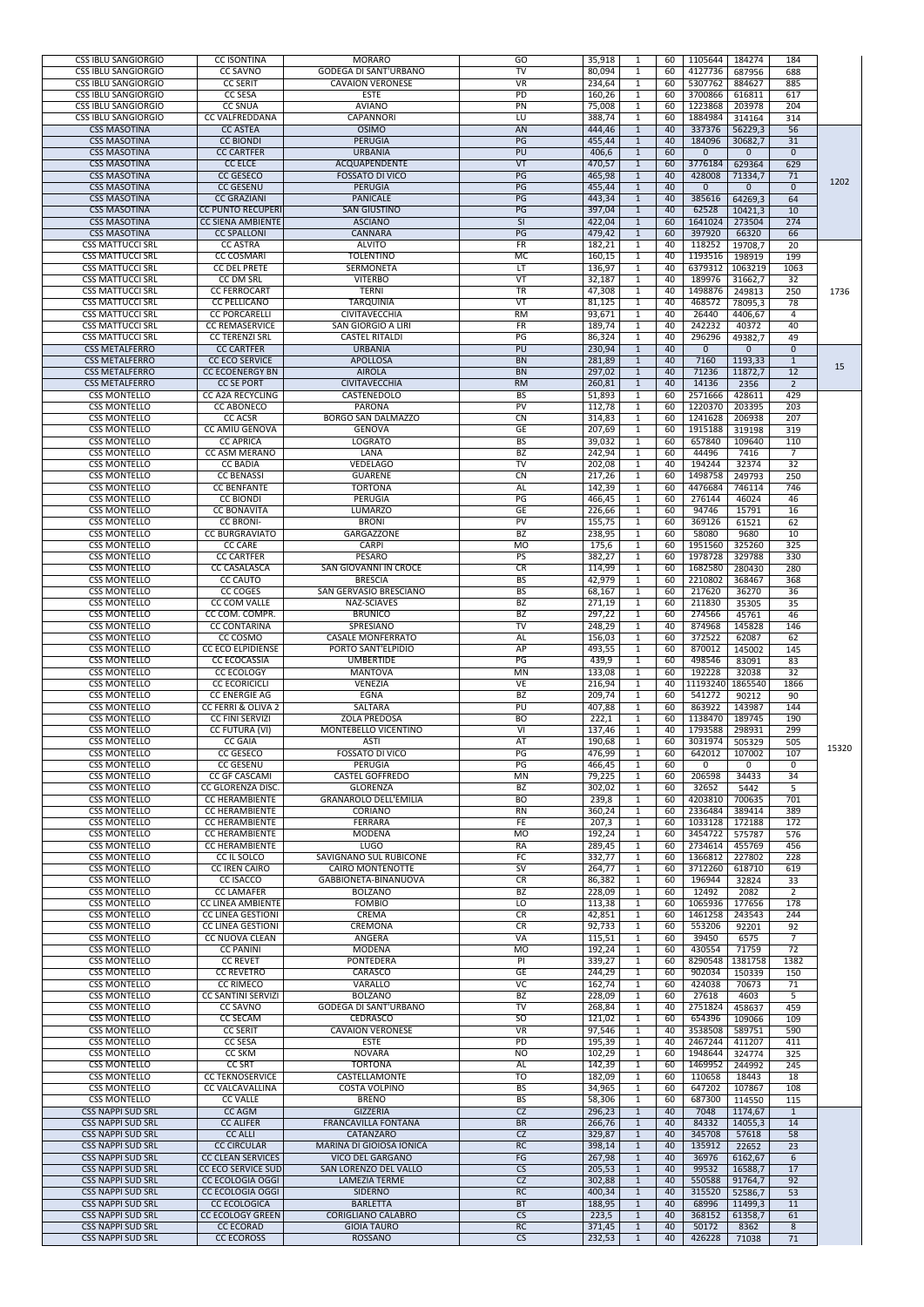| <b>CSS IBLU SANGIORGIO</b><br><b>CSS IBLU SANGIORGIO</b> | <b>CC ISONTINA</b><br><b>CC SAVNO</b>                   | <b>MORARO</b><br><b>GODEGA DI SANT'URBANO</b>     | GO<br>TV                       | 35,918<br>80,094 | -60<br>-60       | 1105644<br>4127736 | 184274<br>687956        | 184<br>688           |       |
|----------------------------------------------------------|---------------------------------------------------------|---------------------------------------------------|--------------------------------|------------------|------------------|--------------------|-------------------------|----------------------|-------|
| <b>CSS IBLU SANGIORGIO</b>                               | <b>CC SERIT</b>                                         | <b>CAVAION VERONESE</b>                           | <b>VR</b>                      | 234,64           | -60              | 5307762            | 884627                  | 885                  |       |
| <b>CSS IBLU SANGIORGIO</b>                               | <b>CC SESA</b>                                          | <b>ESTE</b>                                       | $\overline{PD}$                | 160,26           | -60              | 3700866            | 616811                  | 617                  |       |
| <b>CSS IBLU SANGIORGIO</b><br><b>CSS IBLU SANGIORGIO</b> | <b>CC SNUA</b><br><b>CC VALFREDDANA</b>                 | <b>AVIANO</b><br><b>CAPANNORI</b>                 | PN<br>LU                       | 75,008<br>388,74 | -60<br>-60       | 1223868<br>1884984 | 203978<br>314164        | 204<br>314           |       |
| <b>CSS MASOTINA</b>                                      | <b>CC ASTEA</b>                                         | <b>OSIMO</b>                                      | <b>AN</b>                      | 444,46           | -40              | 337376             | 56229,3                 | 56                   |       |
| <b>CSS MASOTINA</b><br><b>CSS MASOTINA</b>               | <b>CC BIONDI</b><br><b>CC CARTFER</b>                   | <b>PERUGIA</b><br><b>URBANIA</b>                  | PG<br>PU                       | 455,44<br>406,6  | 40<br>60         | 184096<br>0        | 30682,7<br>$\mathbf{0}$ | 31<br>$\overline{0}$ |       |
| <b>CSS MASOTINA</b>                                      | <b>CC ELCE</b>                                          | ACQUAPENDENTE                                     | VT                             | 470,57           | -60              | 3776184            | 629364                  | 629                  |       |
| <b>CSS MASOTINA</b>                                      | <b>CC GESECO</b>                                        | <b>FOSSATO DI VICO</b>                            | PG                             | 465,98           | 40               | 428008             | 71334,7                 | 71                   | 1202  |
| <b>CSS MASOTINA</b><br><b>CSS MASOTINA</b>               | <b>CC GESENU</b><br><b>CC GRAZIANI</b>                  | <b>PERUGIA</b><br><b>PANICALE</b>                 | PG<br>PG                       | 455,44<br>443,34 | 40<br>40         | $\Omega$<br>385616 | $\Omega$<br>64269,3     | $\Omega$<br>64       |       |
| <b>CSS MASOTINA</b>                                      | <b>CC PUNTO RECUPERI</b>                                | <b>SAN GIUSTINO</b>                               | PG                             | 397,04           | 40               | 62528              | 10421,3                 | 10                   |       |
| <b>CSS MASOTINA</b>                                      | <b>CC SIENA AMBIENTE</b>                                | <b>ASCIANO</b>                                    | $\overline{\mathsf{S}}$        | 422,04           | -60              | 1641024            | 273504                  | 274                  |       |
| <b>CSS MASOTINA</b><br><b>CSS MATTUCCI SRL</b>           | <b>CC SPALLONI</b><br><b>CC ASTRA</b>                   | <b>CANNARA</b><br><b>ALVITO</b>                   | PG<br>FR                       | 479,42<br>182,21 | 60<br>-40        | 397920<br>118252   | 66320<br>19708,7        | 66<br>20             |       |
| <b>CSS MATTUCCI SRL</b>                                  | <b>CC COSMARI</b>                                       | <b>TOLENTINO</b>                                  | MC                             | 160,15           | -40              | 1193516            | 198919                  | 199                  |       |
| <b>CSS MATTUCCI SRL</b><br><b>CSS MATTUCCI SRL</b>       | <b>CC DEL PRETE</b><br><b>CC DM SRL</b>                 | <b>SERMONETA</b><br><b>VITERBO</b>                | IT.<br>$\overline{\mathsf{V}}$ | 136,97           | -1<br>-40        | 6379312<br>189976  | 1063219                 | 1063                 |       |
| <b>CSS MATTUCCI SRL</b>                                  | <b>CC FERROCART</b>                                     | <b>TERNI</b>                                      | $\overline{\text{TR}}$         | 32,187<br>47,308 | -40<br>-40       | 1498876            | 31662,7<br>249813       | 32<br>250            | 1736  |
| <b>CSS MATTUCCI SRL</b>                                  | <b>CC PELLICANO</b>                                     | <b>TARQUINIA</b>                                  | VT                             | 81,125           | -40              | 468572             | 78095,3                 | 78                   |       |
| <b>CSS MATTUCCI SRL</b><br><b>CSS MATTUCCI SRL</b>       | <b>CC PORCARELLI</b><br><b>CC REMASERVICE</b>           | <b>CIVITAVECCHIA</b><br><b>SAN GIORGIO A LIRI</b> | $\overline{RM}$<br>FR          | 93,671<br>189,74 | 40<br>1<br>-40   | 26440<br>242232    | 4406,67<br>40372        | $\Delta$<br>40       |       |
| <b>CSS MATTUCCI SRL</b>                                  | <b>CC TERENZI SRL</b>                                   | <b>CASTEL RITALDI</b>                             | PG                             | 86,324           | -40<br>-1        | 296296             | 49382,7                 | 49                   |       |
| <b>CSS METALFERRO</b>                                    | <b>CC CARTFER</b>                                       | <b>URBANIA</b>                                    | PU                             | 230,94           | 40               | $\overline{0}$     | $\Omega$                | $\overline{0}$       |       |
| <b>CSS METALFERRO</b><br><b>CSS METALFERRO</b>           | <b>CC ECO SERVICE</b><br><b>CC ECOENERGY BN</b>         | <b>APOLLOSA</b><br><b>AIROLA</b>                  | <b>BN</b><br><b>BN</b>         | 281,89<br>297,02 | 40<br>40         | 7160<br>71236      | 1193,33<br>11872,7      | 12                   | 15    |
| <b>CSS METALFERRO</b>                                    | <b>CC SE PORT</b>                                       | <b>CIVITAVECCHIA</b>                              | RM                             | 260,81           | 40               | 14136              | 2356                    | $\overline{2}$       |       |
| <b>CSS MONTELLO</b>                                      | <b>CC A2A RECYCLING</b>                                 | CASTENEDOLO                                       | <b>BS</b>                      | 51,893           | -60              | 2571666            | 428611                  | 429                  |       |
| <b>CSS MONTELLO</b><br><b>CSS MONTELLO</b>               | <b>CC ABONECO</b><br><b>CC ACSR</b>                     | <b>PARONA</b><br><b>BORGO SAN DALMAZZO</b>        | <b>PV</b><br><b>CN</b>         | 112,78<br>314,83 | -1<br>60<br>-60  | 1220370<br>1241628 | 203395<br>206938        | 203<br>207           |       |
| <b>CSS MONTELLO</b>                                      | <b>CC AMIU GENOVA</b>                                   | <b>GENOVA</b>                                     | GE                             | 207,69           | -60              | 1915188            | 319198                  | 319                  |       |
| <b>CSS MONTELLO</b><br><b>CSS MONTELLO</b>               | <b>CC APRICA</b><br><b>CC ASM MERANO</b>                | <b>LOGRATO</b><br>LANA                            | <b>BS</b><br><b>BZ</b>         | 39,032<br>242,94 | -60<br>-60       | 657840<br>44496    | 109640                  | 110<br>7             |       |
| <b>CSS MONTELLO</b>                                      | <b>CC BADIA</b>                                         | <b>VEDELAGO</b>                                   | TV                             | 202,08           | -40              | 194244             | 7416<br>32374           | 32                   |       |
| <b>CSS MONTELLO</b>                                      | <b>CC BENASSI</b>                                       | <b>GUARENE</b>                                    | CN                             | 217,26           | -60              | 1498758            | 249793                  | 250                  |       |
| <b>CSS MONTELLO</b><br><b>CSS MONTELLO</b>               | <b>CC BENFANTE</b><br><b>CC BIONDI</b>                  | <b>TORTONA</b><br><b>PERUGIA</b>                  | AL<br>PG                       | 142,39<br>466,45 | -60<br>-60       | 4476684<br>276144  | 746114<br>46024         | 746<br>46            |       |
| <b>CSS MONTELLO</b>                                      | <b>CC BONAVITA</b>                                      | <b>LUMARZO</b>                                    | GE                             | 226,66           | 60               | 94746              | 15791                   | 16                   |       |
| <b>CSS MONTELLO</b>                                      | <b>CC BRONI-</b>                                        | <b>BRONI</b>                                      | <b>PV</b>                      | 155,75           | 60               | 369126             | 61521                   | 62                   |       |
| <b>CSS MONTELLO</b><br><b>CSS MONTELLO</b>               | <b>CC BURGRAVIATO</b><br><b>CC CARE</b>                 | <b>GARGAZZONE</b><br><b>CARPI</b>                 | BZ<br><b>MO</b>                | 238,95<br>175,6  | 60<br>-60        | 58080<br>1951560   | 9680<br>325260          | 10<br>325            |       |
| <b>CSS MONTELLO</b>                                      | <b>CC CARTFER</b>                                       | <b>PESARO</b>                                     | PS                             | 382,27           | 60               | 1978728            | 329788                  | 330                  |       |
| <b>CSS MONTELLO</b>                                      | <b>CC CASALASCA</b>                                     | <b>SAN GIOVANNI IN CROCE</b>                      | CR                             | 114,99           | -60              | 1682580            | 280430                  | 280                  |       |
| <b>CSS MONTELLO</b><br><b>CSS MONTELLO</b>               | <b>CC CAUTO</b><br>CC COGES                             | <b>BRESCIA</b><br>SAN GERVASIO BRESCIANO          | BS<br><b>BS</b>                | 42,979<br>68,167 | -60<br>-1<br>-60 | 2210802<br>217620  | 368467<br>36270         | 368<br>36            |       |
| <b>CSS MONTELLO</b>                                      | <b>CC COM VALLE</b>                                     | <b>NAZ-SCIAVES</b>                                | $\overline{BZ}$                | 271,19           | -60<br>-1        | 211830             | 35305                   | $\overline{35}$      |       |
| <b>CSS MONTELLO</b><br><b>CSS MONTELLO</b>               | CC COM. COMPR.<br><b>CC CONTARINA</b>                   | <b>BRUNICO</b><br>SPRESIANO                       | BZ<br>$\overline{\mathsf{TV}}$ | 297,22<br>248,29 | -60<br>-40<br>-1 | 274566<br>874968   | 45761<br>145828         | 46<br>146            |       |
| <b>CSS MONTELLO</b>                                      | CC COSMO                                                | <b>CASALE MONFERRATO</b>                          | AL                             | 156,03           | -60              | 372522             | 62087                   | 62                   |       |
| <b>CSS MONTELLO</b>                                      | <b>CC ECO ELPIDIENSE</b>                                | PORTO SANT'ELPIDIO                                | AP                             | 493,55           | -60              | 870012             | 145002                  | 145                  |       |
| <b>CSS MONTELLO</b><br><b>CSS MONTELLO</b>               | <b>CC ECOCASSIA</b><br><b>CC ECOLOGY</b>                | <b>UMBERTIDE</b><br><b>MANTOVA</b>                | PG<br><b>MN</b>                | 439,9<br>133,08  | -60<br>60        | 498546<br>192228   | 83091<br>32038          | 83<br>32             |       |
| <b>CSS MONTELLO</b>                                      | <b>CC ECORICICLI</b>                                    | <b>VENEZIA</b>                                    | VE                             | 216,94           | -40              | 11193240           | 1865540                 | 1866                 |       |
| <b>CSS MONTELLO</b>                                      | <b>CC ENERGIE AG</b>                                    | <b>EGNA</b>                                       | <b>BZ</b>                      | 209,74           | -60              | 541272             | 90212                   | 90                   |       |
| <b>CSS MONTELLO</b><br><b>CSS MONTELLO</b>               | <b>CC FERRI &amp; OLIVA 2</b><br><b>CC FINI SERVIZI</b> | SALTARA<br><b>ZOLA PREDOSA</b>                    | PU<br><b>BO</b>                | 407,88<br>222,1  | -60<br>-60       | 863922<br>1138470  | 143987<br>189745        | 144<br>190           |       |
| <b>CSS MONTELLO</b>                                      | CC FUTURA (VI)                                          | <b>MONTEBELLO VICENTINO</b>                       | VI                             | 137,46           | -40              | 1793588            | 298931                  | 299                  |       |
| <b>CSS MONTELLO</b><br><b>CSS MONTELLO</b>               | <b>CC GAIA</b><br><b>CC GESECO</b>                      | <b>ASTI</b><br><b>FOSSATO DI VICO</b>             | AT<br>PG                       | 190,68<br>476,99 | 60<br>60<br>-1   | 3031974<br>642012  | 505329<br>107002        | 505<br>107           | 15320 |
| <b>CSS MONTELLO</b>                                      | <b>CC GESENU</b>                                        | PERUGIA                                           | PG                             | 466,45           | 60               | $\Omega$           | $\Omega$                | $\Omega$             |       |
| <b>CSS MONTELLO</b>                                      | <b>CC GF CASCAMI</b>                                    | <b>CASTEL GOFFREDO</b>                            | <b>MN</b>                      | 79,225           | -60              | 206598             | 34433                   | 34                   |       |
| <b>CSS MONTELLO</b><br><b>CSS MONTELLO</b>               | <b>CC GLORENZA DISC.</b><br><b>CC HERAMBIENTE</b>       | <b>GLORENZA</b><br><b>GRANAROLO DELL'EMILIA</b>   | BZ<br><b>BO</b>                | 302,02<br>239,8  | -60<br>-60       | 32652<br>4203810   | 5442<br>700635          | 5<br>701             |       |
| <b>CSS MONTELLO</b>                                      | <b>CC HERAMBIENTE</b>                                   | <b>CORIANO</b>                                    | <b>RN</b>                      | 360,24           | -60              | 2336484            | 389414                  | 389                  |       |
| <b>CSS MONTELLO</b><br><b>CSS MONTELLO</b>               | <b>CC HERAMBIENTE</b><br><b>CC HERAMBIENTE</b>          | <b>FERRARA</b><br><b>MODENA</b>                   | FE<br><b>MO</b>                | 207,3<br>192,24  | -60<br>-60       | 1033128<br>3454722 | 172188<br>575787        | 172<br>576           |       |
| <b>CSS MONTELLO</b>                                      | <b>CC HERAMBIENTE</b>                                   | <b>LUGO</b>                                       | RA                             | 289,45           | -60              | 2734614            | 455769                  | 456                  |       |
| <b>CSS MONTELLO</b>                                      | CC IL SOLCO                                             | <b>SAVIGNANO SUL RUBICONE</b>                     | <b>FC</b>                      | 332,77           | -60<br>1         | 1366812            | 227802                  | 228                  |       |
| <b>CSS MONTELLO</b><br><b>CSS MONTELLO</b>               | <b>CC IREN CAIRO</b><br><b>CC ISACCO</b>                | <b>CAIRO MONTENOTTE</b><br>GABBIONETA-BINANUOVA   | $\overline{\mathsf{SV}}$<br>CR | 264,77<br>86,382 | -60<br>-60       | 3712260<br>196944  | 618710<br>32824         | 619<br>33            |       |
| <b>CSS MONTELLO</b>                                      | <b>CC LAMAFER</b>                                       | <b>BOLZANO</b>                                    | BZ                             | 228,09           | -60              | 12492              | 2082                    | $\overline{2}$       |       |
| <b>CSS MONTELLO</b><br><b>CSS MONTELLO</b>               | <b>CC LINEA AMBIENTE</b><br><b>CC LINEA GESTIONI</b>    | <b>FOMBIO</b><br><b>CREMA</b>                     | LO<br>CR                       | 113,38<br>42,851 | -60<br>-60       | 1065936<br>1461258 | 177656<br>243543        | 178<br>244           |       |
| <b>CSS MONTELLO</b>                                      | <b>CC LINEA GESTIONI</b>                                | <b>CREMONA</b>                                    | <b>CR</b>                      | 92,733           | -60              | 553206             | 92201                   | 92                   |       |
| <b>CSS MONTELLO</b>                                      | <b>CC NUOVA CLEAN</b>                                   | ANGERA                                            | <b>VA</b>                      | 115,51           | -60              | 39450              | 6575                    | $\overline{ }$       |       |
| <b>CSS MONTELLO</b><br><b>CSS MONTELLO</b>               | <b>CC PANINI</b><br><b>CC REVET</b>                     | <b>MODENA</b><br><b>PONTEDERA</b>                 | <b>MO</b><br>PI                | 192,24<br>339,27 | -60<br>-60       | 430554<br>8290548  | 71759<br>1381758        | 72<br>1382           |       |
| <b>CSS MONTELLO</b>                                      | <b>CC REVETRO</b>                                       | CARASCO                                           | <b>GE</b>                      | 244,29           | -60              | 902034             | 150339                  | 150                  |       |
| <b>CSS MONTELLO</b>                                      | <b>CC RIMECO</b>                                        | <b>VARALLO</b>                                    | $\overline{VC}$                | 162,74           | -60              | 424038             | 70673                   | 71                   |       |
| <b>CSS MONTELLO</b><br><b>CSS MONTELLO</b>               | <b>CC SANTINI SERVIZI</b><br><b>CC SAVNO</b>            | <b>BOLZANO</b><br><b>GODEGA DI SANT'URBANO</b>    | <b>BZ</b><br>TV                | 228,09<br>268,84 | -60<br>-40       | 27618<br>2751824   | 4603<br>458637          | 5<br>459             |       |
| <b>CSS MONTELLO</b>                                      | <b>CC SECAM</b>                                         | <b>CEDRASCO</b>                                   | 50                             | 121,02           | -60              | 654396             | 109066                  | 109                  |       |
| <b>CSS MONTELLO</b><br><b>CSS MONTELLO</b>               | <b>CC SERIT</b><br><b>CC SESA</b>                       | <b>CAVAION VERONESE</b><br><b>ESTE</b>            | $\overline{\mathsf{VR}}$<br>PD | 97,546<br>195,39 | -40<br>-40       | 3538508<br>2467244 | 589751<br>411207        | 590<br>411           |       |
| <b>CSS MONTELLO</b>                                      | <b>CC SKM</b>                                           | <b>NOVARA</b>                                     | <b>NO</b>                      | 102,29           | -60              | 1948644            | 324774                  | 325                  |       |
| <b>CSS MONTELLO</b>                                      | <b>CC SRT</b>                                           | <b>TORTONA</b>                                    | AL                             | 142,39           | -60              | 1469952            | 244992                  | 245                  |       |
| <b>CSS MONTELLO</b><br><b>CSS MONTELLO</b>               | <b>CC TEKNOSERVICE</b><br><b>CC VALCAVALLINA</b>        | CASTELLAMONTE<br><b>COSTA VOLPINO</b>             | $\overline{10}$<br><b>BS</b>   | 182,09<br>34,965 | -60<br>-60       | 110658<br>647202   | 18443<br>107867         | 18<br>108            |       |
| <b>CSS MONTELLO</b>                                      | <b>CC VALLE</b>                                         | <b>BRENO</b>                                      | BS.                            | 58,306           | 60               | 687300             | 114550                  | 115                  |       |
| <b>CSS NAPPI SUD SRL</b><br><b>CSS NAPPI SUD SRL</b>     | CC AGM                                                  | <b>GIZZERIA</b>                                   | CZ                             | 296,23           | 40               | 7048               | 1174,67                 |                      |       |
| <b>CSS NAPPI SUD SRL</b>                                 | <b>CC ALIFER</b><br><b>CC ALLI</b>                      | FRANCAVILLA FONTANA<br>CATANZARO                  | <b>BR</b><br>CZ                | 266,76<br>329,87 | 40<br>-40        | 84332<br>345708    | 14055,3<br>57618        | 14<br>58             |       |
| <b>CSS NAPPI SUD SRL</b>                                 | <b>CC CIRCULAR</b>                                      | <b>MARINA DI GIOIOSA IONICA</b>                   | RC                             | 398,14           | -40              | 135912             | 22652                   | 23                   |       |
| <b>CSS NAPPI SUD SRL</b><br><b>CSS NAPPI SUD SRL</b>     | <b>CC CLEAN SERVICES</b><br><b>CC ECO SERVICE SUD</b>   | <b>VICO DEL GARGANO</b><br>SAN LORENZO DEL VALLO  | FG<br>CS                       | 267,98<br>205,53 | -40<br>-40       | 36976<br>99532     | 6162,67<br>16588,7      | 6<br>17              |       |
| <b>CSS NAPPI SUD SRL</b>                                 | <b>CC ECOLOGIA OGGI</b>                                 | <b>LAMEZIA TERME</b>                              | CZ                             | 302,88           | -40              | 550588             | 91764,7                 | 92                   |       |
| <b>CSS NAPPI SUD SRL</b>                                 | <b>CC ECOLOGIA OGGI</b>                                 | <b>SIDERNO</b>                                    | RC                             | 400,34           | -40              | 315520             | 52586,7                 | 53                   |       |
| <b>CSS NAPPI SUD SRL</b><br><b>CSS NAPPI SUD SRL</b>     | <b>CC ECOLOGICA</b><br><b>CC ECOLOGY GREEN</b>          | <b>BARLETTA</b><br><b>CORIGLIANO CALABRO</b>      | <b>BT</b><br>CS                | 188,95<br>223,5  | -40<br>-40       | 68996<br>368152    | 11499,3<br>61358,7      | 11<br>61             |       |
| <b>CSS NAPPI SUD SRL</b>                                 | <b>CC ECORAD</b>                                        | <b>GIOIA TAURO</b>                                | RC                             | 371,45           | -40              | 50172              | 8362                    | 8                    |       |
| <b>CSS NAPPI SUD SRL</b>                                 | <b>CC ECOROSS</b>                                       | ROSSANO                                           | CS                             | 232,53           | 40               | 426228             | 71038                   | 71                   |       |